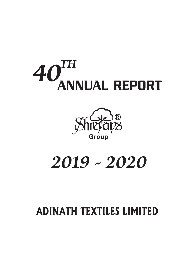# ANNUAL REPORT *40TH*



# *2019 - 2020*

# **ADINATH TEXTILES LIMITED**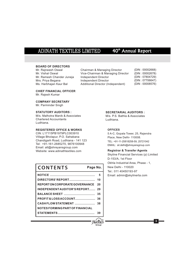# 40<sup>th</sup> Annual Report

### **BOARD OF DIRECTORS**

Mr. Rajneesh Oswal Mr. Vishal Oswal Mr. Ramesh Chander Juneja Mrs. Priya Begana Ms. Harbhajan Kaur Bal

Chairman & Managing Director Vice-Chairman & Managing Director Independent Director Independent Director Additional Director (Independent)

(DIN : 00002668) (DIN : 00002678) (DIN : 07804729) (DIN : 07706647) (DIN : 00008576)

### **CHIEF FINANCIAL OFFICER** Mr. Rajesh Kumar

**COMPANY SECRETARY**

Mr. Parminder Singh

### **STATUTORY AUDITORS :**

M/s. Malhotra Manik & Associates Chartered Accountants Ludhiana.

### **REGISTERED OFFICE & WORKS**

CIN: L17115PB1979PLC003910 Village Bholapur, P.O. Sahabana Chandigarh Road, Ludhiana - 141 123 Tel: +91-161-2685270, 9876100948 Email: atl@shreyansgroup.com Website: www.adinathtextiles.com

# **CONTENTS Page No.**

| DIRECTORS'REPORT                     | 10 |
|--------------------------------------|----|
| <b>REPORTON CORPORATE GOVERNANCE</b> | 20 |
| INDEPENDENT AUDITOR'S REPORT         | 29 |
|                                      | 35 |
| PROFIT&LOSSACCOUNT                   | 36 |
| CASHFLOW STATEMENT                   | 38 |
| NOTES FORMING PART OF FINANCIAL      |    |
|                                      |    |

### **SECRETARIAL AUDITORS :**

M/s. P.S. Bathla & Associates Ludhiana.

### **OFFICES**

**Group**

®

5 A-C, Gopala Tower, 25, Rajendra Place, New Delhi- 110008. TEL: +91-11-25818258-59, 25721042 EMAIL: sil.delhi@shreyansgroup.com

### **Registrar & Transfer Agents**

Skyline Financial Services (p) Limited D-153/A, 1st Floor Okhla Industrial Area, Phase - 1, New Delhi - 110020 Tel.: 011 40450193-97 Email: admin@skylinerta.com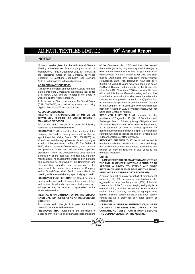# 40<sup>th</sup> Annual Report

### **NOTICE**

Notice is hereby given that the 40th Annual General of the Companies Act, 2013 and the rules framed Meeting of the members of the Company will be held on thereunder (including any statutory modification(s) or Monday, the 21<sup>st</sup> day of December, 2020 at 11:00 A.M. at re-enactment thereof for the time being in force) read<br>the Registered Office of the Company at Village with Schedule IV of the Companies Act, 2013 and SEBI the Registered Office of the Company at Village with Schedule IV of the Companies Act, 2013 and SEBI<br>Bholapur P.O. Sahabana. Chandigarh Road. Ludhiana (Listing Obligations and Disclosure Reguirements) Bholapur, P.O. Sahabana, Chandigarh Road, Ludhiana

(DIN: 00002678), who retires by rotation and being of the Company for a term upto five years with effect<br>eligible offers himself for re-appointment.

resolution as a **Special Resolution:** 2018 approval be and is hereby granted for

company be and is hereby accorded to the re- Kaur Bal who has exceeded the age of 75 years as an appointment Mr. Vishal Oswal (DIN: 00002678), as Independent Director of the Company. appointment Mr. Vishal Oswal (DIN: 00002678), as Vice-Chairman & Managing Director of the Company for **RESOLVED FURTHER THAT** the Board be and is a period of five years w.e.f. 1st May, 2020 to 30th April, hereby authorized to do all such act, deeds and things 2025, without payment of remuneration, in accordance and to execute all such documents, instruments and with provisions of sections 196 and other applicable writings as may be required to give effect to the provisions, if any of the Companies Act, 2013 read with aforesaid resolution." Schedule V of the said Act (including any statutory **NOTES:**<br>modification or re-enactment thereof), and on the terms modification or re-enactment thereof), and on the terms **1. A MEMBER ENTITLED TO ATTEND AND VOTE AT** and conditions as approved by the Nomination and  $\overline{x}$ and conditions as approved by the Nomination and **THE ANNUAL GENERAL MEETING IS ENTITLED TO**  Remuneration Committee and as set out in the **APPOINT <sup>A</sup> PROXY TO ATTEND AND VOTE** and Mr. Vishal Oswal, draft of which is submitted to this **NEED NOT BE A MEMBER OF THE COMPANY.**<br> **NEED NOT BE A MEMBER OF THE COMPANY.** 

**"RESOLVED FURTHER THAT** the Board be and is exceeding fifty (50) in number and holding in the hereby authorized to do all such act deeds and things hereby authorized to do all such act, deeds and things aggregate not more than ten percent (10%) of the total<br>and to execute all such documents, instruments and share capital of the Company carrying voting rights A writings as firally be required to give effect to the member holding more than ten percent of the total share<br>aforesaid resolution

## **KAUR BAL (DIN 00008576) AS AN INDEPENDENT** cannot act as a proxy for any other person or **DIRECTOR** shareholder.

Sections 149, 152, 161 and other applicable provisions

141 123 to transact the following business: Regulations, 2015, Ms. Harbhajan Kaur Bal (DIN: 00008576), aged 81 years, who was appointed as an **AS AN ORDINARY BUSINESS:** 1. To receive, consider and adopt the Audited Financial<br>Statements of the Company for the financial year ended<br>31st March, 2020 and the Reports of the Board of<br>31st March, 2020 and the Reports of the Board of office until 2. To appoint a Director in place of Mr. Vishal Oswal<br>2. To appoint a Director in place of Mr. Vishal Oswal<br>(DIN: 00002678), who retires by rotation and being of the Company for a term unto five years with effect from 11th November, 2020 to 10th November, 2025, not **AS SPECIAL BUSINESS:** being liable to retire by rotation.

**ITEM NO. 3: RE-APPOINTMENT OF MR. VISHAL RESOLVED FURTHER THAT** pursuant to the **OSWAL (DIN 00002678) AS VICE-CHAIRMAN &** provisions of Regulation 17 (1A) of Securities and **OSWAL (DIN 00002678) AS VICE-CHAIRMAN &** provisions of Regulation 17 (1A) of Securities and **MANAGING DIRECTOR** Exchange Board of India (Listing Obligations and Exchange Board of India (Listing Obligations and To consider and if thought fit, to pass the following Disclosure Requirements) (Amendment) Regulations, **"RESOLVED THAT** consent of the members of the appointing/continuing the directorship of Ms. Harbhajan

**INSTEAD OF HIMSELF/HERSELF AND THE PROXY** 

meeting and the same is hereby specifically approved.<br>"RESOLVED FURTHER THAT the Board be and is expecting fifty (50) in number and bolding in the and to execute all such documents, instruments and share capital of the Company carrying voting rights. A writings as may be required to give effect to the momber belding more than to percent of the total chara capital of the Company carrying voting rights may **ITEM NO. 4: APPOINTMENT OF MS. HARBHAJAN** appoint a single person as proxy and such person

To consider and if thought fit, to pass the following **2. PROXIES IN ORDER TO BE EFFECTIVE, MUST BE** resolution as a **Special Resolution:** LODGED AT THE REGISTERED OFFICE OF THE **LODGED AT THE REGISTERED OFFICE OF THE "RESOLVED THAT** pursuant to the provisions of **COMPANY, NOT LESS THAN 48 HOURS BEFORE** 

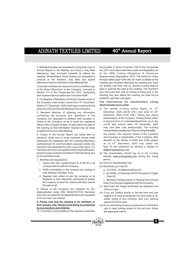Annual Report to the Meeting and bring in duly filled Act, 2013 and rules made there under and Regulation 44 attendance slips enclosed herewith to attend the of the SEBI (Listing Obligations & Disclosure meeting. Shareholders/ Proxy holders are requested to Requirements) Regulations, 2015. The facility for voting produce at the entrance, duly filled and signed through ballot paper shall also be made available at the

of the Board Resolution to the Company, pursuant to Section 113 of the Companies Act, 2013, authorizing who have cast their vote by remote e-voting prior to the their representative to attend and vote at the AGM meeting may also attend the meeting but shall not be their representative to attend and vote at the AGM.

entitled to cast their vote again. 4. The Register of Members and Share Transfer books of the Company shall remain closed from 15<sup>th</sup> December, **The instructions for shareholders voting**<br>2020 to 21<sup>th</sup> December 2020 (both days inclusive) for the **electronically are as under:** 2020 to 21<sup>st</sup> December, 2020 (both days inclusive) for the purpose of Annual General Meeting of the Company.  $\qquad \quad \text{(i)} \quad \text{The} \quad \text{remote} \quad \text{e-voting} \quad \text{period} \quad \text{begins} \quad \text{on} \quad \text{17}^{\text{th}}$ 

concerning the accounts and operations of the December, 2020 (5.00 P.M.). During this period<br>Company are requested to address their question in shareholders' of the Company holding shares either Company are requested to address their question in writing to the Company, so as to reach the registered in physical form or in dematerialized form, as on the office of the Company at least 10 days before the date of cut-off date (record date)  $14^{\circ}$  December, 2020 office of the Company at least 10 days before the date of cut-off date (record date) 14<sup>m</sup> December, 2020 the meeting so that information required may be made may cast their vote electronically. The e-voting the meeting so that information required may be made available at the time of the Meeting. moduleshallbedisabledbyCDSLforvotingthereafter.

electronic mode only to those members whose email and becomes a shareholder of the Company after editions a share members whose email and holds shares addresses are registered with the company/depository participants(s) for communication purposes unless any as of 14<sup>m</sup> December, 2020 may obtain the members has requested for hard copy of the same. For login ID and password by sending a request at members has requested for hard copy of the same. For members who have not registered their email addresses, and atl@shreyansgroup.com. physical copies of the Annual Report 2020 are being sent (ii) The shareholders should log on to the e-voting

- 7. Members are requested to :<br>i. Quote their folio number/Client ID & DP-ID in all (iii) Click on "Shareholders" tab. i. Quote their folio number/Client ID & DP-ID in all correspondence with the company. (iv) Now Enter your User ID
	- ii. Notify immediately to the company any change in  $\qquad a$ . For CDSL: 16 digits beneficiary ID, their address/mandate, if any.
	- iii. Register their e-Mail id with the company or its Client ID, Registrar or their depository participant to enable c. Members holding shares in Physical Form should the company to send the notices and other reports enter Folio Number registered with the Company.<br>
	through email. (i) Next enter the Image Verification as displayed

8. Shares of the Company are available for De- Click on Login. Materialization under ISIN- INE207C01019. Members (vi) If you are holding shares in De-mat form and had<br>who have not opted for De-Materialization are requested longed on to www.evotingindia.com and voted on an who have not opted for De-Materialization are requested logged on to www.evotingindia.com and voted on an<br>to do so in their own interest.

## **9. Please note that the meeting is for members or** password is to be used their proxies only. Please avoid being accompanied (vii) If you are holding share **their proxies only. Please avoid being accompanied** (vii) If you are holding shares in physical form or first time

10. A remote e-voting facility for the members shall also the steps given below:

3. Members/proxies are requested to bring their copy of be provided in terms of Section 108 of the Companies attendance slips for admission to the Meeting Hall. meeting and members attending the meeting who have Corporate members are required to send a certified copy not already cast their vote by remote e-voting shall be of the Board Resolution to the Company pursuant to able to exercise the right at the meeting. The members

December, 2020 (09.00 A.M.) and ends on  $20<sup>th</sup>$ 5. Members desirous of obtaining any information becember, 2020 (09.00 A.M.) and ends on 20<sup>th</sup><br>concerning the accounts and operations of the December, 2020 (5.00 P.M.). During this period

6. Copies of the Annual Report are being sent by Any person, who acquires shares of the Company and becomes a shareholder of the Company after as of 14<sup>th</sup> December, 2020 may obtain the

- by the permitted mode.<br>
The period website www.evotingindia.com during the voting<br>
The model of period.
	-
	-

**Group**

®

- 
- b. For NSDL: 8 Character DP ID followed by 8 Digits
- 
- (v) Next enter the Image Verification as displayed and
- earlier voting of any company, then your existing
- user in case holding shares in De-mat form, follow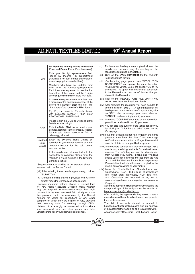# 40<sup>th</sup> Annual Report

|                                                  | For Members holding shares in Physical<br>Form and Demat Form (First time user)                                                                                                                                |
|--------------------------------------------------|----------------------------------------------------------------------------------------------------------------------------------------------------------------------------------------------------------------|
| <b>PAN</b>                                       | Enter your 10 digit alpha-numeric PAN<br>issued by Income Tax Department<br>(Applicable for both demat shareholders<br>as well as physical shareholders)                                                       |
|                                                  | Members who have not updated their<br>PAN with the Company/Depository<br>Participant are requested to use the first<br>two letters of their name and the 8 digits<br>of the sequence number* in the PAN field. |
|                                                  | In case the sequence number is less than<br>8 digits enter the applicable number of 0's<br>before the number after the first two<br>characters of the name in CAPITAL letters.                                 |
|                                                  | Eg. If your name is Ramesh Kumar<br>with sequence number 1 then enter<br>RA00000001 in the PAN field.                                                                                                          |
|                                                  | Please enter the DOB or Dividend Bank<br>Details in order to login.                                                                                                                                            |
| <b>DOB</b>                                       | Enter the Date of Birth as recorded in your<br>demat account or in the company records<br>for the said demat account or folio in<br>dd/mm/yyyy format.                                                         |
| <b>Dividend</b><br><b>Bank</b><br><b>Details</b> | Enter the Dividend Bank Details<br><b>as</b><br>recorded in your demat account or in the<br>company records for the said demat<br>account or folio.                                                            |
|                                                  | If the details are not recorded with the<br>depository or company please enter the<br>member id / folio number in the Dividend<br>Bank details field.                                                          |

\*Sequence number shall be as per separate sheet

enclosed with the Annual Report.

- (viii) After entering these details appropriately, click on<br>"SUBMIT" tab.
- (ix) Members holding shares in physical form will then

However, members holding shares in De-mat form  $\frac{Corporate}{\text{N} \cdot \text{Cov}}$  are required to mandatorily enter their login  $\frac{Corporate}{\text{N} \cdot \text{Cov}}$  are required to mandatorily enter their login  $\frac{1}{\text{N} \cdot \text{Cov}}$  and  $\frac{1}{\text{N}$ stamp and sign of the entity showling of the entity showling to the emailed to the emailed to the are required to mandatorily enter the new password in the new password field. Kindly note that and the new password is to be this password is to be also used by the De-mat After receiving the login details they have to create a<br>holders for voting for resolutions of any other user who would be able to link the account(s) which holders for voting for resolutions of any other user who would be all company on which they are eligible to vote provided they wish to vote on. company on which they are eligible to vote, provided they wish to vote on.<br>that company opts for e-voting through CDSL The list of accounts should be mailed to that company opts for e-voting through CDSL The list of accounts should be mailed to platform. It is strongly recommended not to share belpdesk.evoting@cdslindia.com and on approval platform. It is strongly recommended not to share helpdesk.evoting@cdslindia.com and on approval your password with any other person and take of the accounts they would be able to cast their vote. your password with any other person and take utmost care to keep your password confidential.

- (x) For Members holding shares in physical form, the details can be used only for e-voting on the resolutions contained in this Notice.
- (xi) Click on the **EVSN 201104001** for the <Adinath Textiles Limited> to vote.
- (xii) On the voting page, you will see "RESOLUTION DESCRIPTION" and against the same the option "YES/NO" for voting. Select the option YES or NO as desired. The option YES implies that you assent to the Resolution and option NO implies that you dissent to the Resolution.
- (xiii) Click on the "RESOLUTIONS FILE LINK" if you wish to view the entire Resolution details.
- (xiv) After selecting the resolution you have decided to vote on, click on "SUBMIT". A confirmation box will be displayed. If you wish to confirm your vote, click on "OK", else to change your vote, click on "CANCEL" and accordingly modify your vote.
- (xv) Once you "CONFIRM" your vote on the resolution, you will not be allowed to modify your vote.
- (xvi) You can also take out print of the voting done by you by clicking on "Click here to print" option on the Voting page.
- (xvii) If De-mat account holder has forgotten the same password then Enter the User ID and the image verification code and click on Forgot Password & enter the details as prompted by the system.
- (xviii)Shareholders can also cast their vote using CDSL's mobile app m-Voting available for android based mobiles. The m-Voting app can be downloaded from Google Play Store. i-phone and Windows phone users can download the app from the App Store and the Windows Phone Store respectively. Please follow the instructions as prompted by the mobile app while voting on your mobile.
- (xix) Note for Non-Individual Shareholders and (i.e. other than Individuals, HUF, NRI etc.)<br>and Custodian are required to log on to directly reach the Company selection screen.<br>Corporate. Company selection screen.<br>Corporate.

Ascanned copy of the Board Resolution and Power

**7**

**Group**

®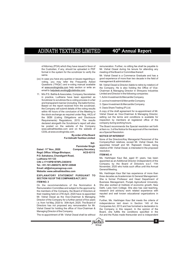40<sup>th</sup> Annual Report

format in the system for the scrutinizer to verify the meeting of the Board or Committee thereof.

- voting, you may refer the Frequently Asked management & administration.<br>Questions ("FAQs") and e-voting manual available Mr. Vishal Oswal is Director (lia
- 11. M/s P.S. Bathla & Associates, Company Secretaries Limited and Director in the following companies: in practice, Ludhiana have been appointed as 1. Achin Investment & Mercantile Company Scrutinizer to scrutinize the e-voting process in a fair 2. Levina Investment & Mercantile Company<br>and transparent manner (including the ballot forms). 2. Oienvillaused meet 8 Mercantile Company and transparent manner (including the ballot forms).<br>Based on the report received from the scrutinizer,<br>the Company will submit datails of the voting results and the Scrutinizer, and the Company will submit datails of the the Company will submit details of the voting results within 48 hours of the conclusion of the Meeting to A copy of the draft agreement for re-appointment of Mr. the SEBI (Listing Obligations and Disclosure<br>Requirements) Regulations, 2015. The results declared alongwith the Scrutinizer's report will also be posted on the website of the Company CDSL at www.evotingindia.com.

**By order of the Board NOTICE OF INTEREST**<br>**For Adinath Textiles Limited Mone of the Directors/K** 

**the relative of Mr. Vishal Oswal, is interested in the proposed resolution. Register of Mr. Vishal Oswal, is interested in the proposed resolution. Regd. Office: Village Bholapur, ACS 43115 ITEM NO. 4 ITEM NO. 4 P.O. Sahabana, Chandigarh Road,** Ms. Harbhajan Kaur Bal, aged 81 years, has been **Ludhiana 141 123**

**Website: www.adinathtextiles.com**

# **EXPLANATORY STATEMENT PURSUANT TO** three decades as Academician & General Management.<br>**SECTION 102 OF THE COMPANIES ACT, 2013** She is former Professor and Head Department of

Remuneration Committee and subject to the approval by Delhi, Lady Irwin College. She also has vast teaching, <br>the members of the Company the Board of Directors at research and advisory work related experience with the members of the Company, the Board of Directors at their meeting held on 27th April. 2020 have re-appointed Mr. Vishal Oswal as the Vice-Chairman & Managing Director of the Company for a further period of five years Further, Ms. Harbhajan Kaur Bal meets the criteria of i.e. from 1st May, 2020 to 30th April, 2025. The Board of independence laid down in Section 149 of the i.e. from 1st May, 2020 to 30th April, 2025. The Board of independence laid down in Section 149 of the<br>Directors has not proposed any remuneration for Mr. Companies Act 2013 and has furnished a declaration to Directors has not proposed any remuneration for Mr. Companies Act, 2013 and has furnished a declaration to<br>Vishal Oswal for holding the office of Vice-Chairman & the Company in this respect. In the opinion of the Vishal Oswal for holding the office of Vice-Chairman & the Company in this respect. In the opinion of the

of Attorney (POA) which they have issued in favor of remuneration. Further, no sitting fee shall be payable to the Custodian, if any, should be uploaded in PDF Mr. Vishal Oswal during his tenure for attending any Mr. Vishal Oswal during his tenure for attending any

same. **Mr.** Vishal Oswal is a Commerce Graduate and has a (xx) In case you have any queries or issues regarding e- good experience of more than two decade in the field of

Questions ("FAQs") and e-voting manual available Mr. Vishal Oswal is Director (liable to retire by rotation) of at www.evotingindia.com help section or write an the Company. He is also holding the Office of Viceat www.evotingindia.com help section or write an the Company. He is also holding the Office of Vice-<br>email to helpdesk.evoting@cdslindia.com. Chairman & Managing Director in Shreyans Industries Chairman & Managing Director in Shreyans Industries

- 
- 
- 

the stock exchange as required under Reg.  $44(3)$  of Vishal Oswal as Vice-Chairman & Managing Director, the SFBI (Listing Obligations and Disclosure setting out the terms and conditions is available for inspection by members at registered office of the company during working hours.

be posted on the website of the Company The Board recommends the Special resolution set forth www.adinathtextiles.com and on the website of at them no 3 of the Notice for the annoval of the members at Item no. 3 of the Notice for the approval of the members as a Special Resolution.

**For Adinath Textiles Limited** None of the Directors/Key Managerial Personnel of the Sd/- Company/their relatives, except Mr. Vishal Oswal, the **Parminder Singh** appointee himself and Mr. Rajneesh Oswal, being appointee himself and Mr. Rajneesh Oswal, being

**Group**  $\mathbb{S}$ hievans

appointed as an Additional Director (Independent) of the Company by the Board of Directors w.e.f. 11th Tel.: +91-161-2685270, 98761-00948 **November, 2020 who holds such office until this Annual <b>Email: atl@shreyansgroup.com** November, 2020 who holds such office until this Annual **Email: atl@shreyansgroup.com** General Meetin

Ms. Harbhajan Kaur Bal has experience of more than **SECTION 102 OF THE COMPANIES ACT, 2013** She is former Professor and Head Department of<br>**ITEM NO. 3** Business Management Punjab Agricultural University Business Management, Punjab Agricultural University. On the recommendations of the Nomination & She also worked at Institute of economic growth, New<br>Remuneration Committee and subject to the approval by Delhi, Lady Irwin College. She also has vast teaching, reputed and well known educational organizations in<br>India

Managing Director of the Company.<br>The re-appointment of Mr. Vishal Oswal shall be without Act and the Rules made thereunder and is independent Act and the Rules made thereunder and is independent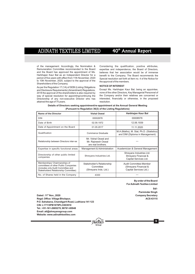of the management. Accordingly, the Nomination & Considering the qualification, positive attributes, Remuneration Committee recommended to the Board expertise and independence, the Board of Directors, Remuneration Committee recommended to the Board expertise and independence, the Board of Directors, and the Board has approved the appointment of Ms. believes that her association would be of immense and the Board has approved the appointment of Ms. believes that her association would be of immense<br>Harbhajan Kaur Bal as an Independent Director for a benefit to the Company The Board recommends the to 10th November, 2025, subject to the approval of the the approval of the members. Shareholders of the Company. period of five years with effect from 11th November, 2020

**NOTICE OF INTEREST**<br>As per the Regulation 17 (1A) of SEBI (Listing Obligations<br>and Disclosure Requirements) (Amendment) Regulations Except Ms. Harbhajan Kaur Bal, being an appointee, and Disclosure Requirements) (Amendment) Regulations, Except Ms. Harbhajan Kaur Bal, being an appointee,<br>2018 the approval of the shareholders is also required by none of the other Directors, Key Managerial Personnel of 2018 the approval of the shareholders is also required by none of the other Directors, Key Managerial Personnel of way of special resolution for appointing/continuing the the Company and/or their relatives are concerned or way of special resolution for appointing/continuing the<br>Directorship of any non-executive Director who has attained the age of 75 years.

benefit to the Company. The Board recommends the Special resolution set forth at Item no. 4 of the Notice for

interested, financially or otherwise, in the proposed resolution.

**Details of Directors seeking appointment/re-appointment at the Annual General Meeting (Pursuant to Regulation 36(3) of the Listing Regulations)**

| <b>Name of the Director</b>                                                                                                                         | <b>Vishal Oswal</b>                                              | Harbhajan Kaur Bal                                                          |
|-----------------------------------------------------------------------------------------------------------------------------------------------------|------------------------------------------------------------------|-----------------------------------------------------------------------------|
| <b>DIN</b>                                                                                                                                          | 00002678                                                         | 00008576                                                                    |
| Date of Birth                                                                                                                                       | 02.09.1972                                                       | 12.06.1939                                                                  |
| Date of Appointment on the Board                                                                                                                    | 01.05.2017                                                       | 11.11.2020                                                                  |
| Qualification                                                                                                                                       | Commerce Graduate                                                | M.A (Maths), M. Stat, Ph.D. (Statistics)<br>and DIM (Diploma in Management) |
| Relationship between Directors inter-se                                                                                                             | Mr. Vishal Oswal and<br>Mr. Rajneesh Oswal<br>are real brothers. |                                                                             |
| Expertise in specific functional areas                                                                                                              | Management & Administration                                      | Academician & General Management                                            |
| Directorship of other public limited<br>companies                                                                                                   | Shreyans Industries Ltd.                                         | Shreyans Industries Ltd.<br>Shreyans Financial &<br>Capital Services Ltd.   |
| Memberships/ Chairmanships of<br>committees of other Public Companies<br>(includes only Audit Committee and<br>Stakeholders Relationship Committee) | Stakeholder's Relationship<br>Committee<br>(Shreyans Inds. Ltd.) | Audit Committee-Member<br>(Shreyans Financial &<br>Capital Services Ltd.)   |
| No. of Shares held in the Company                                                                                                                   | 4300                                                             |                                                                             |

**Group**

®

**By order of the Board For Adinath Textiles Limited**

> **Sd/- Parminder Singh**

> > **9**

**Dated : 11<sup>th</sup> Nov., 2020 Company Secretary Regd. Office: Village Bholapur, ACS 43115 P.O. Sahabana, Chandigarh Road, Ludhiana 141 123 CIN: L17115PB1979PLC003910 Tel.: +91-161-2685270, 98761-00948 Email: atl@shreyansgroup.com Website: www.adinathtextiles.com**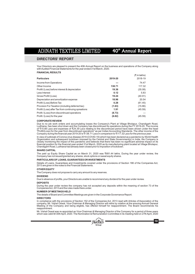40<sup>th</sup> Annual Report

### **DIRECTORS' REPORT**

Your Directors are pleased to present the 40th Annual Report on the business and operations of the Company along with Audited Financial Statements for the year ended 31st March, 2020.

### **FINANCIAL RESULTS**

|                                                    |         | (₹ in lakhs) |
|----------------------------------------------------|---------|--------------|
| <b>Particulars</b>                                 | 2019-20 | 2018-19      |
| Income from Operations                             | ---     | 74.47        |
| Other Income                                       | 138.71  | 117.32       |
| Profit/(Loss) before interest & depreciation       | 19.36   | (35.08)      |
| Less Interest                                      | 0.12    | 5.83         |
| Gross Profit/(Loss)                                | 19.24   | (40.91)      |
| Depreciation and amortization expense              | 18.96   | 20.54        |
| Profit/ (Loss) Before Tax                          | 0.28    | (61.45)      |
| Provision For Taxation (including deferred tax)    | (1.63)  | (15.86)      |
| Profit/(Loss) after Tax from continuing opreations | 1.91    | (45.59)      |
| Profit / (Loss) from discontinued operations       | (8.73)  |              |
| Profit / (Loss) for the year                       | (6.82)  | (45.59)      |
|                                                    |         |              |

### **CORPORATE REVIEW**

Due to no job work orders and accumulating losses the Company's Plant at Village Bholapur, Chandigarh Road,<br>Ludhiana, has been shut down and the Company has discontinued its operations during the FY 2019-20. The income<br>of "Profit/(Loss) for the year from discontinued operations" as per Indian Accounting Standards. The other income of the<br>Company during the financial year 2019-20 is ₹138.71 Lacs in comparison to ₹117.32 Lacs for the previou

In view of outbreak of Corona virus disease 2019 (COVID-19) which has been declared as a pandemic by World Health Organization and subsequent lockdown imposed by the Central and State Government(s) in India, the Company is<br>closely monitoring the impact of this pandemic and believes that there has been no significant adverse impact on Chandigarh Road, Ludhiana had already been closed prior to imposition of lockdown.

### **SHARE CAPITAL**

The paid up Equity Share Capital as on March 31, 2020 was ₹681.44 lakhs. During the year under review, the Company has not issued/granted any shares, stock options or sweat equity shares.

### **PARTICULARS OF LOANS, GUARANTEES OR INVESTMENTS**

Details of Loans, Guarantees and Investments covered under the provisions of Section 186 of the Companies Act, 2013 are given in the notes to the Financial Statements.

### **OTHER EQUITY**

The Company does not propose to carry any amount to any reserves.

### **DIVIDEND**

Due to absence of profits, your Directors are unable to recommend any dividend for the year under review.

### **DEPOSITS**

During the year under review the company has not accepted any deposits within the meaning of section 73 of the Companies Act, 2013 and the rules made there under.

### **NUMBER OF MEETINGS HELD**

The details of Board and Committee Meetings are given in the Corporate Governance Report.

### **DIRECTORS**

In compliance with the provisions of Section 152 of the Companies Act, 2013 read with Articles of Association of the company, Mr. Vishal Oswal, Vice-Chairman & Managing Director will retire by rotation at the ensuing Annual General Meeting of the Company and being eligible, has offered himself for reappointment. The Board recommends his reappointment.

Mr. Vishal Oswal was re-appointed as Vice-Chairman & Managing Director of the Company for a period of three years<br>which was valid till 30th April, 2020. The Nomination & Remuneration Committee in its meeting held on 27th A



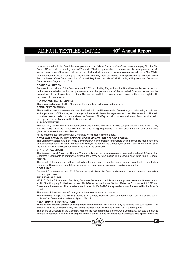has recommended to the Board the re-appointment of Mr. Vishal Oswal as Vice-Chairman & Managing Director. The Board of Directors in its meeting held on 27th April, 2020 has approved and recommended the re-appointment of Mr. Vishal Oswal as Vice-Chairman & Managing Director for a further period of five years commencing from 1st May, 2020. All Independent Directors have given declarations that they meet the criteria of Independence as laid down under Section 149(6) of the Companies Act, 2013 and Regulation 16(1)(b) of SEBI (Listing Obligations and Disclosure Requirements) Regulations, 2015.

### **BOARD EVALUATION**

Pursuant to provisions of the Companies Act, 2013 and Listing Regulations, the Board has carried out an annual performance evaluation of its own performance and the performance of the individual Directors as well as the evaluation of the working of its committees. The manner in which the evaluation was carried out has been explained in the Corporate Governance.

### **KEY MANAGERIALPERSONNEL**

There was no change in the Key Managerial Personnel during the year under review.

### **REMUNERATION POLICY**

The Board has, on the recommendation of the Nomination and Remuneration Committee, framed a policy for selection and appointment of Directors, Key Managerial Personnel, Senior Management and their Remuneration. The said policy has been uploaded on the website of the Company. The Key provisions of Nomination and Remuneration policy are appended as an **Annexure I** to the Board's report.

### **AUDIT COMMITTEE**

The company has duly constituted Audit Committee, the scope of which is quite comprehensive and is in conformity with the provisions of the Companies Act, 2013 and Listing Regulations. The composition of the Audit Committee is given in Corporate Governance Report.

All the recommendations of the Audit Committee were accepted by the Board.

### **DETAILS OF ESTABLISHMENT OF VIGIL MECHANISM/ WHISTLE BLOWER POLICY**

The Company has adopted the Whistle blower Policy/Vigil mechanism for directors and employees to report concerns about unethical behavior, actual or suspected fraud, or violation of the Company's Code of Conduct and Ethics. Such mechanism/policy is also uploaded on the website of the Company.

### **STATUTORYAUDITORS**

The Company in its 37th Annual General Meeting had approved the appointment of M/s. Malhotra Manik & Associates, Chartered Accountants as statutory auditors of the Company to hold office till the conclusion of 42nd Annual General **Meeting** 

The report of the statutory auditors read with notes on accounts is self-explanatory and do not call for any further comments. The Auditors' Report does not contain any qualification, reservation or adverse remarks.

### **COST AUDIT**

Cost audit for the financial year 2019-20 was not applicable to the Company hence no cost auditor was appointed for cost audit purposes.

### **SECRETARIALAUDIT**

M/s P. S. Bathla & Associates, Practising Company Secretaries, Ludhiana, were appointed to conduct the secretarial audit of the Company for the financial year 2019-20, as required under Section 204 of the Companies Act, 2013 and Rules made there under. The secretarial audit report for FY 2019-20 is appended as an **Annexure II** to the Board's report.

The Secretarial auditors' report for the year under review requires no comments.

The Board has re-appointed M/s P. S. Bathla & Associates, Practising Company Secretaries, Ludhiana as secretarial auditor of the Company for the financial year 2020-21.

### **RELATED PARTYTRANSACTIONS**

There was no material contract or arrangement or transactions with Related Party as referred to in sub-section (1) of Section 188 of the Companies Act, 2013 during the year. Thus, disclosure in form AOC-2 is not required.

The Board of Directors of the Company has, on the recommendation of the Audit Committee, adopted a policy to regulate transactions between the Company and its Related Parties, in compliance with the applicable provisions of the



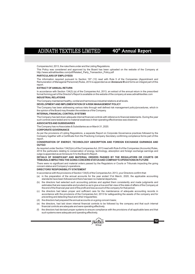Companies Act, 2013, the rules there under and the Listing Regulations.

This Policy was considered and approved by the Board has been uploaded on the website of the Company at http://www.adinathtextiles.com/pdf/Related\_Party\_Transaction\_Policy.pdf

### **PARTICULARS OF EMPLOYEES**

The information required pursuant to Section 197 (12) read with Rule 5 of the Companies (Appointment and Remuneration of Managerial Personnel) Rules, 2014 is appended as an **Annexure III** and forms an integral part of this report.

### **EXTRACT OF ANNUAL RETURN**

In accordance with Section 134(3) (a) of the Companies Act, 2013, an extract of the annual return in the prescribed format forming part of the Director's Report is available on the website of the company at www.adinathtextiles.com **INDUSTRIAL RELATIONS**

### The Company maintained healthy, cordial and harmonious industrial relations at all levels.

**DEVELOPMENT AND IMPLEMENTATION OF ARISK MANAGEMENT POLICY**

The Company has been addressing various risks through well defined risk management policy/procedures, which in the opinion of the Board may threaten the existence of the Company.

### **INTERNALFINANCIAL CONTROLSYSTEMS**

The Company has laid down adequate internal financial controls with reference to financial statements. During the year such controls were tested and no material weakness in their operating effectiveness was observed.

### **ASSOCIATES AND SUBSIDIARIES**

The Company has no Associates & Subsidiaries as on March 31, 2020.

### **CORPORATE GOVERNANCE**

As per the provisions of Listing Regulations, a separate Report on Corporate Governance practices followed by the Company together with a Certificate from the Practicing Company Secretary confirming compliance forms part of this report.

### **CONSERVATION OF ENERGY, TECHNOLOGY ABSORPTION AND FOREIGN EXCHANGE EARNINGS AND OUTGO**

As required under Section 134(3)(m) of the Companies Act, 2013 read with Rule 8 of the Companies (Accounts) Rules, 2014 the particulars relating to conservation of energy, technology, absorption and foreign exchange earnings and outgo is appended as an Annexure IV to the Board's Report.

### **DETAILS OF SIGNIFICANT AND MATERIAL ORDERS PASSED BY THE REGULATORS OR COURTS OR TRIBUNALS IMPACTING THE GOING CONCERN STATUS AND COMPANY'S OPERATIONS IN FUTURE**

There were no significant and material orders passed by the Regulators or Courts or Tribunals impacting the going concern status and Company's operations.

### **DIRECTORS'RESPONSIBILITYSTATEMENT**

In accordance with the provisions of Section 134(5) of the Companies Act, 2013, your Directors confirm that:

- (a) in the preparation of the annual accounts for the year ended 31st March, 2020, the applicable accounting standards have been followed and there has been no material departures;
- (b) the directors had selected such accounting policies and applied them consistently and made judgments and estimates that are reasonable and prudent so as to give a true and fair view of the state of affairs of the Company at the end of the financial year and of the profit and loss account of the company for that period;
- (c) the directors had taken proper and sufficient care for the maintenance of adequate accounting records in accordance with the provisions of the Companies Act, 2013 for safeguarding the assets of the company and for preventing and detecting fraud and other irregularities;
- (d) the directors had prepared the annual accounts on a going concern basis;
- (e) the directors, had laid down internal financial controls to be followed by the company and that such internal financial controls are adequate and were operating effectively.
- (f) the directors had devised proper systems to ensure compliance with the provisions of all applicable laws and that such systems were adequate and operating effectively.

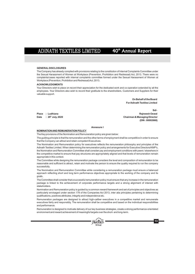### **GENERAL DISCLOSURES**

The Company has already complied with provisions relating to the constitution of Internal Complaints Committee under the Sexual Harassment of Women at Workplace (Prevention, Prohibition and Redressal) Act, 2013. There were no complaints/cases reported with internal complaints committee formed under the Sexual Harassment of Women at Workplace (Prevention, Prohibition and Redressal) Act, 2013.

### **ACKNOWLEDGMENTS**

Your Directors wish to place on record their appreciation for the dedicated work and co-operation extended by all the employees. Your Directors also wish to record their gratitude to the shareholders, Customers and Suppliers for their valuable support.

> **On Behalf of the Board For Adinath Textiles Limited**

**Sd/- Place : Ludhiana** Rajneesh Oswal **that because in 29<sup>th</sup> July, 2020 Chairman & Managing Director Chairman & Managing Director (DIN : 00002668)**

### **Annexure I**

### **NOMINATION AND REMUNERATION POLICY**

The Key provisions of the Nomination and Remuneration policy are given below:

The guiding principle is that the remuneration and the other terms of employment shall be competitive in order to ensure that the Company can attract and retain competent Executives.

The Nomination and Remuneration policy for executives reflects the remuneration philosophy and principles of the Adinath Textiles Limited. When determining the remuneration policy and arrangements for Executive Directors/KMP's, the Nomination and Remuneration Committee shall consider pay and employment conditions with peers / elsewhere in the competitive market to ensure that pay structures are appropriately aligned and that levels of remuneration remain appropriate in this context.

The Committee while designing the remuneration package considers the level and composition of remuneration to be reasonable and sufficient to attract, retain and motivate the person to ensure the quality required to run the company successfully.

The Nomination and Remuneration Committee while considering a remuneration package must ensure a balanced approach reflecting short and long term performance objectives appropriate to the working of the company and its goals.

The Committee shall consider that a successful remuneration policy must ensure that any increase in the remuneration package is linked to the achievement of corporate performance targets and a strong alignment of interest with stakeholders.

Nomination and Remuneration policy is guided by a common reward framework and set of principles and objectives as particularly envisaged under section 178 of the Companies Act 2013, inter alia principles pertaining to determining qualifications, positives attributes, integrity and independence etc.

Remuneration packages are designed to attract high-caliber executives in a competitive market and remunerate executives fairly and responsibly. The remuneration shall be competitive and based on the individual responsibilities and performance.

Remuneration is designed to motivate delivery of our key business strategies, create a strong performance-orientated environment and reward achievement of meaningful targets over the short- and long-term.



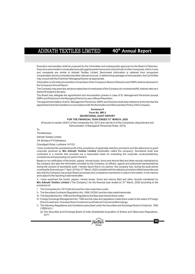Executive remuneration shall be proposed by the Committee and subsequently approved by the Board of Directors. Executive remuneration is evaluated annually against performance and a benchmark of other companies, which in size and complexity are similar to Adinath Textiles Limited. Benchmark information is obtained from recognized compensation service consultancies/other relevant sources. In determining packages of remuneration, the Committee may consult with the Chairman/ Managing Director as appropriate.

Information on the total remuneration of members of the Company's Board of Directors and KMPs shall be disclosed in the Company's Annual Report.

The Company may grant any advance salary/loan to employees of the Company at concessional/NILinterest rates as it deems fit subject to tax laws.

The Board may delegate the appointment and remuneration powers in case of Sr. Management Personnel (except KMPs and Directors) to the Managing Director by way of Board Resolution.

The appointment letters of all Sr. Management Personnel, KMPs and Directors shall draw reference to the fact that the appointment and remuneration is in accordance with the Nomination and Remuneration Policy of the Company.

### **Annexure II Form No. MR-3 SECRETARIAL AUDIT REPORT**

### FOR THE FINANCIAL YEAR ENDED 31<sup>st</sup> MARCH, 2020

[Pursuant to section 204(1) of the Companies Act, 2013 and rule No.9 of the Companies (Appointment and Remuneration of Managerial Personnel) Rules, 2014]

To,

The Members,

Adinath Textiles Limited

Vill. Bholapur PO Sahabana

Chandigarh Road, Ludhiana-141123

I have conducted the secretarial audit of the compliance of applicable statutory provisions and the adherence to good corporate practices by **M/s Adinath Textiles Limited** (hereinafter called the company). Secretarial Audit was conducted in a manner that provided me a reasonable basis for evaluating the corporate conducts/statutory compliances and expressing my opinion thereon.

Based on my verification of the books, papers, minute books, forms and returns filed and other records maintained by the company and also the information provided by the Company, its officers, agents and authorized representatives during the conduct of secretarial audit, I hereby report that in my opinion, the company has, during the audit period covering the financial year 1<sup>st</sup> April, 2019 to 31<sup>st</sup> March, 2020 complied with the statutory provisions listed hereunder and also that the Company has proper Board-processes and compliance-mechanism in place to the extent, in the manner and subject to the reporting made hereinafter:

**1**. I have examined the books, papers, minute books, forms and returns filed and other records maintained by M/s Adinath Textiles Limited ("The Company") for the financial year ended on 31<sup>st</sup> March, 2020 according to the provisions of:

I. The Companies Act, 2013 (the Act) and the rules made there under;

- II. The Securities Contracts (Regulation) Act, 1956 ('SCRA') and the rules made thereunder;
- III. The Depositories Act, 1996 and the Regulations and Bye-laws framed there under;
- IV. Foreign Exchange Management Act, 1999 and the rules and regulations made there under to the extent of Foreign Direct Investment, Overseas Direct Investment and External Commercial Borrowings;
- V. The following Regulations and Guidelines prescribed under the Securities and Exchange Board of India Act, 1992 ('SEBI Act'):-

(a) The Securities and Exchange Board of India (Substantial Acquisition of Shares and Takeovers) Regulations, 2011;

**Group**

®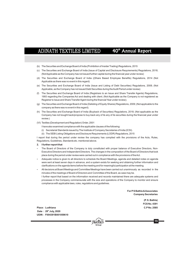- (b) The Securities and Exchange Board of India (Prohibition of Insider Trading) Regulations, 2015
- (c) The Securities and Exchange Board of India (Issue of Capital and Disclosure Requirements) Regulations, 2018; (Not Applicable as the Company has not issued further capital during the financial year under review)
- (d) The Securities and Exchange Board of India ((Share Based Employee Benefits) Regulations, 2014 (Not Applicable as there was no event in this regard)
- (e) The Securities and Exchange Board of India (Issue and Listing of Debt Securities) Regulations, 2008; (Not Applicable, as the Company has not issued Debt Securities during the Audit Period under review)
- (f) The Securities and Exchange Board of India (Registrars to an Issue and Share Transfer Agents) Regulations, 1993 regarding the Companies Act and dealing with client; (Not Applicable as the Company is not registered as Registrar to Issue and Share Transfer Agent during the financial Year under review);
- (g) The Securities and Exchange Board of India (Delisting of Equity Shares) Regulations, 2009; (Not applicable to the company as there was no event in this regard).
- (h) The Securities and Exchange Board of India (Buyback of Securities) Regulations, 2018; (Not applicable as the Company has not bought back/propose to buy-back any of its any of its securities during the financial year under review.)
- (VI) Textiles (Development and Regulation) Order, 2001
	- I have also examined compliance with the applicable clauses of the following:
	- (i) Secretarial Standards issued by The Institute of Company Secretaries of India (ICSI).
	- (ii) The SEBI Listing Obligations and Disclosure Requirements (LODR) Regulations, 2015

I report that during the period under review the company has complied with the provisions of the Acts, Rules, Regulations, Guidelines, Standards etc. mentioned above.

- **2. I further report that**
- The Board of Directors of the Company is duly constituted with proper balance of Executive Directors, Non-Executive Directors and Independent Directors. The changes in the composition of the Board of Directors that took place during the period under review were carried out in compliance with the provisions of the Act.
- Adequate notice is given to all directors to schedule the Board Meetings, agenda and detailed notes on agenda were sent at least seven days in advance, and a system exists for seeking and obtaining further information and clarifications on the agenda items before the meeting and for meaningful participation at the meeting.
- All decisions at Board Meetings and Committee Meetings have been carried out unanimously as recorded in the minutes of the meetings of Board of Directors and Committee of the Board, as case may be.

I further report that based on the information received and records maintained there are adequate systems and processes in the Company commensurate with the size and operations of the Company to monitor and ensure compliance with applicable laws, rules, regulations and guidelines.

> **For PS Bathla & Associates Company Secretaries**

> > **(P. S. Bathla) FCS No. 4391**

**Place : Ludhiana C.P No. 2585 th Date : 29 July, 2020 UDIN : F004391B001059610**



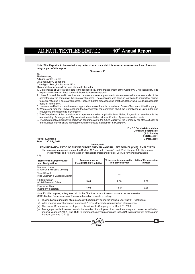40<sup>th</sup> Annual Report

**Note: This Report is to be read with my Letter of even date which is annexed as Annexure A and forms an integral part of this report.** 

### **'Annexure A'**

To, The Members, Adinath Textiles Limited Vill. Bhoapur PO Sahabana

Chandigarh Road, Ludhiana-141123

My report of even date is to be read along with this letter.

1. Maintenance of Secretarial record is the responsibility of the management of the Company. My responsibility is to express an opinion on these secretarial records based on my audit.

2. I have followed the audit practices and process as were appropriate to obtain reasonable assurance about the correctness of the contents of the Secretarial records. The verification was done on test basis to ensure that correct facts are reflected in secretarial records. I believe that the processes and practices, I followed, provide a reasonable basis for my opinion.

3. I have not verified the correctness and appropriateness of financial records and Books of Accounts of the Company.

4. Where ever required, I have obtained the Management representation about the Compliance of laws, rules and regulations and happening of events etc.

5. The Compliance of the provisions of Corporate and other applicable laws, Rules, Regulations, standards is the responsibility of management. My examination was limited to the verification of procedure on test basis.

6. The Secretarial Audit report is neither an assurance as to the future viability of the Company nor of the efficacy or effectiveness with which the management has conducted the affairs of the Company.

> **For PS Bathla & Associates (P. S. Bathla) FCS No. 4391 Company Secretaries**

> > **16**

 $Place: Ludhiana$ **th Date : 29 July, 2020** 

### **Annexure III**

**REMUNERATION RATIO OF THE DIRECTORS / KEY MANAGERIAL PERSONNEL (KMP) / EMPLOYEES**

The information required pursuant to Section 197 read with Rule 5 (1) and (2) of Chapter XIII, Companies (Appointment and Remuneration of Managerial Personnel) Rules, 2014, is furnished hereunder:

| Name of the Director/KMP<br>and Designation         | <b>Remuneration in</b><br>Fiscal 2019-20 $\bar{\tau}$ in lakhs | % Increase in remuneration Ratio of Remuneration<br>from previous year | to MRE# |
|-----------------------------------------------------|----------------------------------------------------------------|------------------------------------------------------------------------|---------|
| Raineesh Oswal<br>(Chairman & Managing Director)    |                                                                |                                                                        |         |
| Vishal Oswal<br>(Vice-Chairman & Managing Director) |                                                                |                                                                        |         |
| Rajesh Kumar<br>(Chief Financial Officer)           | 5.04                                                           | 7.38                                                                   | 2.82    |
| Parminder Singh<br>(Company Secretary)              | 4.05                                                           | 13.94                                                                  | 2.26    |

Note: For this purpose, sitting fees paid to the Directors have not been considered as remuneration. #MRE-Median Remuneration of Employee based on annualized salary.

(ii) The median remuneration of employees of the Company during the financial year was  $\bar{\tau}$  1.79 lakhs p.a;

(iii) In the financial year, there was a increase of 7.12 % in the median remuneration of employees;

(iv) There were 22 permanent employees on the rolls of the Company as on March 31, 2020;

(v) Average percentile increase made in the salaries of employees other than the managerial personnel in the last financial year i.e 2019-20 was 11.14 % whereas the percentile increase in the KMPs remuneration for the same financial year was 10.23 %.

> **Group MIRVAIZS**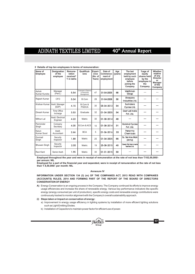| Name of<br><b>Employee</b> | <b>Designation</b><br>of the<br>employee | Remune-<br>ration<br>received*<br>₹ in lakhs | Qualificat-<br>ions                              | Experi-<br>ence<br>(No. of<br>Years) | Date of<br>Commence-<br>ment of<br>employment | Age<br>(years) | The last<br>employment<br>held by such<br>employee<br>before<br>joining the<br>Company | %age of<br>equity<br>shares held<br>by the<br>employee in<br>the<br>Company | Whether<br>relative<br>of any<br><b>Director</b><br>or<br><b>Manager</b><br>of the<br>Company |
|----------------------------|------------------------------------------|----------------------------------------------|--------------------------------------------------|--------------------------------------|-----------------------------------------------|----------------|----------------------------------------------------------------------------------------|-----------------------------------------------------------------------------|-----------------------------------------------------------------------------------------------|
| Ashok<br>Kumar Kundra      | Manager<br>(Pers.)                       | 5.54                                         | Graduate & Diploma<br>in Personnel<br>Management | 47                                   | 01-04-2005                                    | 68             | Vardhman<br>Group                                                                      |                                                                             |                                                                                               |
| Rajesh Kumar               | CFO                                      | 5.04                                         | B.Com                                            | 28                                   | 01-04-2008                                    | 50             | Shreyans<br>Industries Ltd.                                                            |                                                                             | ---                                                                                           |
| Krishan Kumar              | Asstt. Manager<br>(EDP)                  | 4.15                                         | B.Com &<br>PGDCA                                 | 30                                   | 05-04-2013                                    | 54             | Surindera<br>Cycles Ltd.                                                               |                                                                             | ---                                                                                           |
| Dinesh Kumar               | Time Office<br>Incharge                  | 3.53                                         | Graduate                                         | 32                                   | $01 - 04 - 2005$                              | 54             | Dext Lali India<br>Pvt. Ltd.                                                           |                                                                             | ---                                                                                           |
| Mithun Lal                 | Asstt. Electrical<br>Engineer            | 4.22                                         | Matric                                           | 30                                   | 01-08-2014                                    | 48             |                                                                                        |                                                                             |                                                                                               |
| Parminder<br>Singh         | Company<br>Secretary                     | 4.05                                         | <b>B.Com &amp; ACS</b>                           | 10                                   | $01 - 08 - 2014$                              | 31             | Gobind Cycles<br>Pvt. Ltd.                                                             |                                                                             |                                                                                               |
| Karun<br>Kumar Sood        | Asstt.<br>Accountant                     | 2.66                                         | <b>BCA</b>                                       | 5                                    | 01-06-2016                                    | 33             | Panor ma<br>Chemicals                                                                  |                                                                             | ---                                                                                           |
| Gurmail<br>Singh           | Security<br>Inspector                    | 1.88                                         | Matric                                           | 25                                   | $01 - 04 - 2005$                              | 66             | Ex. Service Man<br>(Army)                                                              | ---                                                                         |                                                                                               |
| <b>Bhuwan Singh</b>        | Security<br>Inspector                    | 2.00                                         | Matric                                           | 19                                   | 25-08-2015                                    | 40             | Oswal FM Hammerle<br>Textlles Ltd.                                                     | ---                                                                         |                                                                                               |
| Ravi Kant                  | Senior Asstt.                            | 1.95                                         | Matric                                           | 30                                   | $01 - 01 - 2015$                              | 50             |                                                                                        |                                                                             |                                                                                               |

### **2 Details of top ten employees in terms of remuneration:**

Employed throughout the year and were in receipt of remuneration at the rate of not less than ₹102,00,000/**per annum: NIL**

**Employed for a part of the financial year and separated, were in receipt of remuneration at the rate of not less than 8,50,000/- per month: NIL** F

### **Annexure IV**

**INFORMATION UNDER SECTION 134 (3) (m) OF THE COMPANIES ACT, 2013 READ WITH COMPANIES (ACCOUNTS) RULES, 2014 AND FORMING PART OF THE REPORT OF THE BOARD OF DIRECTORS CONSERVATION OF ENERGY**

**A)** Energy Conservation is an ongoing process in the Company. The Company continued its efforts to improve energy usage efficiencies and increase the share of renewable energy. Various key performance indicators like specific energy (energy consumed per unit of production), specific energy costs and renewable energy contributions were continuously tracked to monitor alignment with the Company's overall sustainability approach.

### **(i) Steps taken or impact on conservation of energy:**

a) Improvement in energy usage efficiency in lighting systems by installation of more efficient lighting solutions such as Light Emitting Diodes.

**Group**

®

**17**

b) Installation of Capacitors to maintain power factor for efficient use of power.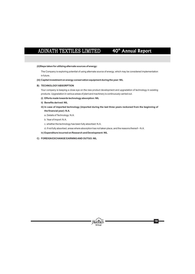### **(ii)Steps taken for utilizing alternate sources of energy:**

The Company is exploring potential of using alternate source of energy, which may be considered implementation in future.

### **(iii) Capital investment on energy conservation equipment during the year: NIL**

### **B) TECHNOLOGYABSORPTION**

Your company is keeping a close eye on the new product development and upgradation of technology in existing products. Upgradation in various areas of plant and machinery is continuously carried out.

- **(i) Efforts made towards technology absorption: NIL**
- **ii) Benefits derived: NIL**
- **iii) In case of imported technology (imported during the last three years reckoned from the beginning of the financial year): N.A.**
	- a. Details of Technology: N.A.
	- b. Year of Import: N.A.
	- c. whether the technology has been fully absorbed: N.A.

d. if not fully absorbed, areas where absorption has not taken place, and the reasons thereof – N.A.

**Group**

®

- **iv) Expenditure incurred on Research and Development: NIL**
- **C) FOREIGN EXCHANGE EARNING AND OUTGO: NIL**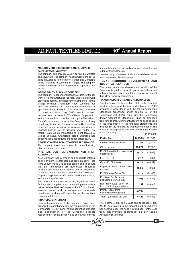# **MANAGEMENT DISCUSSIONS AND ANALYSIS**

**OVERVIEW OF INDUSTRY judgments used therein**<br>The company primarily operates in spinning of worsted However, any unforesee and spun yarn. The company has manufacturing set up factors may alter these judgments. base in Ludhiana in the state of Punjab and Corporate Office is located in Ludhiana in Punjab. The company has devoted major part of its production capacity to Job

The company is dependent upon the orders for the job that is free from any harassment. work for its manufacturing facilities. Due to no job work **FINANCIAL PERFORMANCE AND ANALYSIS**<br>
orders and accumulating losses the Company's Plant at<br>
Village Rholanur Chandigarh Road Ludhiana has The discussions in this section relate to the financial Village Bholapur, Chandigarh Road, Ludhiana, has The discussions in this section relate to the financial<br>heen shut down and the Company has discontinued its results pertaining to the year ended March 31,2020 been shut down and the Company has discontinued its results pertaining to the year ended March 31,2020<br>operations during the EX 2019-20 In view of outbreak of prepared in accordance with the Indian Accounting operations during the FY 2019-20. In view of outbreak of Corona virus disease 2019 (COVID-19) which has been Standards prescribed under section 33 of the declared as a pandemic by World Health Organization Companies Act, 2013, read with the Companies declared as a pandemic by World Health Organization Companies Act, 2013, read with the Companies<br>and subsequent lockdown imposed by the Central and [Indian Accounting Standards] Rules, as amended and subsequent lockdown imposed by the Central and [Indian Accounting Standards] Rules, as amended<br>State Government(s) in India, the Company is closely from time to time. Significant accounting policies used State Government(s) in India, the Company is closely from time to time. Significant accounting policies used monitoring the impact of this pandemic and believes that in the preparation of the financial statements are monitoring the impact of this pandemic and believes that there has been no significant adverse impact on its disclosed in the notes to the financial statements. The financial position for the financial year ended 31st following table gives as overview of the financial result March, 2020 as its manufacturing plant located at Village Bholapur, Chandigarh Road, Ludhiana had already been closed prior to imposition of lockdown.

**SEGMENTWISE- PRODUCTWISE PERFORMANCE** The company has only one segment i.e. manufacturing of Acrylic and worsted yarn.

### **INTERNAL CONTROL SYSTEMS AND THEIR ADEQUACY**

Your Company has a proper and adequate internal control system to safeguard and protect against loss from unauthorized use or disposition and to ensure that all transactions are authorized, recorded correctly and adequately. Internal control is designed to ensure that financial and other records are reliable for preparing financial information and for maintaining accountability of assets.

The internal audit report, plans, significant audit findings and compliance with accounting standards is in turn reviewed by the Company's Audit Committee to ensure proper audit coverage and adequate consideration along with execution of the auditors' recommendations.

### **FINANCIALSTATEMENT**

prepared in compliance with the requirements of the 24.39 Lacs relating to the discontinued period have<br>Companies Act, 2013 and Indian accounting standard been shown under the head "Profit/(Loss) for the year The management of the Company accepts from discontinued operations" as per Indian responsibility for the integrity and objectivity of these Accounting Standards.

financial statements, as well as various estimates and

However, any unforeseen and uncontrollable external

### **HUMAN RESOURCE DEVELOPMENT AND INDUSTRIAL RELATIONS**

has devoted major part of its production capacity to Job The human resources development function of the works.<br>Company is guided by a strong set of values and policies Your company maintains a work environment policies. Your company maintains a work environment

 $(7$  in lakhs)

| <b>Particulars</b>                                         | 2019-20 | 2018-19 |
|------------------------------------------------------------|---------|---------|
| Income from Operations                                     |         | 74.47   |
| Other Income                                               | 138.71  | 117.32  |
| Profit/ (Loss) before interest &<br>depreciation           | 19.36   | (35.08) |
| Less Interest                                              | 0.12    | 5.83    |
| Gross Profit/ (Loss)                                       | 19.24   | (40.91) |
| Depreciation and amortization<br>expense                   | 18.96   | 20.54   |
| Profit/ (Loss) Before Tax                                  | 0.28    | (61.45) |
| Provision For Taxation<br>(including deferred tax)         | (1.63)  | (15.86) |
| Net Profit/ (Loss) after Tax<br>from continuing opreations | 1.91    | (45.59) |
| Profit / (Loss) from<br>discontinued operations            | (8.73)  |         |
| Profit / (Loss) for the year                               | (6.82)  | (45.59) |

Financial statements of the company have been The income of Rs. 15.66 Lacs and expenses of Rs. been shown under the head "Profit/(Loss) for the year



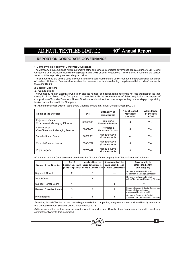# **REPORT ON CORPORATE GOVERNANCE**

### **1. Company's philosophy of Corporate Governance**

The Company is in compliance with requirements of the guidelines on corporate governance stipulated under SEBI (Listing Obligations and Disclosure Requirements) Regulations, 2015 ('Listing Regulations'). The status with regard to the various aspects of the corporate governance is given below.

The company has laid down a code of conduct for all its Board Members and senior management personnel for avoidance of conflicts of interests. Company has received the necessary declaration affirming compliance with the code of conduct for the year 2019-20.

### **2. Board of Directors**

### **(a) Composition:**

The Company has an Executive Chairman and the number of independent directors is not less than half of the total strength of the Board. The Company has complied with the requirements of listing regulations in respect of composition of Board of Directors. None of the independent directors have any pecuniary relationship (except sitting fee) or transactions with the Company.

(b) Attendance of each Director at the Board Meetings and the last Annual General Meeting (AGM):

| Name of the Director                              | <b>DIN</b> | Category of<br>Directorship             | No. of Board<br><b>Meetings</b><br>attended | <b>Attendance</b><br>at the last<br><b>AGM</b> |
|---------------------------------------------------|------------|-----------------------------------------|---------------------------------------------|------------------------------------------------|
| Raineesh Oswal<br>Chairman & Managing Director    | 00002668   | Promoter &<br><b>Executive Director</b> | 4                                           | Yes                                            |
| Vishal Oswal<br>Vice-Chairman & Managing Director | 00002678   | Promoter &<br><b>Executive Director</b> | 4                                           | Yes                                            |
| Surinder Kumar Sekhri                             | 00002601   | Non Executive<br>(Independent)          | 4                                           | Yes                                            |
| Ramesh Chander Juneja                             | 07804729   | Non Executive<br>(Independent)          | 4                                           | Yes                                            |
| Priya Begana                                      | 07706647   | Non Executive<br>(Independent)          | 4                                           | Yes                                            |

(c) Number of other Companies or Committees the Director of the Company is a Director/Member/Chairman: -

| Name of the Director  | No. of<br>Directorships in all | Membership of the<br><b>Board Committees in</b><br>public companies# all Public Companies## all Public Companies** | Chairmanship of the<br><b>Board Committees in</b> | Directorship in<br>other listed entity<br>and category                                                      |
|-----------------------|--------------------------------|--------------------------------------------------------------------------------------------------------------------|---------------------------------------------------|-------------------------------------------------------------------------------------------------------------|
| Raineesh Oswal        |                                |                                                                                                                    |                                                   | Shreyans Industries Limited<br>(Chairman & Managing Director)                                               |
| Vishal Oswal          |                                |                                                                                                                    |                                                   | Shreyans Industries Limited<br>(Vice-Chairman & Managing Director)                                          |
| Surinder Kumar Sekhri |                                |                                                                                                                    |                                                   |                                                                                                             |
| Ramesh Chander Juneja | 3                              |                                                                                                                    |                                                   | Shreyans Financial & Capital Services Ltd.<br>Shreyans Industries Limited<br>(Independent Director in both) |
| Priya Begana          |                                |                                                                                                                    |                                                   | Shreyans Financial & Capital<br>Services Ltd. (Independent Director)                                        |

#including Adinath Textiles Ltd. and excluding private limited companies, foreign companies, unlimited liability companies and Companies under Section 8 of the Companies Act, 2013.

##Board committee for this purpose includes Audit Committee and Stakeholder's Relationship Committee (including committees of Adinath Textiles Limited).

**Group**

®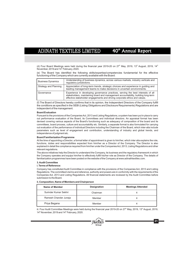(d) Four Board Meetings were held during the financial year 2019-20 on 27<sup>th</sup> May, 2019, 13<sup>th</sup> August, 2019, 14<sup>th</sup> November, 2019 and 14<sup>th</sup> February, 2020.

(e) The Board has identified the following skills/expertise/competencies fundamental for the effective functioning of the Company which are currently available with the Board:

| <b>Business Dynamics</b> | Understanding of business dynamics, across various markets, industry verticals and<br>regulatory jurisdictions.                                                                                                                                     |
|--------------------------|-----------------------------------------------------------------------------------------------------------------------------------------------------------------------------------------------------------------------------------------------------|
| Strategy and Planning    | Appreciation of long-term trends, strategic choices and experience in quiding and<br>leading management teams to make decisions in uncertain environments.                                                                                          |
| Governance               | Experience in developing governance practices, serving the best interests of all<br>stakeholders, maintaining board and management accountability, building long-term<br>effective stakeholder engagements and driving corporate ethics and values. |

(f) The Board of Directors hereby confirms that in its opinion, the Independent Directors of the Company fulfill the conditions as specified in the SEBI (Listing Obligations and Disclosure Requirements) Regulations and are independent of the management.

### **Board Evaluation**

Pursuant to the provisions of the Companies Act, 2013 and Listing Regulations, a system has been put in place to carry out performance evaluation of the Board, its Committees and individual directors. An appraisal format has been devised covering various aspects of the Board's functioning such as adequacy of composition of the board and its committees, board process, culture and accountability etc. Similarly, a separate format is also formulated for carrying out evaluation of the performance of individual Directors including the Chairman of the Board, which inter-alia include parameters such as level of engagement and contribution, understanding of industry and global trends, and independence of judgment etc.

### **Board Familiarization Programme**

At the time of appointing a Director, a formal letter of appointment is given to him/her, which inter alia explains the role, functions, duties and responsibilities expected from him/her as a Director of the Company. The Director is also explained in detail the compliance required from him/her under the Companies Act, 2013, Listing Regulations and other relevant regulations.

The above initiatives help the Director to understand the Company, its business and the regulatory framework in which the Company operates and equips him/her to effectively fulfill his/her role as Director of the Company. The details of familiarization programmes have been posted on the website of the Company at www.adinathtextiles.com.

### **3. Audit Committee**

### **i. Terms of Reference:**

Company has constituted Audit Committee in compliance with the provisions of the Companies Act, 2013 and Listing Regulations. The committee's terms and reference, authority and powers are in conformity with the requirements of the Companies Act, 2013 and Listing Regulations. All financial statements are reviewed by the Audit Committee before submission to the Board.

### **ii. Composition, Name of Members and Chairperson**

| Name of Member        | <b>Designation</b> | <b>Meetings Attended</b> |
|-----------------------|--------------------|--------------------------|
| Surinder Kumar Sekhri | Chairman           |                          |
| Ramesh Chander Juneja | Member             |                          |
| Priya Begana          | Member             |                          |

iii. Four Audit Committee Meetings were held during the financial year 2019-20 on 27<sup>th</sup> May, 2019, 13<sup>th</sup> August, 2019,  $14<sup>th</sup>$  November, 2019 and  $14<sup>th</sup>$  February, 2020.



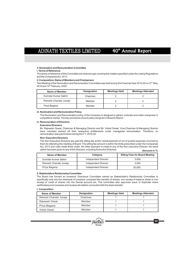### **4. Nomination and Remuneration Committee**

### **i. Terms of Reference:**

The terms of reference of this Committee are wide enough covering the matters specified under the Listing Regulations and the Companies Act, 2013.

### **ii. Composition, Name of Members and Chairperson**

Two Meeting of the Nomination and Remuneration Committee was held during the Financial Year 2019-20 on  $27<sup>m</sup>$  May, 2019 and 14<sup>th</sup> February, 2020.

| Name of Member        | <b>Designation</b> | <b>Meetings Held</b> | <b>Meetings Attended</b> |
|-----------------------|--------------------|----------------------|--------------------------|
| Surinder Kumar Sekhri | Chairman           |                      |                          |
| Ramesh Chander Juneja | Member             |                      |                          |
| Priya Begana          | Member             |                      |                          |

### **iii. Nomination and Remuneration Policy**

The Nomination and Remuneration policy of the Company is designed to attract, motivate and retain manpower in competitive market. The Key provisions of such policy are given in Board's Report.

### **iv. Remuneration of Directors**

### **Executive Directors**

Mr. Rajneesh Oswal, Chairman & Managing Director and Mr. Vishal Oswal, Vice-Chairman & Managing Director have voluntary waived off their respective entitlements under managerial remuneration. Therefore, no remuneration was paid to them during the F.Y. 2019-20.

### **Non- Executive Directors**

The Non Executive Directors are paid the sitting fee and/or reimbursement of out of pocket expenses incurred by them for attending the meeting of Board. The sitting fee amount is within the limits prescribed under the Companies Act, 2013 and rules made there under. No other payment is made to any of the Non executive Director. No stock option has been given to any of the Directors, including Executive Directors. **(Amount in** F**)**

| Name of Member        | Category                    | <b>Sitting Fees for Board Meeting</b> |
|-----------------------|-----------------------------|---------------------------------------|
| Surinder Kumar Sekhri | <b>Independent Director</b> | 3.000                                 |
| Ramesh Chander Juneja | <b>Independent Director</b> | 3.000                                 |
| Priya Begana          | <b>Independent Director</b> | 30,000                                |

### **5. Stakeholders Relationship Committee**

The Board has formed an investors' Grievance Committee named as Stakeholder's Relationship Committee to specifically look into the redressal of investors' complaint like transfer of shares, non receipt of balance sheet or non receipt of credit of shares into the Demat account etc. The committee also approves issue of duplicate share certificate(s) and oversees and reviews all matters connected with the share transfer.

### **I. Composition**

| Name of Member        | <b>Designation</b> | <b>Meetings Held</b> | <b>Meetings Attended</b> |
|-----------------------|--------------------|----------------------|--------------------------|
| Ramesh Chander Juneja | Chairman           |                      |                          |
| Rajneesh Oswal        | Member             |                      |                          |
| Priya Begana          | Member             |                      |                          |
| Vishal Oswal          | Member             |                      |                          |



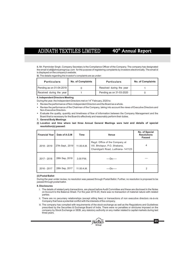**ii.**  Mr. Parminder Singh, Company Secretary is the Compliance Officer of the Company. The company has designated the email id atl@shreyansgroup.com for the purpose of registering complaints by investors electronically. The email id is displayed on the company's website.

**iii.**  The details regarding the investor's complaints are as under:

| <b>Particulars</b>       | <b>No. of Complaints</b> | <b>Particulars</b>       | <b>No. of Complaints</b> |
|--------------------------|--------------------------|--------------------------|--------------------------|
| Pending as on 01-04-2019 |                          | Resolved during the year |                          |
| Received during the year | Pending as on 31-03-2020 |                          |                          |

**6. Independent Directors Meeting**

During the year, the Independent Directors met on 14<sup>th</sup> February, 2020 to:

- Review the performance of Non-Independent Directors and the Board as a whole.
- Revi<br>• Revi<br>Mon<br>• Eval Review the performance of the Chairman of the Company, taking into account the views of Executive Directors and Non-Executive Directors.
- Evaluate the quality, quantity and timeliness of flow of information between the Company Management and the Board that is necessary for the Board to effectively and reasonably perform their duties.
- **7. General Body Meetings**
- **(I) Location and time where last three Annual General Meetings were held and details of special resolution(s) passed:**

| <b>Financial Year</b> | Date of A.G.M    | <b>Time</b> | Venue                                                                                                | No. of Special<br><b>Resolutions</b><br><b>Passed</b> |
|-----------------------|------------------|-------------|------------------------------------------------------------------------------------------------------|-------------------------------------------------------|
| 2018 - 2019           | 27th Sept., 2019 | 11.00 A.M.  | Regd. Office of the Company at<br>Vill. Bholapur, P.O. Shabana,<br>Chandigarh Road, Ludhiana- 141123 | 4                                                     |
| 2017 - 2018           | 28th Sep, 2018   | $3.00$ P.M. | -----∩∩------                                                                                        |                                                       |
| 2016 - 2017           | 28th Sep, 2017   | 11.00 A.M.  | -----∩∩------                                                                                        | 2                                                     |

### **(ii) Postal Ballot**

During the year under review, no resolution was passed through Postal Ballot. Further, no resolution is proposed to be passed through postal ballot.

### **8. Disclosures**

- i. The details of related party transactions, are placed before Audit Committee and these are disclosed in the Notes on Account to the Balance Sheet. For the year 2019-20, there was no transaction of material nature with related parties.
- ii. There are no pecuniary relationships (except sitting fees) or transactions of non executive directors vis-à-vis Company that have a potential conflict with the interests of the company.
- iii. The company has complied with requirements of the stock exchange as well as the Regulations and Guidelines prescribed by the Securities & Exchange Board of India. There were no penalties or strictures imposed on the company by Stock Exchange or SEBI, any statutory authority on any matter related to capital markets during last three years.

**Group**

®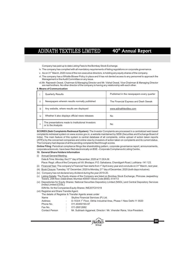Company has paid up to date Listing Fees to the Bombay Stock Exchange.

- iv. The company has complied with all mandatory requirements of listing regulations on corporate governance.
- v. As on 31<sup>st</sup> March, 2020 none of the non-executive directors, is holding any equity shares of the company.
- vi. The company has a Whistle Blower Policy in place and it has not denied access to any personnel to approach the Management or the Audit Committee on any issue.
- Mr. Rajneesh Oswal, Chairman & Managing Director and Mr. Vishal Oswal, Vice-Chairman & Managing Director vii. are real brothers. No other director of the company is having any relationship with each other.

### **9. Means of Communication**

|     | <b>Quarterly Results</b>                                                | Published in the newspapers every quarter |
|-----|-------------------------------------------------------------------------|-------------------------------------------|
| ii  | Newspapers wherein results normally published                           | The Financial Express and Desh Sewak      |
| iii | Any website, where results are displayed                                | www.adinathtextiles.com                   |
| iv  | Whether it also displays official news releases                         | No                                        |
|     | The presentations made to Institutional Investors<br>or to the Analysts | No                                        |

**SCORES (Sebi Complaints Redressal System):** The Investor Complaints are processed in a centralized web based complaints redressal system on www.scores.gov.in, a website maintained by SEBI (Securities and Exchange Board of India). The main feature of this system is central database of all complaints, online upload of action taken reports (ATR's) by the concerned companies and online view by investors of action taken on complaints and its current status. The Company had dispose of all the pending complaints filed through scores.

**Online Filing**: Periodical compliance filings like shareholding pattern, corporate governance report, announcements, corporate actions etc. have been filed electronically on BSE –Corporate Compliance & Listing Centre.

### **10. General Share Holders Information**

- (i) Annual General Meeting: Date & Time: Monday, the 21<sup>st</sup> day of December, 2020 at 11:00 A.M. Place: Regd. office of the Company at ViII. Bholapur, P.O. Sahabana, Chandigarh Road, Ludhiana -141 123.
- (ii) Financial Year: The company's Financial Year starts from 1<sup>st</sup> April every year and conclude on 31<sup>st</sup> March, next year.
- (iii) Book Closure: Tuesday, 15<sup>th</sup> December, 2020 to Monday, 21<sup>st</sup> day of December, 2020 (both days inclusive).
- (iv) Company has not declared any dividend during the year 2019-20.
- (v) Listing Details: The Equity shares of the Company are listed on Bombay Stock Exchange, Phirozee Jeejeebhoy Towers, 25th floor, Dalal street, Mumbai-400001 Stock Code (BSE): 514113
- (vi) Depositories for Equity Shares: National Securities Depository Limited (NSDL) and Central Depository Services (India) Limited (CDSL)

### ISIN No. for the Companies Equity Shares: INE207C01019

(vii) Registrar and Share Transfer Agent.

The details of Registrar & Transfer Agents areas under

- Name : Skyline Financial Services (P) Ltd.
- Address : D-153/A 1<sup>st</sup> Floor, Okhla Industrial Area, Phase-1 New Delhi-11 0020
- Phone No. : 011-40450193-97
- Fax No. : 011-26812682
- Contact Person : Mr. Subhash Aggarwal, Director / Mr. Virender Rana, Vice-President.

**Group**

®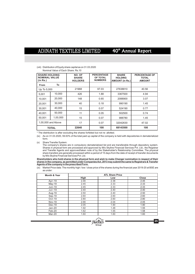### (viii) Distribution of Equity share capital as on 31.03.2020 Nominal Value of Each Share: Rs.10

| <b>SHARE HOLDING</b><br><b>NOMINAL VALUE</b><br>(in Rs.) |                    | NO. OF<br><b>SHARE</b><br><b>HOLDERS</b> | <b>PERCENTAGE</b><br>OF TOTAL<br><b>NUMBERS</b> | <b>SHARE</b><br><b>HOLDING</b><br><b>AMOUNT (in Rs.)</b> | <b>PERCENTAGE OF</b><br><b>TOTAL</b><br><b>AMOUNT</b> |
|----------------------------------------------------------|--------------------|------------------------------------------|-------------------------------------------------|----------------------------------------------------------|-------------------------------------------------------|
| <b>From</b>                                              | To                 |                                          |                                                 |                                                          |                                                       |
| Up To 5,000                                              |                    | 21968                                    | 97.03                                           | 27638810                                                 | 40.56                                                 |
| 5,001                                                    | 10.000             | 426                                      | 1.88                                            | 3367500                                                  | 4.94                                                  |
| 10.001                                                   | 20,000             | 148                                      | 0.65                                            | 2088900                                                  | 3.07                                                  |
| 20.001                                                   | 30,000             | 40                                       | 0.18                                            | 990190                                                   | 1.45                                                  |
| 30.001                                                   | 40,000             | 15                                       | 0.07                                            | 524190                                                   | 0.77                                                  |
| 40.001                                                   | 50,000             | 11                                       | 0.05                                            | 502500                                                   | 0.74                                                  |
| 50,001                                                   | 1,00,000           | 15                                       | 0.07                                            | 988780                                                   | 1.45                                                  |
|                                                          | 1.00.000 and Above | 17                                       | 0.07                                            | 32042630                                                 | 47.02                                                 |
|                                                          | <b>TOTAL</b>       | 22640                                    | 100                                             | 68143500                                                 | 100                                                   |

\* The distribution is after excluding the shares forfeited but not re- allotted.

As on 31.03.2020, 59.63% of the total paid up capital of the company is held with depositories in dematerialized (ix) form.

(x) Share Transfer System:

The company's shares are in compulsory dematerialized list and are transferable through depository system. Shares in physical form are processed and approved by M/s Skyline Financial Services Pvt. Ltd., the Registrar and Transfer Agents and approved/taken note of by the Stakeholder's Relationship Committee. The physical share transfers are generally processed within a period of 15 days from the date of receipt of transfer documents by M/s Skyline Financial Services Pvt. Ltd.

**Shareholders who hold shares in the physical form and wish to make Change/ nomination in respect of their shares in the company, as permitted under Companies Act, 2013 may submit the same to Registrars & Transfer Agents of the company in the prescribed Form.**

(xi) Market Price data: The monthly high / low / close price of the shares during the financial year 2019-20 at BSE are as under:

| <b>Month &amp; Year</b> | <b>ATL Share Price</b> |      |       |
|-------------------------|------------------------|------|-------|
|                         | High                   | Low  | Close |
| Apr-19                  | 2.46                   | 2.38 | 2.45  |
| May-19                  | 2.45                   | 2.33 | 2.33  |
| $Jun-19$                | 2.45                   | 2.33 | 2.33  |
| $Jul-19$                | 2.40                   | 2.40 | 2.40  |
| Aug-19                  | 2.50                   | 2.40 | 2.50  |
| Sep-19                  | 2.60                   | 2.60 | 2.60  |
| $Oct-19$                | 2.80                   | 2.60 | 2.80  |
| <b>Nov-19</b>           | 2.66                   | 2.04 | 2.05  |
| Dec-19                  | 2.05                   | 1.90 | 1.90  |
| $Jan-20$                | 1.92                   | 1.48 | 1.55  |
| Feb-20                  | 1.62                   | 1.55 | 1.58  |
| Mar-20                  | 1.60                   | 1.60 | 1.60  |



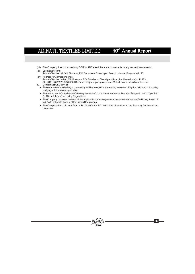- (xii) The Company has not issued any GDR's / ADR's and there are no warrants or any convertible warrants. (xiii) Location of Plant:
- (xiv) Address for Correspondence: Adinath Textiles Ltd., Vill. Bholapur, P.O. Sahabana, Chandigarh Road, Ludhiana (Punjab) 141 123
- Adinath Textiles Limited, Vill. Bholapur, P.O. Sahabana, Chandigarh Road, Ludhiana (India) -141 123 Ph. (0161) 2685270, 9876100948, Email: atl@shreyansgroup.com, Website: www.adinathtextiles.com 12. OTHER DISCLOSURES
- **. OTHER DISCLOSURES**<br>● The company is not dealing in commodity and hence disclosure relating to commodity price risks and commodity
- lhedging activities is not applicable. There is no Non- Compliance of any requirement of Corporate Governance Report of Sub para (2) to (10) of Part
- C of Schedule V of the Listing Regulations. The Company has complied with all the ap • The Company has complied with all the applicable corporate governance requirements specified in regulation 17<br>to 27 with schedule II and V of the Listing Regulations.
- to 27 with schedule II and V of the Listing Regulations.<br>● The Company has paid total fees of Rs. 55,000/- for FY 2019-20 for all services to the Statutory Auditors of the Company.

**Group**

®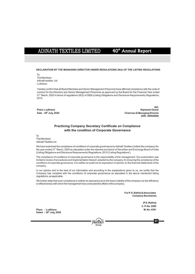# 40<sup>th</sup> Annual Report

**DECLARATION BY THE MANAGING DIRECTOR UNDER REGULATIONS 26(3) OF THE LISTING REGULATIONS**

To, The Members, Adinath textiles Ltd. Ludhiana.

I hereby confirm that all Board Members and Senior Management Personnel have affirmed compliance with the code of conduct for the Directors and Senior Management Personnel as approved by the Board for the Financial Year ended 31<sup>st</sup> March, 2020 in terms of regulations 26(3) of SEBI (Listing Obligations and Disclosure Requirements) Regulations, 2015.

**Sd/- Place: Ludhiana Rajneesh Oswal th Date : 29 July, 2020 Chairman & Managing Director (DIN : 00002668)**

### **Practicing Company Secretary Certificate on Compliance with the condition of Corporate Governance**

To

The Members Adinath Textiles Ltd

We have examined the compliance of conditions of corporate governance by Adinath Textiles Limited (the company) for the year ended 31<sup>st</sup> March, 2020 as stipulated under the relevant provisions of Securities and Exchange Board of India (Listing Obligations and Disclosure Requirements) Regulations, 2015 ('Listing Regulations').

The compliance of conditions of corporate governance is the responsibility of the management. Our examination was limited to review of procedures and implementation thereof, adopted by the company, for ensuring the compliance of the conditions of corporate governance. It is neither an audit not an expression of opinion on the financial statements of the company.

In our opinion and to the best of our information and according to the explanations given to us, we certify that the Company has complied with the conditions of corporate governance as stipulated in the above mentioned listing regulations, as applicable.

We further state that such compliance is neither an assurance as to the future viability of the company nor the efficiency or effectiveness with which the management has conducted the affairs of the company.

> **For P. S. Bathla & Associates Company Secretaries**

> > **(P.S. Bathla) C. P. No. 2585**

**Place : Ludhiana M. No. 4391 th Dated : 29 July, 2020**



**27**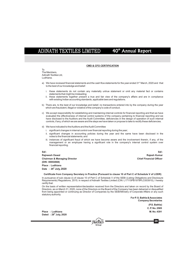# 40<sup>th</sup> Annual Report

### **CMD & CFO CERTIFICATION**

To The Members, Adinath Textiles Ltd, Ludhiana.

- a) We have reviewed financial statements and the cash flow statements for the year ended 31<sup>st</sup> March, 2020 and that to the best of our knowledge and belief:
	- i. these statements do not contain any materially untrue statement or omit any material fact or contains statements that might be misleading;
	- ii. these statements together present a true and fair view of the company's affairs and are in compliance with existing Indian accounting standards, applicable laws and regulations.
- b) There are, to the best of our knowledge and belief, no transactions entered into by the company during the year which are fraudulent, illegal or violative of the company's code of conduct.
- c) We accept responsibility for establishing and maintaining internal controls for financial reporting and that we have evaluated the effectiveness of internal control systems of the company pertaining to financial reporting and we have disclosed to the Auditors and the Audit Committee, deficiencies in the design of operation of such internal controls, if any, of which we are aware and the steps we have taken or propose to take to rectify these deficiencies.
- d) We have indicated to the Auditors and the Audit Committee
	- i. significant changes in internal control over financial reporting during the year;
	- ii. significant changes in accounting policies during the year and the same have been disclosed in the notes to the financial statements; and
	- iii. instances of significant fraud of which we have become aware and the involvement therein, if any, of the management or an employee having a significant role in the company's internal control system over financial reporting.

**Rajneesh Oswal Rajesh Kumar Chairman & Managing Director Chief Financial Officer (DIN : 00002668) Place : Ludhiana th Date : 29 July, 2020**

**Sd/- Sd/-**

**Certificate from Company Secretary in Practice (Pursuant to clause 10 of Part C of Schedule V of LODR)**

In pursuance of sub clause (i) of clause 10 of Part C of Schedule V of the SEBI (Listing Obligations and Disclosure Requirements) Regulations, 2015; in respect of Adinath Textiles Limited (CIN: L17115PB1979PLC003910), I hereby certify that:

On the basis of written representation/declaration received from the Directors and taken on record by the Board of Directors, as on March 31, 2020, none of the Directors on the Board of the Company has been debarred or disqualified from being appointed or continuing as Director of Companies by the SEBI/Ministry of Corporate Affairs or any such statutory authority.

> **For P. S. Bathla & Associates Company Secretaries**

> > **(P.S. Bathla) C. P. No. 2585**

**Place : Ludhiana M. No. 4391 th Dated : 29 July, 2020**



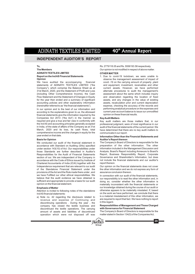40<sup>th</sup> Annual Report

### **INDEPENDENT AUDITOR'S REPORT**

# **ADINATH TEXTILES LIMITED OTHER MATTER**

We have audited the accompanying financial covid -19 on the carrying amount of property ,plant statements of ADINATH TEXTILES LIMITED ("the and equipment, investment, receivables and other statements of ADINATH TEXTILES LIMITED ("the Company"), which comprise the Balance Sheet as at current assets. However, we have performed 31st March, 2020, and the Statement of Profit and Loss alternate procedures to audit the management's (including Other Comprehensive Income), the Cash assessment about the same which includes inquiry Flow Statement and the Statement of Changes in Equity and observation regarding the location of fixed<br>for the vear then ended and a summary of significant assets, and any changes in the value of existing for the year then ended and a summary of significant

according to the explanations given to us, the aforesaid current year account balance to is<br>financial statements give the information required by the opinion on these financial results. financial statements give the information required by the Companies Act 2013 ("the Act") in the manner so **Key Audit Matters** required and give a true and fair view in conformity with Key audit matters are those matters that, in our the Ind AS and accounting principles generally accepted professional judgment, were of most significance in our the Ind AS and accounting principles generally accepted professional judgment, were of most significance in our<br>in India, of the state of affairs of the Company as at 31st audit of the financial statements of the current p in India, of the state of affairs of the Company as at 31st audit of the financial statements of the current period. We March, 2020 and its loss, its cash flows, total have determined that there are no key audit matters to comprehensive income and the changes in equity for the communicate in our report.

**Basis for Opinion Auditor's Report thereon** accordance with Standard on Auditing (SAs) specified under section 143(10) of Act. Our responsibilities under information included in the Management Discussion and<br>those Standards are further described in Auditor's Analysis, Board's Report including Annexure to Board's those Standards are further described in Auditor's Responsibilities for the Audit of Financial Statements Report, Business Responsibility Report, Corporate section of our. We are independent of the Company in Governance and Shareholder's Information, but does<br>accordance with the Code of Ethics issued by Institute of not include the financial statements and our auditor's accordance with the Code of Ethics issued by Institute of not include the chartered Accountants of India (ICAI) together with the report thereon. Chartered Accountants of India (ICAI) together with the Independence requirement that are relevant to our audit Our opinion on the financial statements does not cover<br>of the Standalone Financial Statement under the the other information and we do not express any form of provisions of the Act and the Rule made there under, and assurance conclusion thereon. we have Fulfilled our other ethical responsibilities. We  $\overline{a}$  In connection with our audit of the financial statements, believe that the audit evidence we have obtained is  $\overline{a}$  our responsibility is to read the ot believe that the audit evidence we have obtained is our responsibility is to read the other information and, in<br>sufficient and appropriate to provide a basis for our audit doing so consider whether the other information is sufficient and appropriate to provide a basis for our audit doing so, consider whether the other information is<br>materially inconsistent with the financial statements or

Attention is invited to following notes of the standalone

revenue and expense of Continuing and are required to discontinuing anomations. During the vector the until inthis regard. discontinuing operations . During the year, the company has closed the textile business and discontinued the textile operations. The carrying with Governance for Financial Statement<br>amount of assets and liabilities of discontinued The Company's Board of Directors is responsible for the amount of assets and liabilities of discontinued The Company's Board of Directors is responsible for operation which were not disposed off was matter stated in Section 134(5) of the Companies Act, operation which were not disposed off was

**To, Rs.** 2779118.05 and Rs. 5556193.58 respectively. **The Members The Members Our opinion is not modified in respect of above matter.** 

**Report on the Ind AS Financial Statements** 1. Due to covid-19 lockdown, we were unable to **Opinion**<br>Opinion **Opinion** observe the management assessment of impact of accounting policies and other explanatory information assets, recalculation prior and current depreciation (hereinafter referred to as "the financial statements"). expense, checking the accuracy of the records and expense, checking the accuracy of the records and In our opinion and to the best of our information and performing analytical procedure on the expenses and <br>In our option to the explanations given to us the aforesaid current year account balance to issue our unmodified

have determined that there are no key audit matters to

# **Information Other than the Financial Statements and**

The Company's Board of Directors is responsible for the preparation of the other information. The other

the other information and we do not express any form of

materially inconsistent with the financial statements or **Emphasis of Matter**<br>Attention is invited to following notes of the standalone of the wise appears to be materially misstated. If, based Ind AS financial statements:<br>
a) Note no 42 regarding the disclosure related to is a material misstatement of this other information, we a) Note no. 42 regarding the disclosure related to is a material misstatement of this other information, we revenue and expense of Continuing and are required to report that fact. We have nothing to report

# Responsibilities of Management and Those Charged<br>with Governance for Financial Statement



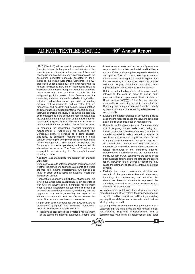2013 ("the Act") with respect to preparation of these to fraud or error, design and perform audit procedures<br>
financial statements that give a true and fair view of the responsive to those risks, and obtain audit evidence financial position, financial performance, cash flows and that is sufficient and appropriate to provide a basis for<br>changes in equity of the Company in accordance with the our opinion. The risk of not detecting a material accounting principles generally accepted in India, misstatement resulting from fraud is higher than including the Indian Accounting Standards (Ind AS) for one resulting from error, as fraud may involve<br>prescribed under Section 133 of the Act read with the collusion forgery intentional omissions misrelevant rules issued there under. This responsibility also includes maintenance of adequate accounting records in representations, or the override of internal control. accordance with the provisions of the Act for relevant to the audit in order to design audit<br>safeguarding of the actual safeguarding of the Company and for<br>procedures that are appropriate in the circumstances. preventing and detecting frauds and other irregularities;<br>selection and application of appropriate accounting Under section 143(3)(i) of the Act, we are also selection and application of appropriate accounting community of the Act, we are also<br>nolicies: making judgments and estimates that are expressing our opinion on whether the policies; making judgments and estimates that are presponsible for expressing our opinion on whether the policies; making included to estimate included the processing our opinion on whether the policies included to the pol reasonable and prudent; and design, implementation and maintenance of adequate internal financial controls. System in place and the operating effectiveness of and completeness of the accounting records, relevant that were operating effectively for ensuring the accuracy the preparation and presentation of the Ind AS financial used and the reasonableness of accounting estimates statements that give a true and fair view and are free from and related disclosures made by management material misstatement, whether due to fraud or error. <br>In preparing the standalone financial statements, use of the going concern basis of accounting and. In preparing the standalone financial statements, use of the going concern basis of accounting and, management is responsible for assessing the based on the audit evidence obtained, whether a management is responsible for assessing the based on the audit evidence obtained, whether a<br>Company's ability to continue as a going concern, enterrial uncertainty exists related to events or disclosing, as applicable, matters related to going conditions that may cast significant doubt on the concern lf unless management either intends to liquidate the we conclude that a material uncertainty exists, we are<br>Company or to cease operations, or has no realistic Company or to cease operations, or has no realistic required to draw attention in our auditor's report to the<br>alternative but to do so The Board of Directors are related dipelegures in the standalene financial

whether the standalone financial statements as a whole<br>are free from material misstatement, whether due to  $\frac{1}{2}$ Final or error, and to issue an auditor's report that includes our fraction, structure and includes our opinion.

Reasonable assurance is a high level of assurance, but is not a guarantee that an audit conducted in accordance<br>with SAs will always detect a material misstatement<br>when it acide with SAS will always detect a material misstatement<br>achieves fair presentation. when it exists. Misstatements can arise from fraud or<br>error and are considered material if individually or in the We communicate with those charged with governance error and are considered material if, individually or in the We communicate with those charged with governance<br>agarenate they could reasonably be expected to regarding, among other matters, the planned scope and aggregate, they could reasonably be expected to influence the economic decisions of users taken on the

As part of an audit in accordance with SAs, we exercise identify during our audit.<br>in accordance with and maintain professional We also provide those

responsive to those risks, and obtain audit evidence our opinion. The risk of not detecting a material collusion, forgery, intentional omissions, mis-

- Obtain an understanding of internal financial controls such controls.
- Evaluate the appropriateness of accounting policies and related disclosures made by management.
- Company's ability to continue as a going concern, a material uncertainty exists related to events or disclosing, as applicable, matters related to going conditions that may cast significant doubt on the Company's ability to continue as a going concern. If enternative but to do so the board of Directors are<br>related disclosures in the standalone financial<br>responsible for overseeing the Company's financial<br>reporting process.<br>the company's financial<br>modify our opinion. Our conc **Auditor's Responsibility for the audit of the Financial** audit evidence obtained up to the date of our auditor's<br> **Statement Statement**<br>Our objectives are to obtain reasonable assurance about example the Company to cease to continue as a going cause the Company to cease to continue as a going
	- including the disclosures, and whether the standalone financial statements represent the

timing of the audit and significant audit findings, including basis of these standalone financial statements. any significant deficiencies in internal control that we

We also provide those charged with governance with a skepticism throughout the audit. We also : statement that we have complied with relevant ethical Identify and assess the risks of material misstatement requirements regarding independence, and to of the standalone financial statements, whether due communicate with them all relationships and other

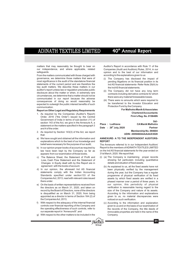matters that may reasonably be thought to bear on Auditor's Report in accordance with Rule 11 of the our independence, and where applicable, related Companies (Audit and Auditors) Rules, 2014, in our our independence, and where applicable, related Companies (Audit and Auditors) Rules, 2014, in our

From the matters communicated with those charged with according to the explanations given to us: governance, we determine those matters that were of (i) The Company has disclosed the impact of most significance in the audit of the standalone financial pending litigations on its financial position in its<br>statements of the current period and are therefore the local statements. Refer Note 29(A) to key audit matters. We describe these matters in our the Ind AS financial statements.<br>auditor's report unless law or regulation precludes public (ii). The Company did not hour auditor's report unless law or regulation precludes public (ii) The Company did not have any long term<br>disclosure about the matter or when, in extremely rare contracts including derivative contracts for which disclosure about the matter or when, in extremely rare<br>circumstances, we determine that a matter should not be there were any material foreseeable losses. communicated in our report because the adverse consequences of doing so would reasonably be expected to outweigh the public interest benefits of such communication.

- 1. As required by the Companies (Auditor's Report) **Chartered Accountants** Order, 2016 ("the Order") issued by the Central Government of India in terms of sub-section (11) of section 143 of the Act, we give in the Annexure A, a statement on the matters specified in the paragraph 3 and 4 of the order.
- **Membership No. 094604** 2. As required by Section 143(3) of the Act, we report **UDIN : 20094604AAAAAX3028** that:
- a) We have sought and obtained all the information and **ANNEXURE- A TO THE INDEPENDENT AUDITORS** explanations which to the best of our knowledge and belief were necessary for the purpose of our audit;
- b) In our opinion proper books of account as required by law have been kept by the Company so far as appears from our examination of those books.
- Changes in Equity dealt with by this Report are in details and situation of fixed assets. agreement with the books of account. (b) As explained to us, all the fixed assets have not
- statements comply with the Indian Accounting during the year, but the Company has a regular<br>Standards specified under section 133 of the programme of physical verification of its fixed Standards specified under section133 of the programme of physical verification of its fixed<br>Companies Act, 2013, read with relevant rules issued assets by which fixed assets are verified in a
- the directors as on March 31, 2020, and taken on record by the Board of Directors, none of the directors size of the Company and nature of its assets.<br>is disqualified as on March 31, 2020, from being According to the information and explanations is disqualified as on March 31, 2020, from being appointed as a director in terms of Section 164 (2) of given to us, no material discrepancies were the Companies Act, 2013; noticed on such verification.
- With respect to the adequacy of the internal financial (c) According to the information and explanation controls over financial reporting of the Company and<br>the controls of the Company the title deeds of<br>the company the title deeds of
- g) With respect to the other matters to be included in the Company.

opinion and to the best of our information and

- Ind AS financial statements- Refer Note 29(A) to
- 
- (iii) There were no amounts which were required to be transferred to the Investor Education and Protection Fund by the Company.

**For Malhotra Manik & Associates Report on Other Legal and Regulatory Requirements Firm's Reg. No. 015848N**

**Sd/-**

**31**

**Place : Ludhiana CAManik Malhotra Date** :  $29^{\text{th}}$  July, 2020<br>**Membership No. 094604** 

# **REPORT**

The Annexure referred to in our Independent Auditors' b) Report to the members of ADINATH TEXTILES LIMITED on the Ind AS financial statements for the year ended on 31st March, 2020. We report that:

- c) The Balance Sheet, the Statement of Profit and (i) (a) The Company is maintaining proper records Loss, Cash Flow Statement and the Statement of showing full particulars including quantitative
- d) In our opinion, the aforesaid Ind AS financial been physically verified by the management assets by which fixed assets are verified in a there under. phased manner over a period of three years. In On the basis of written representations received from our opinion, this periodicity of physical the directors as on March 31, 2020, and taken on verification is reasonable having regard to the
	- the operating effectiveness of such controls, refer to the records of the Company, the title deeds of our separate report in "Annexure B"; and in movable properties are held in the name of the immovable properties are held in the name of the

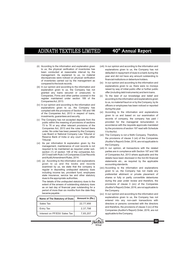# 40<sup>th</sup> Annual Report

- (ii) According to the information and explanation given (viii) In our opinion and according to the information and discrepancies were noticed on physical verification financial institutions or debenture holders.<br>of inventories carried out by the management as
- explanation given to us, the Company has not granted any loans secured or unsecured, to offer (including debtinstruments) and term loans.<br>Companies, Firms and other parties covered in the (x) To the best of our knowledge and belief a
- explanations given to us, the Company has during the year.<br>
complied with the provisions of Section 185 and 186
- 73 to 76 or any other relevant provisions of the under. No order has been passed by the Company V to the Act.<br>Law Board or National Company Law Tribunal or (iii) The Compa
- required to be maintained as required under sub-<br>section (1) of section 148 of the companies Act. 2013 read with Rule 3 of Companies (Cost Records
- given to us and the books and records accounting standards.<br>examined by us, we state that the company is (xiv) According to the inf examined by us, we state that the company is  $(xiv)$  According to the information and explanations reqular in depositing undisputed statutory dues

extent of the arrears of outstanding statutory dues as on last day of financial year outstanding for a period of more than six months from the date they the Company. became payable :

| Name of The Statutory of Dues | Amount in $(Rs.)$ |
|-------------------------------|-------------------|
| Sales Tax                     | 22,77,956         |
| Entry Tax                     | 2,37,798          |
| Interest on PF/ESI/ Sales Tax | 7,65,207          |

- to us, the physical verification of inventories has explanations given to us, the Company has not been conducted at reasonable interval by the defaulted in renayment of dues to a bank during the been conducted at reasonable interval by the defaulted in repayment of dues to a bank during the management. As explained to us, no material management. As explained to us, no material year and did not have any amount outstanding to<br>discrepancies were noticed on physical verification
- compared to the book records.<br>
(ix) In our opinion and according to the information and<br>  $\alpha$  explanations given to us, there were no moneys (iii) In our opinion and according to the information and<br>explanation given to us, the Company has not raised by way of initial public offer or further public
- $(x)$  To the best of our knowledge and belief and register maintained under section 189 of the according to the information and explanations given<br>Companies Act, 2013. to us, no material fraud on or by the Company, by its (iv) In our opinion and according to the information and officers or employees has been noticed or reported
- complied with the provisions of Section 185 and 186 (xi) According to the information and explanations of the Companies Act, 2013 in respect of loans, in vestments, guarantees and security.<br>The Company has not accepted deposits from the seconds of company, the company has paid / v) The Company has not accepted deposits from the frecords of company, the company has paid /<br>provided for the managerial remuneration in public within the meaning of provisions of sections and provided for the managerial remuneration in<br>T3 to 76 or any other relevant provisions of the accordance with the requisite approvals mandated Companies Act, 2013 and the rules framed there by the provisions of section 197 read with Schedule
- Law Board or National Company Law Tribunal or (xii) The Company is not a Nidhi Company. Therefore,<br>Reserve Bank of India or any court or any other the provisions of clause 3 (xii) of the Companies Tribunal.<br>
Tribunal.<br>
(ii) As per information & explanation given by the<br>
management, maintenance of cost records is not<br>
recompany.<br>
(Auditor's Report) Order, 2016, are not applicable to<br>
management, maintenance of cost r
- parties are in compliance with Section 187 and 188 of Companies Act, 2013 where applicable and the and Audit) Amendment Rules, 2014. details have been disclosed in the Ind AS financial (vii) (a) According to the information and explanations statements etc., as required by the applicable
	- regular in depositing undisputed statutory dues given to us, the Company has not made any including income tax, provident fund, employees preferential allotment or private placement of state insurance, service tax and other statutory dues to the appropriate authorities.<br>The details of the undisputed statutory dues to the during the year under review and therefore, the The details of the undisputed statutory dues to the during the year under review and the under review and the companies<br>extent of the arrears of outstanding statutory dues provisions of clause 3 (xiv) of the Companies (Auditor's Report) Order, 2016, are not applicable to
		- (xv) In our opinion and according to the information and explanations given to us, the Company has not entered into any non-cash transactions with directors or persons connected with the directors and therefore, the provisions of clause 3 (xv) of the Companies (Auditor's Report) Order, 2016, are not applicable to the Company.

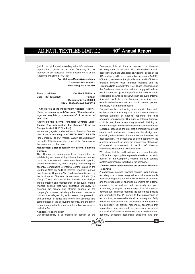(xvi) In our opinion and according to the information and Company's Internal financial controls over financial explanations given to us, the Company is not reporting based on our audit. We conducted our audit in required to be registered under Section 45-IA of the accordance with the Standards on Auditing, issued by the<br>ICAI and deemed to be prescribed under section 143(10)

**Partner**

**Annexure B to the Independent Auditors' Report** Our audit involves performing procedures to obtain audit **(Referred to in paragraph 1(g) under "Report on other** evidence about the adequacy of the internal financial<br>legal and regulatory requirements" of our report of controls systems on financial reporting and their

**Report on the Internal Financial Controls under** controls over financial reporting included obtaining an Clause (i) of sub section 3 of Section 143 of the understanding of Internal financial **Clause (i) of sub section 3 of Section 143 of the** understanding of Internal financial controls over financial

We were engaged to audit the Internal Financial Controls exists, and testing and evaluating the design and over financial reporting of ADINATH TEXTILES LTD. over financial reporting of **ADINATH TEXTILES LTD.** operating effectiveness of internal control based on the ('the Company') as of 31<sup>st</sup> March, 2020 in conjunction with assessed risk. The procedures selected depend on the ('the Company') as of 31<sup>\*</sup> March, 2020 in conjunction with assessed risk. The procedures selected depend on the our audit of the financial statements of the Company for an audit of the statements of the Company for a cont

# **Management's Responsibility for Internal Financial** statements whether due to fraud or error.

The Company's management is responsible for establishing and maintaining internal financial controls opinion on the Company's internal financial controls based on the internal control over financial reporting system over financial reporting of the company. criteria established by the Company considering the **Meaning of Internal Controls of Internal Financial Controls over Financial controls of Financial controls over Financial essential components of internal controls over**  $\frac{1}{2}$ **.** Guidance Note on Audit of Internal Financial Controls<br>Over Financial Reporting (the Guidance Note') issued by A company's internal financial controls over financial over Financial Reporting('the Guidance Note') issued by the company's internal financial controls over financial<br>the Institute of Charlered Accountants of India ('the reporting is a process designed to provide reasonable the Institute of Chartered Accountants of India ('the reporting is a process designed to provide reasonable<br>ICAI'). These reasonabilities include the design assurance regarding the reliability of financial reporting ICAI'). These responsibilities include the design, assurance regarding the reliability of financial reporting<br>Implementation and maintenance of adequate internal and the preparation of financial statements for external implementation and maintenance of adequate internal and the preparation of financial statements for external<br>financial controls that were operating effectively for purposes in accordance with generally accepted financial controls that were operating effectively for purposes in accordance with generally accepted<br>ensuring the orderly and efficient conduct of the accounting principles. A company's Internal financial ensuring the orderly and efficient conduct of the accounting principles. A company's Internal financial<br>company's business including adherence to company's controls over financial reporting includes those policies company's business, including adherence to company's policies, the safeguarding of its assets, the prevention and procedures that (1) pertain to the maintenance of and detection of frauds and errors the accuracy and records that, in reasonable detail accurately and fairly and detection of frauds and errors, the accuracy and completeness of the accounting records, and the timely reflect the transactions and dispositions of the assets of preparation of reliable financial information, as required under the Act.

### **Auditors' Responsibility**

Our responsibility is to express an opinion on the

**Group**  $Shi$ e $\mathbb{Z}$ a $\mathbb{Z}$ 

ICAI and deemed to be prescribed under section 143(10) **For Malhotra Manik & Associates** of the Act, to the extent applicable to an audit of Internal **Chartered Accountants** financial controls over financial reporting and the **Firm's Reg. No. 015848N** Guidance Note issued by the ICAI. Those Standards and Guidance Note issued by the ICAI. Those Standards and the Guidance Note require that we comply with ethical requirements and plan and perform the audit to obtain **Place : Ludhiana CA Manik Malhotra the reasonable assurance about whether adequate Internal <b>Date** : 29<sup>th</sup> July, 2020 **Membership No. 094604** financial controls over financial reporting were established and maintained and if such controls operated **UDIN : 20094604AAAAAX3028** effectively in all material respects.

controls systems on financial reporting and their **even date)** operating effectiveness. Our audit of Internal financial **Companies Act, 2013 ('the Act')** reporting, assessing the risk that a material weakness<br>We were engaged to audit the Internal Financial Controls exists and testing and evaluating the design and our audit of the financial statements of the Company for auditor's judgment, including the assessment of the risks<br>And reserve in misstatement of the lod AS financial of material misstatement of the Ind AS financial

> We believe that the audit evidence we have obtained is sufficient and appropriate to provide a basis for our audit

the company; (2) provide reasonable assurance that transactions are recorded as necessary to permit preparation of financial statements in accordance with generally accepted accounting principles, and that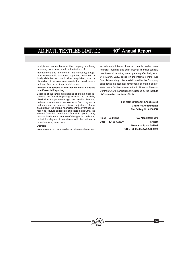receipts and expenditures of the company are being an adequate internal financial controls system over<br>made only in accordance with authorizations of financial reporting and such internal financial controls

provide reasonable assurance regarding prevention or and the main of the internal control over timely detection of unauthorized acquisition, use, or  $\frac{1}{2}$  detection of the company's assets that could have a financial r disposition of the company's assets that could have a material effect on the financial statements.

Because of the inherent limitations of internal financial of Chartered Accountants of India. controls over financial reporting, including the possibility of collusion or improper management override of control, material misstatements due to error or fraud may occur **For Malhotra Manik & Associates** and may not be detected. Also, projections of any **Chartered Accountants**<br>evaluation of the internal financial controls over financial evaluation of the internal financial controls over financial **Firm's Reg. No. 015848N** reporting to future periods are subject to the risk, that the internal financial control over financial reporting may become inadequate because of changes in conditions,<br>
or that the degree of compliance with the policies or<br> **Date** : 29<sup>th</sup> July, 2020<br> **Partnerr**<br> **Date** : 29<sup>th</sup> July, 2020  $procedures$  may deteriorate.

In our opinion, the Company has, in all material respects, **UDIN : 20094604AAAAAX3028**

made only in accordance with authorizations of  $r_{\text{min,} \text{total}}$  reporting and such internal financial controls management and directors of the company; and (3) over financial reporting were operating effectively as at management and directors of the company; and(3) over financial reporting were operating effectively as at provide reasonable assurance regarding prevention or  $\frac{3}{10}$  and  $\frac{3}{2}$  at March 2020, based on the internal considering the essential components of internal control **Inherent Limitations of Internal Financial Controls** stated in the Guidance Note on Audit of Internal Financial<br>Controls Over Financial reporting sued by the Institute Controls Over Financial reporting issued by the Institute

**Group**

®

**Opinion Membership No. 094604**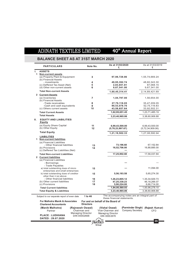40<sup>th</sup> Annual Report

# **BALANCE SHEET AS AT 31ST MARCH 2020**

|    | <b>PARTICULARS</b>                                                         | Note No.         | As at 31/03/2020<br>₹                                                         | As at 31/03/2019<br>₹            |
|----|----------------------------------------------------------------------------|------------------|-------------------------------------------------------------------------------|----------------------------------|
| ı. | <b>ASSETS</b>                                                              |                  |                                                                               |                                  |
|    | 1 Non-current assets<br>(a) Property Plant & Equipment                     | 3                | 97,98,728.86                                                                  | 1,55,74,669.24                   |
|    | (b) Financial Assets<br>- investments                                      | 4                | 49,95,392.74                                                                  | 48,60,343.30                     |
|    | (c) Deffered Tax Asset (Net)                                               | 5                | 2,83,651.81                                                                   | 87,068.15                        |
|    | (d) Other non-current assets                                               | 6                | 9,67,541.00                                                                   | 9,67,341.00                      |
|    | <b>Total Non-current Assets</b>                                            |                  | 1,60,45,314.41                                                                | 2, 14, 89, 421.69                |
|    | 2 Current Assets                                                           |                  |                                                                               |                                  |
|    | (a) Inventories<br>(b) Financial Assets                                    | 7                | 1,04,797.00                                                                   | 1,56,654.00                      |
|    | -Trade receivables                                                         | 8                | 27,79,118.05                                                                  | 35,47,209.05                     |
|    | -Cash and cash equivalents                                                 | 9                | 90,53,078.76                                                                  | 52,75,119.83                     |
|    | (c) Others current assets                                                  | 10               | 43,58,657.64                                                                  | 33,92,502.31                     |
|    | <b>Total Current Assets</b>                                                |                  | 1,62,95,651.45                                                                | 1,23,71,485.19                   |
|    | <b>Total Assets</b>                                                        |                  | 3,23,40,965.86                                                                | 3,38,60,906.88                   |
| Ш. | <b>EQUITY AND LIABILITIES</b><br>Equity                                    |                  |                                                                               |                                  |
|    | (a) Equity Share Capital                                                   | 11               | 6,99,43,500.00                                                                | 6,99,43,500.00                   |
|    | (b) Other Equity                                                           | 12               | (5,78,23,997.67)                                                              | (5,72,34,909.06)                 |
|    | <b>Total Equity</b>                                                        |                  | 1,21,19,502.33                                                                | 1,27,08,590.94                   |
|    | <b>LIABILITIES</b><br>1 Non-current liabilities                            |                  |                                                                               |                                  |
|    | (a) Financial Liabilities                                                  |                  |                                                                               |                                  |
|    | - Other financial liabilities                                              | 13               | 73,196.60                                                                     | 67,152.84                        |
|    | (b) Provisions                                                             | 14               | 16,52,706.00                                                                  | 16,88,885.00                     |
|    | (c) Deffered Tax Liabilities (Net)                                         |                  |                                                                               |                                  |
|    | <b>Total Non-current Liabilities</b>                                       |                  | 17,25,902.60                                                                  | 17,56,037.84                     |
|    | 2 Current liabilities                                                      |                  |                                                                               |                                  |
|    | (a) Financial Liabilities<br>- Borrowings                                  |                  |                                                                               |                                  |
|    | - Trade Payables                                                           |                  |                                                                               |                                  |
|    | a) total outstanding dues of micro                                         | 15               |                                                                               | 11,094.00                        |
|    | enterprises and small enterprises<br>b) total outstanding dues of creditor | 15               | 5,56,193.58                                                                   | 5,65,274.30                      |
|    | other than ii (a) above                                                    |                  |                                                                               |                                  |
|    | - Other financial liabilities                                              | 16               | 1,26,23,805.12                                                                | 1,35,34,929.73                   |
|    | (b) Other current liabilities                                              | 17               | 47,25,338.23                                                                  | 46, 18, 266.07                   |
|    | (c) Provisions                                                             | 18               | 5,90,224.00                                                                   | 6,66,714.00                      |
|    | <b>Total Current liabilities</b>                                           |                  | 1,84,95,560.93                                                                | 1,93,96,278.10                   |
|    | <b>Total Equity &amp; Liabilities</b>                                      |                  | 3,23,40,965.86                                                                | 3,38,60,906.88                   |
|    | Subject to our separate report of even date                                | 1 to 46          | The accompanying notes are an integral part of<br>these financial statements. |                                  |
|    | <b>For Malhotra Manik &amp; Associates</b>                                 |                  | For and on behalf of the Board of                                             |                                  |
|    | <b>Chartered Accountants</b>                                               | <b>Directors</b> |                                                                               |                                  |
|    | (Manik Malhotra)                                                           | (Rajneesh Oswal) | (Vishal Oswal)                                                                | (Parminder Singh) (Rajesh Kumar) |

**Group**

Vice-

Chairman and Managing Director DIN 00002668

**PLACE : LUDHIANA DATED : 29.07.2020**

Partner

®

Managi ng Director DIN 00002678 Chairman and

**35**

CFO

Company Secretary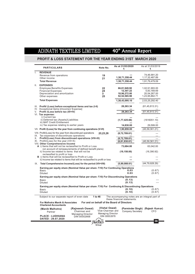# **PROFIT & LOSS STATEMENT FOR THE YEAR ENDING 31ST MARCH 2020**

| <b>PARTICULARS</b>                                                                                                                                                                                                                                                                                                                                          | Note No.                                                                 | As at 31/03/2020<br>₹                                     | As at 31/03/2019<br>₹                                           |  |
|-------------------------------------------------------------------------------------------------------------------------------------------------------------------------------------------------------------------------------------------------------------------------------------------------------------------------------------------------------------|--------------------------------------------------------------------------|-----------------------------------------------------------|-----------------------------------------------------------------|--|
| <b>REVENUE</b><br>$\mathbf{L}$<br>Revenue from operations<br>Other income<br><b>Total Revenue</b>                                                                                                                                                                                                                                                           | 19<br>21                                                                 | 1,38,71,358.44<br>1,38,71,358.44                          | 74.46.991.20<br>1,17,32,487.89<br>1,91,79,479.09                |  |
| <b>EXPENSES</b><br>II.<br><b>Employee Benefits Expenses</b><br><b>Financial Expenses</b><br>Depreciation and amortization<br>Other expenses                                                                                                                                                                                                                 | 22<br>24<br>3<br>25                                                      | 66,81,949.90<br>12,307.22<br>18,96,272.00<br>52,52,565.98 | 1.02.91.993.00<br>5,83,169.69<br>20,54,267.00<br>1,23,95,862.71 |  |
| <b>Total Expenses</b>                                                                                                                                                                                                                                                                                                                                       |                                                                          | 1,38,43,095.10                                            | 2,53,25,292.40                                                  |  |
| III. Profit/ (Loss) before exceptional items and tax (I-II)<br>IV. Exceptional items [(Income)/ Expense]                                                                                                                                                                                                                                                    |                                                                          | 28,263.34                                                 | (61, 45, 813.31)                                                |  |
| V. Profit /(Loss before tax (III+IV)<br>VI. Tax expense:<br>i) Current tax<br>ii) Deferred tax (Assets)/Liabilities<br>iii) MAT Credit Entitlement<br>iv) Tax expense relating to earlier years                                                                                                                                                             |                                                                          | 28,263.34<br>(1,77,425.66)<br>14,830.00                   | (61, 45, 813.31)<br>(1616051.10)<br>29,599.00                   |  |
| VII. Profit /(Loss) for the year from continuing operations (V-VI)                                                                                                                                                                                                                                                                                          |                                                                          | 1,90,859.00                                               | (45, 59, 361.21)                                                |  |
| VIII. Profit/(Loss) for the year from discontinued operations<br>IX. Tax expenses of discontinues operations                                                                                                                                                                                                                                                | 20,23,26                                                                 | (8,72,789.61)                                             |                                                                 |  |
| X. Profit/(Loss) from discontinued operations (VIII-IX)<br>$XI.$ Profit/(Loss) for the year (VII+X)<br>VIII. Other Comprehensive Income                                                                                                                                                                                                                     |                                                                          | (8,72,789.61)<br>(6,81,930.61)                            | (45, 59, 361.21)                                                |  |
| A i) Items that will not be reclassified to Profit or Loss<br>(on account of remeasurements of defined benefit plans)<br>ii) Income tax related to items that will not be<br>reclassified to profit or loss<br><b>B</b> i) Items that will be reclassified to Profit or Loss<br>ii) Income tax related to items that will be reclassified to profit or loss |                                                                          | 73,684.00<br>(19, 158.00)                                 | 63,042.00<br>(16, 390.92)<br>$---$                              |  |
| IX. Total Comprehensive Income/(Loss) for the period (VII+VIII)                                                                                                                                                                                                                                                                                             |                                                                          | (5,89,088.61)                                             | (44, 79, 928.29)                                                |  |
| Earning per equity share (Nominal Value per share :₹10) For Continuing Operations<br>Basic<br><b>Diluted</b>                                                                                                                                                                                                                                                |                                                                          | 0.03<br>0.03                                              | (0.67)<br>(0.67)                                                |  |
| Earning per equity share (Nominal Value per share : ₹10) For Discontinuing Operations<br><b>Basic</b><br><b>Diluted</b>                                                                                                                                                                                                                                     |                                                                          | (0.13)<br>(0.13)                                          |                                                                 |  |
| Earning per equity share (Nominal Value per share $\mathbb{R}$ 10) For Continuing & Discontinuing Operations<br>Basic<br><b>Diluted</b>                                                                                                                                                                                                                     |                                                                          | (0.10)<br>(0.10)                                          | (0.67)<br>(0.67)                                                |  |
| Subject to our separate report of even date                                                                                                                                                                                                                                                                                                                 | 1 to 46                                                                  | The accompanying notes are an integral part of            |                                                                 |  |
| these financial statements.<br>For Malhotra Manik & Associates<br>For and on behalf of the Board of Directors<br><b>Chartered Accountants</b>                                                                                                                                                                                                               |                                                                          |                                                           |                                                                 |  |
| (Rajneesh Oswal)<br>(Manik Malhotra)<br>Chairman and<br>Partner<br><b>Managing Director</b><br><b>PLACE: LUDHIANA</b><br>DIN 00002668                                                                                                                                                                                                                       | (Vishal Oswal)<br>Vice-Chairman and<br>Managing Director<br>DIN 00002678 | Company Secretary                                         | (Parminder Singh) (Rajesh Kumar)<br>CFO                         |  |
| DATED: 29.07.2020                                                                                                                                                                                                                                                                                                                                           | <b>Dhreyars</b><br>Group                                                 |                                                           | 36                                                              |  |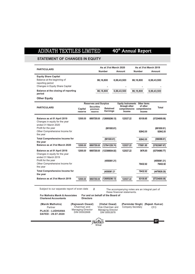40<sup>th</sup> Annual Report

## **STATEMENT OF CHANGES IN EQUITY**

| <b>PARTICULARS</b>                                                                                                |                    |                                                                        | As at 31st March 2020              |                         | As at 31st March 2019                                                                      |                              |  |  |
|-------------------------------------------------------------------------------------------------------------------|--------------------|------------------------------------------------------------------------|------------------------------------|-------------------------|--------------------------------------------------------------------------------------------|------------------------------|--|--|
|                                                                                                                   |                    |                                                                        | <b>Number</b>                      | Amount                  | Number                                                                                     | Amount                       |  |  |
| <b>Equity Share Capital</b><br>Balance at the beginning of<br>reporting period<br>Changes in Equity Share Capital |                    |                                                                        | 86,16,800                          | 6,99,43,500             | 86,16,800                                                                                  | 6,99,43,500                  |  |  |
| Balance at the closing of reporting<br>period                                                                     |                    |                                                                        | 86,16,800                          | 6,99,43,500             | 86,16,800                                                                                  | 6,99,43,500                  |  |  |
| <b>Other Equity</b>                                                                                               |                    |                                                                        |                                    |                         |                                                                                            |                              |  |  |
| <b>PARTICULARS</b>                                                                                                | Capital<br>reserve | <b>Reserves and Surplus</b><br><b>Securities</b><br>premium<br>reserve | <b>Retained</b><br><b>Earnings</b> | through other<br>income | <b>Equity Instruments</b> Other items<br>of other<br>comprehensive comprehensive<br>income | <b>Total</b>                 |  |  |
| Balance as at 01 April 2019<br>Changes in equity for the year<br>ended 31 March 2020<br>Profit for the year       | 12000.00           | 69507250.00                                                            | (126959296.13)<br>(681930.61)      | 122027.22               | 83109.85                                                                                   | (57234909.06)<br>(681930.61) |  |  |
| Other Comprehensive Income for<br>the year                                                                        |                    |                                                                        |                                    |                         | 92842.00                                                                                   | 92842.00                     |  |  |
| <b>Total Comprehensive Income for</b><br>the year                                                                 |                    |                                                                        | (681930.61)                        |                         | 92842.00                                                                                   | (589088.61)                  |  |  |
| Balance as at 31st March 2020                                                                                     | 12000.00           | 69507250.00                                                            | (127641226.74)                     | 122027.22               | 175951.85                                                                                  | (57823997.67)                |  |  |
| Balance as at 01 April 2018<br>Changes in equity for the year<br>ended 31 March 2019                              | 12000.00           | 69507250.00                                                            | (122399934.92)                     | 122027.22               | 3676.93                                                                                    | (52754980.77)                |  |  |
| Profit for the year<br>Other Comprehensive Income for<br>the year                                                 |                    |                                                                        | (4559361.21)                       |                         | 79432.92                                                                                   | (4559361.21)<br>79432.92     |  |  |
| <b>Total Comprehensive Income for</b><br>the year                                                                 |                    |                                                                        | (4559361.21                        |                         | 79432.92                                                                                   | (4479928.29)                 |  |  |
| Balance as at 31st March 2019                                                                                     | 12000.00           | 69507250.00                                                            | (126959296.13)                     | 122027.22               | 83109.85                                                                                   | (57234909.06)                |  |  |

Subject to our separate report of even date

2 The accompanying notes are an integral part of these financial statements.

**For Malhotra Manik & Associates Chartered Accountants**

**For and on behalf of the Board of Directors**

**(Manik Malhotra) (Rajneesh Oswal)**

**Group**

®

**(Vishal Oswal)** Vice-Chairman andManagi ng Director DIN 00002678

**(Rajesh Kumar) (Parminder Singh)** CFO Company Secretary

**37**

**PLACE : LUDHIANA DATED : 29.07.2020** Partner

Chairman and Managing Director DIN 00002668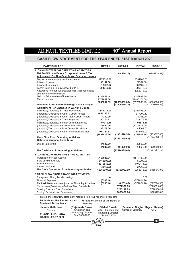## **CASH FLOW STATEMENT FOR THE YEAR ENDED 31ST MARCH 2020**

| <b>PARTICULARS</b>                                                                                                                                                                                                                                                                                                                                                                                                                                                                                       | <b>DETAIL</b>                                                                                              | 2019-20                                             | <b>DETAIL</b>                                                                                             | 2018-19                                                 |  |  |
|----------------------------------------------------------------------------------------------------------------------------------------------------------------------------------------------------------------------------------------------------------------------------------------------------------------------------------------------------------------------------------------------------------------------------------------------------------------------------------------------------------|------------------------------------------------------------------------------------------------------------|-----------------------------------------------------|-----------------------------------------------------------------------------------------------------------|---------------------------------------------------------|--|--|
| A CASH FLOW FROM OPERATING ACTIVITIES<br>Net Profit/(Loss) Before Exceptional items & Tax<br>Adjustment For Non Cash & Non Operating Items:-                                                                                                                                                                                                                                                                                                                                                             |                                                                                                            | (844526.27)                                         |                                                                                                           | (6145813.31)                                            |  |  |
| Depreciation and amortisation expences<br>Interest Income<br><b>Financial Expenses</b><br>Loss/(Profit) on Sale & Discard of PPE<br>Allowance for doubtful/credit loss for trade receiables<br>ans advances written back                                                                                                                                                                                                                                                                                 | 1975037.00<br>(33152.00)<br>12307.22<br>904846.39                                                          |                                                     | 2054267.00<br>(27362.00)<br>583169.69<br>299072.00<br>3058948.96                                          |                                                         |  |  |
| Gain on fair valuation of investments<br>Rental Income                                                                                                                                                                                                                                                                                                                                                                                                                                                   | (135049.44)<br>(13379842.00)<br>(10655852.83)                                                              | (10655852.83)                                       | (142988.60)<br>(11400174.00)                                                                              | (5575066.95) (5575066.95)                               |  |  |
| <b>Operating Profit Before Working Capital Changes</b><br><b>Adjustment For Changes in Working Capital</b><br>Increase/(Decrease) in Trade Recievable<br>(Increase)/Decrease in Other Current Assets<br>(Increase)/Decrease in Other Non Current Assets<br>(Increase)/Decrease in Trade Payables<br>Increase/(Decrease) in other Current Liabilities<br>(Increase)/Decrease in Current Provisions<br>(Increase)/Decrease in Non-Current Provisions<br>(Increase)/Decrease in Other Financial Liabilities | 841775.00<br>(966155.33)<br>(200.00)<br>(20174.72)<br>107072.16<br>(76490.00)<br>(36179.00)<br>(911124.61) | (11500379.10)                                       | (354093.06)<br>377209.12<br>(114308.00)<br>228175.89<br>96573.16<br>(1314878.00)<br>44061.00<br>883452.03 | (11720880.26)                                           |  |  |
| <b>Cash Flow From Operating Activities</b><br><b>Before Exceptional Items &amp; tax</b>                                                                                                                                                                                                                                                                                                                                                                                                                  | (1061476.50)                                                                                               | (1061476.50)<br>(12561855.60)                       |                                                                                                           | (153807.86) (153807.86)<br>(11874688.12)                |  |  |
| Direct Taxes Paid<br><b>Net Cash Used in Operating Activities</b>                                                                                                                                                                                                                                                                                                                                                                                                                                        | (14830.00)<br>(14830.00)                                                                                   | (14830.00)<br>(12576685.60)                         | (29599.00)<br>(29599.00)                                                                                  | (29599.00)<br>(11904287.12)                             |  |  |
| <b>B CASH FLOW FROM INVESTING ACTIVITIES</b><br><b>Purchase of Fixed Assets</b><br>Sale of Fixed Assets<br>Rental Income<br>Interest Income<br><b>Net Cash Generated from Investing Activities</b>                                                                                                                                                                                                                                                                                                       | (165086.01)<br>3113000.00<br>13379842.00<br>33152.00<br>16360907.99                                        | 16360907.99                                         | (1519493.00)<br>50000.00<br>11400174.00<br>27362.00<br>9958043.00                                         | 9958043.00                                              |  |  |
| <b>C CASH FLOW FROM FINANCING ACTIVITIES</b><br>Repayment of Long Term Borrowings<br><b>Financial Expenses</b><br>Net Cash Generated from/(used in) Financing Activities<br>Net Increase/(Decrease) in Cash and Cash Equivalents<br>Opening Cash and Cash Equivalents<br>Closing Cash and cash Equivalents                                                                                                                                                                                               | (6263.46)<br>(6263.46)                                                                                     | (6263.46)<br>3777958.93<br>5275119.83<br>9053078.76 | 0.00<br>(577624.96)<br>(577624.96)                                                                        | (577624.96)<br>(2523869.08)<br>7798988.91<br>5275119.83 |  |  |
| This is the cash flow statement referred to in our report of even date.<br>For Malhotra Manik & Associates<br>For and on behalf of the Board of<br><b>Chartered Accountants</b><br><b>Directors</b><br>(Manik Malhotra)<br>(Raineesh Oswal)<br>(Vishal Oswal)<br>(Parminder Singh) (Rajesh Kumar)                                                                                                                                                                                                        |                                                                                                            |                                                     |                                                                                                           |                                                         |  |  |

**PLACE : LUDHIANA DATED : 29.07.2020 (Manik Malhotra)** Partner

Chairman and Managing Director DIN 00002668

**(Vishal Oswal)** Vice-Chairman andManagi ng Director DIN 00002678

**Group**

®

**(Rajesh Kumar)** CFO Company Secretary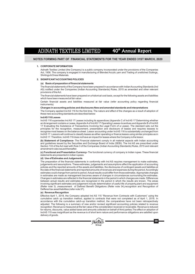## **NOTES FORMING PART OF FINANCIAL STATEMENTS FOR THE YEAR ENDED 31ST MARCH, 2020**

#### **1. CORPORATE INFORMATION**

Adinath Textiles Limited (the Company) is a public company incorporated under the provisions of the Companies Act, 1956. The company is engaged in manufacturing of Blended Acrylic yarn and Trading of unstitched Suitings, Shirtings & Dress Materials.

## **2. SIGNIFICANT ACCOUNTING POLICIES**

#### **(a) Basis of preparation of financial statements**

The financial statements of the Company have been prepared in accordance with Indian Accounting Standards (Ind AS) notified under the Companies (Indian Accounting Standards) Rules, 2015 as amended and other relevant provisions of the Act.

The financial statements have been prepared on a historical cost basis, except for the following assets and liabilities which have been measured at fair value

Certain financial assets and liabilities measured at fair value (refer accounting policy regarding financial instruments)

### **Changes in accounting policies and disclosures New and amended standards and interpretations**

The Company applied Ind AS 116 for the first time. The nature and effect of the changes as a result of adoption of these new accounting standards are described below:

#### **Ind AS 116 Leases**

Ind AS 116 supersedes Ind AS 17 Leases including its appendices (Appendix C of Ind AS 17 Determining whether an Arrangement contains a Lease, Appendix Aof Ind AS 17 Operating Leases-Incentives and Appendix B of Ind AS 17 Evaluating the Substance of Transactions Involving the Legal Form of a Lease). The standard sets out the principles for the recognition, measurement, presentation and disclosure of leases and requires lessees to recognise most leases on the balance sheet. Lessor accounting under Ind AS 116 is substantially unchanged from Ind AS 17. Lessors will continue to classify leases as either operating or finance leases using similar principles as in Ind AS 17. Therefore, Ind AS 116 does not have an impact for leases where the Company is the lessor.

**(b) Statement of Compliance-** The Financial statement comply in all material aspects with Indian accounting and guidelines issued by the Securities and Exchange Board of India (SEBI). The Ind AS are prescribed under Section 133 of the Act read with Rule 3 of the Companies (Indian Accounting Standards) Rules, 2015 and relevant amendment rules issued thereafter.

**(c) Functional and Presentation Currency-** The functional currency of company is Indian rupee. These financial statements are presented in indian rupees.

#### **(d) Use of Estimates and Judgements**

The preparation of the financial statements in conformity with Ind AS requires management to make estimates, judgements and assumptions. These estimates, judgements and assumptions affect the application of accounting policies and the reported amounts of the assets and liabilities, the disclosures of contingent assets and liabilities at the date of the financial statements and reported amounts of revenues and expenses during the period. Accordingly estimates could change from period to period. Actual results could differ from those estimates. Appropriate changes in estimates are made as management becomes aware of changes in circumstances surrounding the estimates. Changes in estimates are reflected in the financial statements in the period in which changes are made. Differences between actual results and estimates are recognized in the period in which the results are known. The areas involving significant estimates and judgement include determination of useful life of property,plant and equipment (Refer note 3) ,measurement of Defined Benefit Obligations (Refer note 34),recognition and Recognition of Deffered tax asset/liabilities (refer note 37).

## **(e) Revenue Recognition**

Effective April 1, 2018, the Company adopted Ind AS 115 "Revenue from Contracts with Customers" using the cumulative catch up transition method, applied to contracts that were not completed as of April 1, 2018. In accordance with the cumulative catch-up transition method, the comparatives have not been retrospectively adjusted. The following is a summary of new and/or revised significant accounting policies related to revenue recognition: Revenue is measured at the fair value of the consideration received or receivable. Revenue is reduced for returns, discounts, value added taxes and amounts collected on behalf of third parties.The effect on adoption of Ind AS 115 was insignificant as the revenue is of short term nature and performance obligations are satisfied upon delivery of goods.



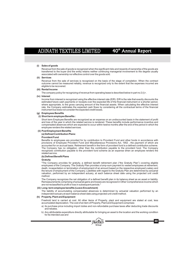# 40<sup>th</sup> Annual Report

## **(i) Sales of goods**

Revenue from the sale of goods is recognized when the significant risks and rewards of ownership of the goods are transferred to the buyer and the entity retains neither continuing managerial involvement to the degree usually associated with ownership nor effective control over the goods sold.

### **(ii) Services**

Revenue from the sale of services is recognized on the basis of the stage of completion. When the contract outcome cannot be measured reliably, revenue is recognized only to the extent that the expenses incurred are eligible to be recovered.

## **(iii) Rental Income**

The company policy for recognizing of revenue from operating lease is described below in part no 2 (i) r .

### **Interest (iv)**

Income from interest is recognized using the effective interest rate (EIR). EIR is the rate that exactly discounts the estimated future cash payments or receipts over the expected life of the financial instrument or a shorter period, where appropriate, to the gross carrying amount of the financial assets. When calculating the effective interest rate, the Company estimates the expected cash flows by considering all the contractual terms of the financial instrument but does not consider the expected credit losses.

### **Employees Benefits (g)**

#### **Short term employee Benefits : (i)**

Short term Employee Benefits are recognized as an expense on an undiscounted basis in the statement of profit and loss of the year in which the related service is rendered. These benefits include performance incentive and compensated absences which are expected to occur within twelve months after the end of the period in which the employee renders the related services.

#### **Post Employment Benefits (ii)**

#### **Defined Contribution Plans: (a)**

## **Provident Fund**

Benefits to employees are provided for by contribution to Provident Fund and other funds in accordance with provisions of Employee Provident Fund and Miscellaneous Provisions Act, 1952 , the payment of which are accounted for on accrual basis. Retirement benefit in the form of provident fund is a defined contribution scheme. The Company has no obligation, other than the contribution payable to the provident fund. The Company recognizes contribution payable to the provident fund scheme as an expense when an employee renders the related service.

## (b) Defined Benefit Plans

## **Gratuity**

"The Company provides for gratuity, a defined benefit retirement plan ("the Gratuity Plan") covering eligible employees of the Company. The Gratuity Plan provides a lump-sum payment to vested employees at retirement, death, incapacitation or termination of employment of an amount based on the respective employee's salary and the tenure of employment of the Company. Liabilities with regard to the Gratuity Plan are determined by actuarial valuation, performed by an independent actuary, at each balance sheet date using the projected unit credit method.

The Company recognizes the net obligation of a defined benefit plan in its balance sheet as an asset or liability. Remeasurements comprising of actuarial gains and losses are recognized in Other Comprehensive income which are not reclassified to profit or loss in subsequent periods.

#### **Long- term employee benefits (Leave Encashment) (iii)**

The liability of accumulating compensated absences is determined by actuarial valuation performed by an independent actuary at each balance sheet date using projected unit credit method.

#### **Property, Plant and Equipment (h)**

Freehold land is carried at cost. All other items of Property, plant and equipment are stated at cost, less accumulated depreciation. The cost of an item of Property, Plant and Equipment comprises:

- a) its purchase price including import duties and non-refundable purchase taxes after deducting trade discounts and rebates
- b) Any attributable expenditure directly attributable for bringing an asset to the location and the working condition for its intended use and



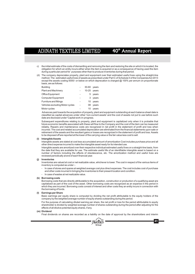- c) the initial estimate of the costs of dismantling and removing the item and restoring the site on which it is located, the obligation for which an entity incurs either when the item is acquired or as a consequence of having used the item during a particular period for purposes other than to produce inventories during that period.
- (d) The company depreciates property, plant and equipment over their estimated useful lives using the straight-line method. The estimated useful lives of assets as prescribed under Part C of Schedule II of the Companies Act 2013 except the assets costing 5000/- or below on which deprecation is charged @ 100% per annum on proportionate basis, are as follows:

| <b>Building</b>                 | 30-60 years   |         |
|---------------------------------|---------------|---------|
| <b>Plant and Machinery</b>      | $10-25$ years |         |
| Office Equipment                |               | 5 years |
| <b>Computer Equipment</b>       | 3             | years   |
| Furniture and fittings          | 10            | years   |
| Vehicles excluding Motor cycles | 08            | years   |
| Motor cycles                    | 10            | years   |

Advances paid towards the acquisition of property, plant and equipment outstanding at each balance sheet date is classified as capital advances under other 'non-current assets' and the cost of assets not put to use before such date are disclosed under 'Capital work-in-progress.

Subsequent expenditures relating to property, plant and equipment is capitalized only when it is probable that future economic benefits associated with these will flow to the Company and the cost of the item can be measured reliably. Repairs and maintenance costs are recognized in net profit in the statement of profit and loss when incurred. The cost and related accumulated depreciation are eliminated from the financial statements upon sale or retirement of the assets and the resultant gains or losses are recognized in the statement of profit and loss. Assets to be disposed off are reported at the lower of the carrying value or the fair value less cost to sell.

## **(i) Intangible Assets**

Intangible assets are stated at cost less accumulated amount of amortization Cost includes purchase price and all other direct expense incurred to make the intangible asset ready for its intended use.

Intangible assets are amortized over their respective individual estimated useful lives on a straight-line basis, from the date that they are available for use. The estimate useful life of an identifiable intangible asset is based on a number of factors including the effects of obsolescence, etc. The amortization method and useful lives are reviewed periodically at end of each financial year.

### **(j) Inventories**

Inventories are valued at cost or net realizable value, whichever is lower. The cost in respect of the various items of inventory is computed as under :-

- In case of stores and spares at weighted average cost plus direct expenses. The cost includes cost of purchase and other costs incurred in bringing the inventories to their present location and condition.
- In case of wastes at net realizable value.

## **(k) Borrowing costs**

Borrowing costs that are directly attributable to the acquisition, construction or production of a qualifying asset are capitalized as part of the cost of the asset. Other borrowing costs are recognized as an expense in the period in which they are incurred. Borrowing costs consist of interest and other costs they an entity incurs in connection with the borrowing of funds.

## **(l) Earnings per Share**

Basic earnings per equity share is computed by dividing the net profit attributable to the equity holders of the company by the weighted average number of equity shares outstanding during the period.

For the purpose of calculating diluted earning per share, the net profit or loss for the period attributable to equity shareholder is divided by weighted average number of shares outstanding during the period after adjusting for the effects of all dilutive potential equity shares, if any.

## **(m) Dividend**

Final dividends on shares are recorded as a liability on the date of approval by the shareholders and interim



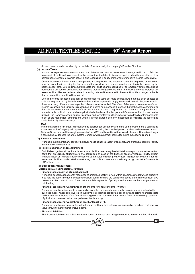dividends are recorded as a liability on the date of declaration by the company's Board of Directors.

## **(n) Income Taxes**

Income tax expense comprises current tax and deferred tax. Income tax expense is recognized in net profit in the statement of profit and loss except to the extent that it relates to items recognized directly in equity or other comprehensive income, in which case it is also recognized in equity or other comprehensive income respectively.

Current income tax for current and prior periods is recognized at the amount expected to be paid to or recovered from the tax authorities, using the tax rates and tax laws that have been enacted or substantively enacted by the balance sheet date. Deferred income tax assets and liabilities are recognized for all temporary differences arising between the tax base of assets and liabilities and their carrying amounts in the financial statements. Deferred tax assets and liabilities are reviewed at each reporting date and the reduced to the extent that it is no longer probable that the related tax benefit will be realized.

Deferred income tax assets and liabilities are measured using tax rates and tax laws that have been enacted or substantively enacted by the balance sheet date and are expected to apply to taxable income in the years in which those temporary differences are expected to be recovered or settled. The effect of changes in tax rates on deferred income tax assets and liabilities is recognized as income or expense in the period that includes the enactment or the substantive enactment date. A deferred income tax asset is recognized to the extent that it is probable that future taxable profit will be available against which the deductible temporary differences and tax losses can be utilized. The Company offsets current tax assets and current tax liabilities, where it has a legally enforceable right to set off the recognized amounts and where it intends either to settle on a net basis, or to realize the assets and settle the liability simultaneously.

#### **MAT**

Minimum Alternate Tax credit is recognized as deferred tax asset only when and to the extent there is convincing evidence that the Company will pay normal income tax during the specified period. Such asset is reviewed at each Balance Sheet date and the carrying amount of the MAT credit asset is written down to the extent there is no longer a convincing evidence to the effect that the Company will pay normal income tax during the specified period.

#### **(o) Financial instruments**

Afinancial instrument is any contract that gives rise to a financial asset of one entity and a financial liability or equity instrument of another entity.

## **(i) Initial Recognition and measurement**

On initial recognition, all the financial assets and liabilities are recognized at its fair value plus or minus transaction costs that are directly attributable to the acquisition or issue of the financial asset or financial liability except financial asset or financial liability measured at fair value through profit or loss. Transaction costs of financial assets and liabilities carried at fair value through the profit and loss are immediately recognized in the Statements of Profit and Loss.

#### **(ii) Subsequent measurement**

## **(A) Non-derivative financial instruments**

#### **- Financial assets carried at amortised cost**

Afinancial asset is subsequently measured at amortised cost if it is held within a business model whose objective is to hold the asset in order to collect contractual cash flows and the contractual terms of the financial asset give rise on specified dates to cash flows that are solely payments of principal and interest on the principal amount outstanding.

#### **- Financial assets at fair value through other comprehensive income (FVTOCI)**

A financial asset is subsequently measured at fair value through other comprehensive income if it is held within a business model whose objective is achieved by both collecting contractual cash flows and selling financial assets and the contractual terms of the financial asset give rise on specified dates to cash flows that are solely payments of principal and interest on the principal amount outstanding.

### **- Financial assets at fair value through profit or loss (FVTPL)**

Afinancial asset is measured at fair value through profit and loss unless it is measured at amortised cost or at fair value through other comprehensive income.

#### **- Financial liabilities**

The financial liabilities are subsequently carried at amortised cost using the effective interest method. For trade



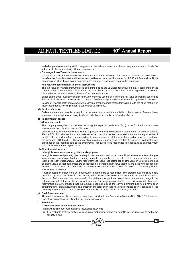# 40<sup>th</sup> Annual Report

and other payables maturing within one year from the balance sheet date, the carrying amounts approximate fair value due to the short maturity of these instruments.

## **- Derecognition of financial instruments**

Afinancial asset is derecognized when the contractual rights to the cash flows from the financial asset expire or it transfers the financial asset and the transfer qualifies for derecognition under Ind AS 109. A financial liability is derecognized when the obligation specified in the contract is discharged or cancelled or expired.

## **- Fair value measurement of financial instruments**

The fair value of financial instruments is determined using the valuation techniques that are appropriate in the circumstances and for which sufficient data are available to measure fair value, maximizing the use of relevant observable inputs and minimizing the use of unobservable inputs.

Based on the three level fair value hierarchy, the methods used to determine the fair value of financial assets and liabilities include quoted market price, discounted cash flow analysis and valuation certified by the external valuer. In case of financial instruments where the carrying amount approximates fair value due to the short maturity of those instruments, carrying amount is considered as fair value.

### **(B) Ordinary Shares**

Ordinary shares are classified as equity. Incremental costs directly attributable to the issuance of new ordinary shares and share options are recognized as a deduction from equity, net of any tax effects.

## **(p) Impairment of assets**

## **(a) Financial assets**

The company recognizes loss allowances using the expected credit loss (ECL) model for the financial assets which are not fair valued through profit or loss.

Loss allowance for trade receivable with no significant financing component is measured at an amount equal to lifetime ECL. For all other financial assets, expected credit losses are measured at an amount equal to the 12 month ECL, unless there has been a significant increase in credit risk from initial recognition in which case those are measured at lifetime ECL. The amount of expected credit losses (or reversal) that is required to adjust the loss allowance at the reporting date to the amount that is required to be recognized is recognized as an impairment gain or loss in statement of profit or loss.

## **(b) Non-financial assets**

## **Intangible assets and property, plant and equipment**

Intangible assets and property, plant and equipment are evaluated for recoverability whenever events or changes in circumstances indicate that their carrying amounts may not be recoverable. For the purpose of impairment testing, the recoverable amount (i.e. the higher of the fair value less cost to sell and the value-in-use) is determined on an individual asset basis unless the asset does not generate cash flows that they are largely independent of those from other assets. In such cases, the recoverable amount is determined for the Cash Generating Unit to which the asset belongs.

If such assets are considered to be impaired, the impairment to be recognized in the statement of profit and loss is measured by the amount by which the carrying value of the assets exceeds the estimated recoverable amount of the asset. An impairment loss is reversed in the statement of profit and loss if there has been a change in the estimates used to determine the recoverable amount. The carrying amount of the asset is increased to its revised recoverable amount, provided that this amount does not exceed the carrying amount that would have been determined (net of any accumulated amortization or depreciation) had no impairment loss been recognized for the asset in prior years. Impairment is reviewed periodically , including at each financial year end.

## **(q) Cash flow statement**

The cash flow statement is prepared in accordance with the Indian Accounting Standard (Ind AS) - 7 "Statement of Cash flows" using the indirect method for operating activities.

## **(r) Provisions**

## **Aprovision shall be recognized when:**

An entity has a present obligation as a result of a past event :

(a) it is probable that an outflow of resources embodying economic benefits will be required to settle the obligation; and



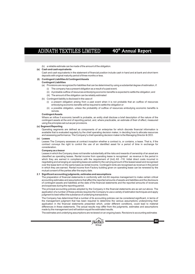- (b) a reliable estimate can be made of the amount of the obligation.
- **(s) Cash and cash equivalents**
	- Cash and cash equivalents in the statement of financial position include cash in hand and at bank and short-term deposits with original maturity period of three months or less.

## **(t) Contingent Liabilities & Contingent Assets**

## **Contingent Liabilities**

- (a) Provisions are recognized for liabilities that can be determined by using a substantial degree of estimation, if: (i) The company has a present obligation as a result of a past event;
	- (ii) Aprobable outflow of resources embodying economic benefits is expected to settle the obligation; and
	- (iii) The amount of the obligation can be reliably estimated
- (b) Contingent liability is disclosed in the case of:
	- (i) a present obligation arising from a past event when it is not probable that an outflow of resources embodying economic benefits will be required to settle the obligation or
	- (ii) a possible obligation, unless the probability of outflow of resources embodying economic benefits is remote.

## **Contingent Assets**

Where an inflow if economic benefit is probable, an entity shall disclose a brief description of the nature of the contingent assets at the end of reporting period, and, where practicable, an estimate of their of effect, measured using the principles set out as per provisions.

#### **(u) Segment Reporting**

Operating segments are defined as components of an enterprise for which discrete financial information is available that is evaluated regularly by the chief operating decision maker, in deciding how to allocate resources and assessing performance. The Company's chief operating decision maker is the Managing Director & CEO.

## **(v) Leases**

Leases The Company assesses at contract inception whether a contract is, or contains, a lease. That is, if the contract conveys the right to control the use of an identified asset for a period of time in exchange for consideration.

#### **Company as a lessor**

Leases in which the Company does not transfer substantially all the risks and rewards of ownership of an asset are classified as operating leases. Rental income from operating lease is recognised as revenue in the period in which they are earned in compliance with the requirement of (Ind) AS -116. Initial direct costs incurred in negotiating and arranging an operating lease are added to the carrying amount of the leased asset and recognised over the lease term on the same basis as rental income. Contingent rents are recognised as revenue in the period in which they are earned. Rental income from Factory building given on operating lease can be renewed by the mutual consent of the parties after the expiry date.

## **2.1 Significant accounting judgments, estimates and assumptions**

The preparation of financial statements in conformity with Ind AS requires management to make certain critical accounting estimates and assumptions that affect the reported amounts of assets and liabilities and the disclosure of contingent assets and liabilities at the date of the financial statements and the reported amounts of revenues and expenses during the reporting period.

The principal accounting policies adopted by the Company in the financial statements are as set out above. The application of a number of these policies requires the Company to use a variety of estimation techniques and apply judgment to best reflect the substance of underlying transactions.

The Company has determined that a number of its accounting policies can be considered significant, in terms of the management judgment that has been required to determine the various assumptions underpinning their application in the financial statements presented which, under different conditions, could lead to material differences in these statements. The actual results may differ from the judgments, estimates and assumptions made by the management and will seldom equal the estimated results.

The estimates and underlying assumptions are reviewed on an ongoing basis. Revisions to accounting estimates



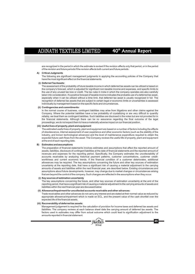# 40<sup>th</sup> Annual Report

are recognized in the period in which the estimate is revised if the revision affects only that period, or in the period of the revision and future periods if the revision affects both current and future periods.

## **A) Critical Judgments**

The following are significant management judgments in applying the accounting policies of the Company that have the most significant effect on the financial statements.

### **(i) Deferred Tax Assets:**

The assessment of the probability of future taxable income in which deferred tax assets can be utilized is based on the company's forecast, which is adjusted for significant non-taxable income and expenses, and specific limits to the use of any unused tax loss or credit. The tax rules in India in which the company operates are also carefully taken into consideration. If a positive forecast of taxable income indicates the probable use of a deferred tax asset, especially when it can be utilized without a time limit, that deferred tax asset is usually recognized in full. The recognition of deferred tax assets that are subject to certain legal or economic limits or uncertainties is assessed individually by management based on the specific facts and circumstances.

### **(ii) Contingencies and commitments:**

In the normal course of business, contingent liabilities may arise from litigations and other claims against the Company. Where the potential liabilities have a low probability of crystallizing or are very difficult to quantify reliably, we treat them as contingent liabilities. Such liabilities are disclosed in the notes but are not provided for in the financial statements. Although there can be no assurance regarding the final outcome of the legal proceedings, we do not expect them to have a materially adverse impact on our financial position.

## **(iii) Useful lives of property, plant and equipment**

The estimated useful lives of property, plant and equipment are based on a number of factors including the effects of obsolescence, internal assessment of user experience and other economic factors (such as the stability of the industry, and known technological advances) and the level of maintenance expenditure required to obtain the expected future cash flows from the asset. The Company reviews the useful life of property, plant and equipment at the end of each reporting date.

## **B) Estimates and assumptions**

The preparation of financial statements involves estimates and assumptions that affect the reported amount of assets, liabilities, disclosure of contingent liabilities at the date of financial statements and the reported amount of revenues and expenses for the reporting period. Specifically, the Company estimates the uncollectability of accounts receivable by analyzing historical payment patterns, customer concentrations, customer creditworthiness and current economic trends. If the financial condition of a customer deteriorates, additional allowances may be required. The key assumptions concerning the future and other key sources of estimation uncertainty at the reporting date, that have a significant risk of causing a material adjustment to the carrying amounts of assets and liabilities within the next financial year, are described below. Existing circumstances and assumptions about future developments, however, may change due to market changes or circumstances arising that are beyond the control of the company. Such changes are reflected in the assumptions when they occur.

## **(i) Key sources of estimation uncertainty**

The key assumptions concerning the future, and other key sources of estimation uncertainty at the end of the reporting period, that have a significant risk of causing a material adjustment to the carrying amounts of assets and liabilities within the next financial year are discussed below:

## **(ii) Allowance/Impairment for uncollected accounts receivable and other advances:**

Trade receivables and other advances do not carry any interest and are stated at their normal value as reduced by appropriate allowance/impairment which is made on ECL, and the present value of the cash shortfall over the expected life of the financial assets.

## **(iii) Recoverability of deferred tax assets:**

Management judgement is required for the calculation of provision for income taxes and deferred tax assets and liabilities. The company reviews at each balance sheet date the carrying amount of deferred tax assets. The factors used in estimates may differ from actual outcome which could lead to signification adjustment to the amounts reported in financial statement.

®

**45**

**Group**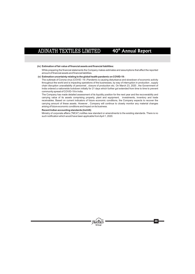## **(iv) Estimation of fair value of financial assets and financial liabilities:**

While preparing the financial statements the Company makes estimates and assumptions that affect the reported amount of financial assets and financial liabilities.

#### **Estimation uncertainty relating to the global health pandemic on COVID-19 : (v)**

The outbreak of Corona virus (COVID -19 ) Pandemic is causing disturbance and slowdown of economic activity throughout the world and is impacting operations of the businesses, by way of interruption in production , supply chain disruption unavailabilty of personnel , closure of production etc. On March 23, 2020 , the Government of India ordered a nationwide lockdown initially for 21 days which further got extended from time to time to prevent community spread of COVID-19 in India.

The Company has made detailed assessment of its liquidity position for the next year and the recoverability and carrying value of its assets comprising property, plant and equipment, investments, inventory and trade receivables. Based on current indicators of future economic conditions, the Company expects to recover the carrying amount of these assets. However , Company will continue to closely monitor any material changes arising of future economic conditions and impact on its business.

## **Recent Indian accounting standards (Ind AS)**

Ministry of corporate affairs ("MCA") notifies new standard or amendments to the existing standards. There is no such notification which would have been applicable from April 1, 2020.

**Group**

®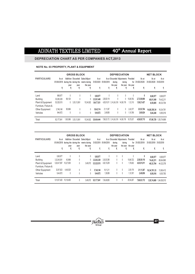## **DEPRECIATION CHART AS PER COMPANIES ACT,2013**

## **NOTE No. 03 PROPERTY, PLANT & EQUIPMENT**

|                      |                     |          | <b>GROSS BLOCK</b>            |                                                              |                     |             |                         | <b>DEPRECIATION</b>                            |                   |                         | <b>NET BLOCK</b>               |                       |
|----------------------|---------------------|----------|-------------------------------|--------------------------------------------------------------|---------------------|-------------|-------------------------|------------------------------------------------|-------------------|-------------------------|--------------------------------|-----------------------|
| <b>PARTICULARS</b>   | As at<br>01/04/2019 | year     | during the during the<br>vear | Addition Discarded Sales/Adjust-<br>ments during<br>the year | As at<br>31/03/2020 | 01/04/2019  | durina<br>the year      | As at Discarded Adjustments Provided<br>during | the year the year | As at<br>for 31/03/2020 | As at<br>31/03/2020 31/03/2019 | As at                 |
|                      | ₹                   | ₹        | ₹                             | ₹                                                            | ₹                   | ₹           | ₹                       | ₹                                              | ₹                 | ₹                       | ₹                              | ₹                     |
| Land                 | 868,977             | 0        | 0                             | 0                                                            | 8.68.977            | 0           | 0                       | 0                                              | 0                 | 0                       | 8.68.977                       | 8.68.977              |
| <b>Building</b>      | 33,292,329          | 69,120   |                               |                                                              | 3,33,61,449         | 2,58,50,118 | 0                       | 0                                              | 15,09,782         | 2,73,59,900             | 60,01,549                      | 74.42.211             |
| Plant & Equipment    | 53,325,515          | 0        | 3,53,13,561                   | 15.34.922                                                    | 1.64.77.031         |             | 4,83,91,811 3,14,24,318 | 14.58.176                                      | 1,12,110          | 1,56,21,427             | 8,55,605                       | 49,33,704             |
| Furniture, Fixture & |                     |          |                               |                                                              |                     |             |                         |                                                |                   |                         |                                |                       |
| Other Equipment      | 3.746.148           | 95.966   | 0                             | 0                                                            | 38,42.114           | 21.11.387   | 0                       | 0                                              | 2.42.377          | 23.53.764               | 14.88.350.34                   | 16,34,761             |
| Vehicles             | 944.872             | 0        | 0                             | 0                                                            | 9,44,872            | 2,49,856    | 0                       | 0                                              | 1,10,768          | 3,60,624                | 5,84,248                       | 6,95,016              |
| Total                | 92.177.841          | 1,65,086 | 3.53.13.561                   | 15.34.922                                                    | 5,54,94,444         |             | 7.66.03.172 3.14.24.318 | 14,58,176                                      | 19.75.037         | 4,56,95,715             |                                | 97,98,729 1,55,74,669 |

|                      |                     |           | <b>GROSS BLOCK</b>    |                                                  |                     |             |               | <b>DEPRECIATION</b>                            |                        |                     | <b>NET BLOCK</b>    |                     |
|----------------------|---------------------|-----------|-----------------------|--------------------------------------------------|---------------------|-------------|---------------|------------------------------------------------|------------------------|---------------------|---------------------|---------------------|
| <b>PARTICULARS</b>   | As at<br>01/04/2018 |           | during the during the | Addition Discarded Sales/Adjust-<br>ments during | As at<br>31/03/2019 | 01/04/2018  | during        | As at Discarded Adjustments Provided<br>during | for                    | As at<br>31/03/2019 | As at<br>31/03/2019 | As at<br>31/03/2018 |
|                      | ₹                   | year<br>₹ | vear<br>₹             | the year<br>₹                                    | ₹                   | ₹           | the year<br>₹ | ₹                                              | the year the year<br>₹ | ₹                   | ₹                   | ₹                   |
| Land                 | 8,68,977            | 0         | 0                     | 0                                                | 8.68.977            | 0           | 0             | 0                                              | 0                      | 0                   | 8,68,977            | 8,68,977            |
| <b>Building</b>      | 3.32.48.361         | 43.968    | 0                     |                                                  | 3.32.92.329         | 2.42.83.396 | 0             | 0                                              | 15.66.722              | 2.58.50.118         | 74.42.211           | 89,64,965           |
| Plant & Equipment    | 5.26.47.587         | 10.27.000 | 0                     | 3.49.072                                         | 5,33,25,515         | 4,82,15,209 | 0             | 0                                              | 1,76,602               | 4,83,91,811         | 49.33.704           | 44.32.378           |
| Furniture, Fixture & |                     |           |                       |                                                  |                     |             |               |                                                |                        |                     |                     |                     |
| Other Equipment      | 32,97,623           | 4,48,525  | 0                     | 0                                                | 37.46.148           | 19,11,211   | 0             | 0                                              | 2,00,176               | 21,11,387           | 16.34.761.33        | 13,86,412           |
| Vehicles             | 9.44.872            | 0         | 0                     | 0                                                | 9.44.872            | 1.39.089    | 0             | 0                                              | 1.10.767               | 2.49.856            | 6,95,016            | 8,05,783            |
| Total                | 9,10,07,420         | 15,19,493 | 0                     | 3.49.072                                         | 9,21,77,841         | 7.45.48.905 | 0             | 0                                              | 20.54.267              | 7.66.03.172         | 1.55.74.669         | 1,64,58,515         |

**Group**

®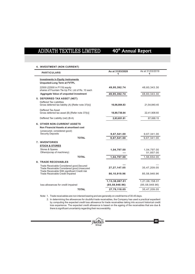| <b>PARTICULARS</b>                                                                                                                        | As at 31/03/2020<br>₹ | As at 31/03/2019<br>₹ |
|-------------------------------------------------------------------------------------------------------------------------------------------|-----------------------|-----------------------|
| <b>Investments in Equity instruments</b><br><b>Unquoted-Long Term at FVTPL</b>                                                            |                       |                       |
| 22500 (22500 in FY19) equity<br>shares of Fountain Tie-Up Pvt. Ltd of Rs. 10 each                                                         | 49,95,392.74          | 48,60,343.30          |
| Aggregate Value of unquoted investment                                                                                                    | 49,95,392.74          | 48,60,343.30          |
| 5. DEFERRED TAX ASSET (NET)                                                                                                               |                       |                       |
| Deffered Tax Liabilities<br>Gross deferred tax liability (A) [Refer note 37(b)]                                                           | 16,06,084.83          | 21,54,840.45          |
| Deffered Tax Asset<br>Gross deferred tax asset (B) [Refer note 37(b)]                                                                     | 18,89,736.64          | 22,41,908.60          |
| Deffered Tax Liability (net) (B-A)                                                                                                        | 2,83,651.81           | 87,068.15             |
| <b>6. OTHER NON-CURRENT ASSETS</b><br>Non Financial Assets at amortised cost<br>(unsecured, considered good)<br><b>Security Deposits</b>  | 9,67,541.00           | 9,67,341.00           |
| <b>TOTAL</b>                                                                                                                              | 9,67,541.00           | 9,67,341.00           |
| <b>7. INVENTORIES</b><br><b>STOCK &amp; STORES</b><br>Stores & Spares                                                                     | 1,04,797.00           | 1,04,797.00           |
| Others(scrap of machinery)                                                                                                                |                       | 51,857.00             |
| <b>TOTAL</b>                                                                                                                              | 1,04,797.00           | 1,56,654.00           |
| <b>8. TRADE RECEIVABLES</b>                                                                                                               |                       |                       |
| Trade Receivable Considered good, Secured<br>Trade Receivable Considered good, Unsecured<br>Trade Receivable With significant Credit risk | 27, 27, 147.05        | 35,47,209.05          |
| Trade Receivable Credit Impaired                                                                                                          | 86,10,919.96          | 85,58,948.96          |
|                                                                                                                                           | 1,13,38,067.01        | 1,21,06,158.01        |
| loss allowances for credit impaired                                                                                                       | (85, 58, 948.96)      | (85, 58, 948.96)      |
| <b>TOTAL</b>                                                                                                                              | 27,79,118.05          | 35,47,209.05          |

## **4. INVESTMENT (NON CURRENT)**

Note: 1. Trade receivables are non interest bearing and are generally on credit terms of 30-45 days.

2. In determining the allowances for doubtful trade receivables, the Company has used a practical expedient by computing the expected credit loss allowance for trade receivables taking into account historical credit loss experience. The expected credit allowance is based on the ageing of the receivables that are due & there is significant uncertainty regarding their recoverability.



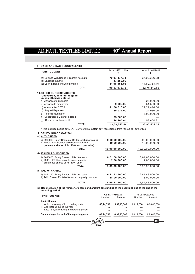# 40<sup>th</sup> Annual Report

## **9. CASH AND CASH EQUIVALENTS**

 $\overline{a}$ 

| <b>PARTICULARS</b>                                                                                                     | As at 31/03/2020 | As at 31/03/2019 |
|------------------------------------------------------------------------------------------------------------------------|------------------|------------------|
| (a) Balance With Banks in Current Accounts                                                                             | 79,07,477.71     | 37,92,366.38     |
| (b) Cheques in hand                                                                                                    | 37,250.00        |                  |
| (c) Cash in Hand (including Imprest)                                                                                   | 11,08,351.05     | 14,82,753.45     |
| <b>TOTAL</b>                                                                                                           | 90,53,078.76     | 52,75,119.83     |
| <b>10. OTHER CURRENT ASSETS</b><br>(Unsecured, considered good<br>unless otherwise stated)<br>a) Advances to Suppliers |                  | 25,000.00        |
| b) Advance to employees                                                                                                | 9,000.00         | 54,500.00        |
| c) Advance tax & TDS                                                                                                   | 41,06,618.00     | 27,29,418.00     |
| d) Prepaid Expenses                                                                                                    | 35,031.00        | 24,980.00        |
| e) Taxes recoverable*                                                                                                  |                  | 5,00,000.00      |
| <b>Construction Material in Hand</b><br>f)                                                                             | 93,803.00        |                  |
| Other amount receivable<br>$\mathfrak{g}$ )                                                                            | 1,14,205.64      | 58,604.31        |
| <b>TOTAL</b>                                                                                                           | 43,58,657.64     | 33.92.502.31     |

\* This includes Excise duty, VAT, Service tax & custom duty recoverable from various tax authorities.

## **11. EQUITY SHARE CAPITAL (a) AUTHORISED**

| (47.79.119.1947)                                                                            |                 |                 |
|---------------------------------------------------------------------------------------------|-----------------|-----------------|
| i) 9900000 Equity Shares of Rs.10/- each (par value)                                        | 9,90,00,000.00  | 9.90.00.000.00  |
| ii) 10000, 11% Reedemable Non-cumulative<br>preference shares of Rs. 100/- each (par value) | 10,00,000.00    | 10,00,000.00    |
| <b>TOTAL</b>                                                                                | 10,00,00,000.00 | 10,00,00,000.00 |
| (b) ISSUED & SUBSCRIBED                                                                     |                 |                 |
| i) 8616800 Equity Shares of Rs.10/- each.                                                   | 8,61,68,000.00  | 8,61,68,000.00  |
| ii) 2000, 11% Reedemable Non-cumulative<br>preference shares of Rs. 100/- each              | 2,00,000.00     | 2.00.000.00     |
| <b>TOTAL</b>                                                                                | 8,63,68,000.00  | 8,63,68,000.00  |
| (c) PAID UP CAPITAL                                                                         |                 |                 |
| i) 6814350 Equity Shares of Rs.10/- each.                                                   | 6,81,43,500.00  | 6,81,43,500.00  |
| ii) Add: Shares Forfeited (Amount originally paid up)                                       | 18.00.000.00    | 18.00.000.00    |
| <b>TOTAL</b>                                                                                | 6,99,43,500.00  | 6,99,43,500.00  |
|                                                                                             |                 |                 |

**(d) Reconcilliation of the number of shares and amount outstanding at the beginning and at the end of the reporting period :**

| <b>PARTICULARS</b>                             |               | As at 31/03/2020 |           | As at 31/03/2019 |  |
|------------------------------------------------|---------------|------------------|-----------|------------------|--|
|                                                | <b>Number</b> | Amount           | Number    | Amount           |  |
| <b>Equity Shares</b>                           |               |                  |           |                  |  |
| i) At the beginning of the reporting period    | 68.14.350     | 6.99.43.500      | 68.14.350 | 6.99.43.500      |  |
| ii) Add: Issued during the year                | ---           | ---              |           |                  |  |
| iii) Less: Buyback during the reporting period | ---           | ---              | ---       | ---              |  |
| Outstanding at the end of the reporting period | 68,14,350     | 6,99,43,500      | 68,14,350 | 6,99,43,500      |  |
|                                                |               |                  |           |                  |  |
|                                                |               |                  |           |                  |  |
|                                                |               |                  |           |                  |  |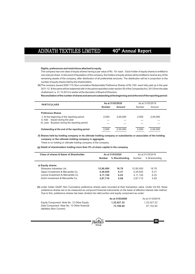## **Rights, preferences and restrictions attached to equity**

The company has one class of equity shares having a par value of Rs. 10/- each. Each holder of equity shares is entitled to one vote per share. In the event of liquidation of the company, the holders of equity shares will be entitled to receive any of the remaining assets of the company, after distribution of all preferential amounts. The distribution will be in proportion to the number of equity shares held by the shareholders.

The company issued 2000 11% Non-cumulative Redeemable Preference Shares of Rs.100/- each fully paid up in the year **(e)** 2011-12 & the same will be redeemed with in the period specified under section 55 of the Companies Act, 2013 from the date of allotment i.e. 31.10.2012 or earlier at the discretion of Board of Directors.

**Reconciliationofthenumberofshares andamountoutstandingatthebeginningandatthe endofthe reportingperiod:**

| <b>PARTICULARS</b>                             | As at 31/03/2020 |          | As at 31/03/2019 |          |
|------------------------------------------------|------------------|----------|------------------|----------|
|                                                | Number           | Amount   | Number           | Amount   |
| <b>Preference Shares</b>                       |                  |          |                  |          |
| i) At the beginning of the reporting period    | 2.000            | 2.00.000 | 2.000            | 2.00.000 |
| ii) Add: Issued during the year                | $- - -$          | ---      | ---              | ---      |
| iii) Less: Buyback during the reporting period | $---$            | ---      | ---              |          |
| Outstanding at the end of the reporting period | 2.000            | 2.00.000 | 2.000            | 2.00.000 |

**(f) Shares held by holding company or its ultimate holding company or subsidiaries or associates of the holding company or the ultimate holding company in aggregate.**

There is no holding or ultimate holding company of the company.

**(g) Detail of shareholders holding more than 5% of share capital in the company**

| Class of shares & Name of Shareholder                                                                                                                        |                                               | As at 31/03/2020              | As at 31/03/2019                              |                               |  |
|--------------------------------------------------------------------------------------------------------------------------------------------------------------|-----------------------------------------------|-------------------------------|-----------------------------------------------|-------------------------------|--|
|                                                                                                                                                              | <b>Number</b>                                 | % Shareholding                | Number                                        | % Shareholding                |  |
| a) Equity shares<br>Shreyans Industries Ltd.<br>Ojasvi Investment & Mercantile Co.<br>Levina Investment & Mercantile Co.<br>Achin Investment & Mercantile Co | 12,80,000<br>4.29.920<br>4,11,150<br>3.87.710 | 18.78<br>6.31<br>6.03<br>5.69 | 12.80.000<br>4.29.920<br>4.11.150<br>3.87.710 | 18.78<br>6.31<br>6.03<br>5.69 |  |

**(h)** under Indian GAAP, Non Cumulative preference shares were recorded at their transaction value. Under Ind AS, these preference shares are to be measured as compound financial instruments on the basis of effective interest rate method. Due to this, preference shares has been divided into debt portion and equity component as under:

|                                             | As at 31/03/2020 | As at 31/03/2019 |
|---------------------------------------------|------------------|------------------|
| Equity Component- Note No. 12 Other Equity  | 1.22.027.22      | 1.22.027.22      |
| Debt Component- Note No. 13 Other financial | 73.196.60        | 67.152.84        |
| liabilities (Non Current)                   |                  |                  |

®

**Group**



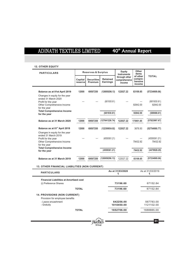## **12. OTHER EQUITY**

| <b>PARTICULARS</b>                                                                                                         | <b>Reserves &amp; Surplus</b> |                              |                                    | Equity<br><b>Instruments</b>             | Other<br>items                           |                          |
|----------------------------------------------------------------------------------------------------------------------------|-------------------------------|------------------------------|------------------------------------|------------------------------------------|------------------------------------------|--------------------------|
|                                                                                                                            | Capital<br>reserve            | <b>Securities</b><br>Premium | <b>Retained</b><br><b>Earnings</b> | through other<br>comprehensive<br>income | of other<br>compre-<br>hensive<br>income | <b>TOTAL</b>             |
| Balance as at 01st April 2019                                                                                              | 12000                         | 69507250                     | (126959296.13)                     | 122027.22                                | 83109.85                                 | (57234909.06)            |
| Changes in equity for the year<br>ended 31 March 2020<br>Profit for the year<br>Other Comprehensive Income<br>for the year |                               |                              | (681930.61)                        |                                          | 92842.00                                 | (681930.61)<br>92842.00  |
| <b>Total Comprehensive Income</b><br>for the year                                                                          |                               |                              | (681930.61)                        |                                          | 92842.00                                 | (589088.61)              |
| Balance as at 31 March 2020                                                                                                | 12000                         | 69507250                     | (127641226.74)                     | 122027.22                                | 175951.85                                | (57823997.67)            |
| Balance as at 01 <sup>st</sup> April 2018                                                                                  | 12000                         | 69507250                     | (122399934.92)                     | 122027.22                                | 3676.93                                  | (52754980.77)            |
| Changes in equity for the year<br>ended 31 March 2019<br>Profit for the year<br>Other Comprehensive Income<br>for the year |                               |                              | (4559361.21)                       |                                          | 79432.92                                 | (4559361.21)<br>79432.92 |
| <b>Total Comprehensive Income</b><br>for the year                                                                          |                               |                              | (4559361.21)                       |                                          | 79432.92                                 | (4479928.29)             |
| Balance as at 31 March 2019                                                                                                | 12000                         | 69507250                     | (126959296.13)                     | 122027.22                                | 83109.85                                 | (57234909.06)            |

## **13. OTHER FINANCIAL LIABILITIES (NON CURRENT)**

| <b>PARTICULARS</b>                             | As at 31/03/2020<br>₹ | As at 31/03/2019 |
|------------------------------------------------|-----------------------|------------------|
| <b>Financial Liabilities at Amortized cost</b> |                       |                  |
| (i) Preference Shares                          | 73196.60              | 67152.84         |
| <b>TOTAL</b>                                   | 73196.60              | 67152.84         |
| <b>14. PROVISIONS (NON CURRENT)</b>            |                       |                  |
| Provision for employee benefits                |                       |                  |
| - Leave encashment                             | 642256.00             | 567783.00        |
| - Gratuity                                     | 1010450.00            | 1121102.00       |
| <b>TOTAL</b>                                   | 1652706.00            | 1688885.00       |

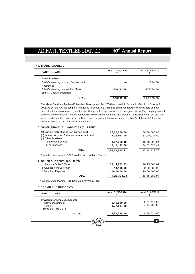## **15. TRADE PAYABLES**

| <b>PARTICULARS</b>                                                                 | As at 31/03/2020 | As at 31/03/2019 |
|------------------------------------------------------------------------------------|------------------|------------------|
| <b>Trade Payables</b><br>Total Outstanding to Micro, Small & Medium<br>enterprises | ---              | 11094.00         |
| Total Outstanding to other than Micro,<br>Small & Medium enterprises               | 556193.58        | 565274.30        |
| <b>TOTAL</b>                                                                       | 556193.58        | 5,76,368.30      |

The Micro, Small and Medium Enterprises Development Act, 2006 has come into force with effect from October 2, 2006. As per the Act, the company is required to identify the Micro and Small Vendors/Service providers and pay interest to them on overdue beyond the specified period irrespective of the terms agreed upon. The company has not received any confirmation from its Vendors/Service Providers regarding their status of registration under the said Act, which has been relied upon by the auditors, hence prescribed disclosures under Section 22 of the said Act has been provided in note no. 32 to financial statements.

## **16. OTHER FINANCIAL LIABILITIES (CURRENT)**

| (a) Current maturities of non-current debt<br>(b) Interest accrued & due on non-current debt.<br>(c) Other Payables | 60,00,000.00<br>37,25,911.00 | 60,00,000.00<br>37,25,911.00 |
|---------------------------------------------------------------------------------------------------------------------|------------------------------|------------------------------|
| i) Employee Benefits*                                                                                               | 9.87.752.12                  | 13.76.990.24                 |
| ii) For Expenses                                                                                                    | 19,10,142.00                 | 24.32.028.49                 |
| <b>TOTAL</b>                                                                                                        | 1,26,23,805.12               | 1.35.34.929.73               |

\* includes dues towards ESI, Provident fund, Welfare Fund etc.

| <b>17. OTHER CURRENT LIABILITIES</b> |                 |              |
|--------------------------------------|-----------------|--------------|
| i) Statutory Duties & Taxes*         | 27, 11, 202. 23 | 28.15.386.07 |
| ii) Advance from Customer            | 14.136.00       | 2,36,880.00  |
| iii) Securities Payables             | 2,00,00,00.00   | 15.66.000.00 |
| <b>TOTAL</b>                         | 47,25,338.23    | 46.18.266.07 |

\* includes dues towards TDS, Sale tax, Entry tax & GST.

## **18. PROVISIONS (CURRENT)**

| <b>PARTICULARS</b>                                                                              | As at 31/03/2020                  | As at 31/03/2019             |
|-------------------------------------------------------------------------------------------------|-----------------------------------|------------------------------|
| Provision for Employee benefits.<br>- Leave encashment<br>- Gratuity<br>Provison for Income Tax | 2,12,690.00<br>3,77,534.00<br>--- | 2,51,777.00<br>4, 14, 937.00 |
| <b>TOTAL</b>                                                                                    | 5,90,224.00                       | 6,66,714.00                  |
|                                                                                                 |                                   | 52                           |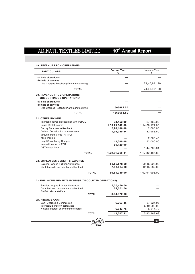| <b>PARTICULARS</b>                                                             |              | <b>Current Year</b><br>₹    | Previous Year<br>₹             |
|--------------------------------------------------------------------------------|--------------|-----------------------------|--------------------------------|
| (a) Sale of products<br>(b) Sale of services                                   |              | ---                         |                                |
| Job Charges Received (Yarn manufacturing)                                      |              |                             | 74,46,991.20                   |
| <b>TOTAL</b>                                                                   |              |                             | 74,46,991.20                   |
| <b>20. REVENUE FROM OPERATIONS</b><br>(DISCONTINUED OPERATIONS)                |              |                             |                                |
| (a) Sale of products<br>(b) Sale of services                                   |              |                             |                                |
| Job Charges Received (Yarn manufacturing)                                      |              | 1566661.50                  |                                |
| <b>TOTAL</b>                                                                   |              | 1566661.50                  |                                |
| <b>21. OTHER INCOME</b>                                                        |              |                             |                                |
| Interest received on securities with PSPCL                                     |              | 33,152.00                   | 27,362.00                      |
| Lease Rental income                                                            |              | 1,33,79,842.00              | 1,14,00,174.00                 |
| Sundry Balances written back                                                   |              | 2,26,186.00                 | 2,608.00                       |
| Gain on fair valuation of investments                                          |              | 1,35,049.44                 | 1,42,988.60                    |
| through profit & loss (FVTPL)                                                  |              |                             |                                |
| Misc. Income                                                                   |              |                             | 2,566.45                       |
| <b>Legal Consultancy Charges</b>                                               |              | 12,000.00                   | 12,000.00                      |
| Interest income on FDR                                                         |              | 85,129.00                   |                                |
| <b>GST</b> written back                                                        |              |                             | 1,44,788.84                    |
|                                                                                | <b>TOTAL</b> | 1,38,71,358.44              | 1, 17, 32, 487.89              |
| <b>22. EMPLOYEES BENEFITS EXPENSE</b>                                          |              |                             |                                |
|                                                                                |              |                             |                                |
| Salaries, Wages & Other Allowances<br>Contribution to provident and other fund |              | 58,56,578.00<br>7,93,884.00 | 90,15,026.00<br>12, 15, 632.00 |
|                                                                                |              |                             |                                |
|                                                                                | <b>TOTAL</b> | 66,81,949.90                | 1,02,91,993.00                 |
| 23. EMPLOYEES BENEFITS EXPENSE (DISCOUNTED OPERATIONS)                         |              |                             |                                |
| Salaries, Wages & Other Allowances                                             |              | 5,30,470.00                 |                                |
| Contribution to provident and other fund<br>Staff & Labour Welfare             |              | 74,502.00                   |                                |
|                                                                                | <b>TOTAL</b> | 6,04,972.00                 | $- - -$                        |
| <b>24. FINANCE COST</b>                                                        |              |                             |                                |
| Bank Charges & Commission                                                      |              | 6,263.46                    | 37,624.96                      |
| Interest Expense on borrowings                                                 |              |                             | 5,40,000.00                    |
| Notional Interest on Preference shares                                         |              | 6,043.76                    | 5,544.73                       |
|                                                                                | <b>TOTAL</b> | 12,307.22                   | 5,83,169.69                    |
|                                                                                |              |                             |                                |
|                                                                                |              |                             |                                |

## **19. REVENUE FROM OPERATIONS**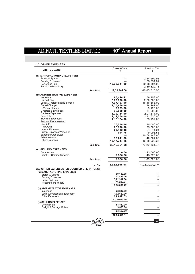# 40<sup>th</sup> Annual Report

| <b>PARTICULARS</b>                         |                  | <b>Current Year</b><br>₹    | Previous Year<br>₹ |
|--------------------------------------------|------------------|-----------------------------|--------------------|
| (a) MANUFACTURING EXPENSES                 |                  |                             |                    |
| Stores & Spares                            |                  |                             | 2, 14, 292.96      |
| <b>Packing Expenses</b>                    |                  |                             | 1,93,291.84        |
| Power and Fuel                             |                  | 19,38,944.00                | 39,38,304.00       |
| Repairs to Machinery                       |                  |                             | 2,59,622.16        |
|                                            | <b>Sub Total</b> | 19,38,944.00                | 46,05,510.96       |
|                                            |                  |                             |                    |
| (b) ADMINISTRATIVE EXPENSES<br>Insurance   |                  | 86,416.42                   | 79,158.00          |
| <b>Listing Fees</b>                        |                  | 3,00,000.00                 | 2,50,000.00        |
| Legal & Professional Expenses              |                  | 7,97,123.00                 | 18,18,368.00       |
| <b>Demat Charges</b>                       |                  | 1,20,669.00                 | 88,467.00          |
| E-Voting Charges                           |                  | 9,089.60                    | 9,120.00           |
| <b>Directors Sitting Fees</b>              |                  | 36,000.00                   | 34,500.00          |
| <b>Canteen Expenses</b>                    |                  |                             |                    |
| Fees & Taxes                               |                  | 1,29,134.00                 | 2,01,511.00        |
| <b>Traveling Expenses</b>                  |                  | 2,12,070.00                 | 2,11,735.00        |
| <b>Auditors Remuneration</b>               |                  | 1,16,124.00                 | 55,192.00          |
| - Audit Fee                                |                  | 30,000.00                   | 30,000.00          |
| - Tax Audit                                |                  | 25,000.00                   | 25,000.00          |
| Vehicle Expenses                           |                  | 63,412.46                   | 71,811.91          |
| Sundry Balances Written off                |                  | 694.75                      | 9,095.53           |
| <b>Expected Credit Loss</b>                |                  |                             | 30,58,948.96       |
| Advertisement                              |                  | 37,241.60                   | 40,604.00          |
| <b>Other Expenses</b>                      |                  | 13,47,747.15                | 16,38,620.35       |
|                                            | <b>Sub Total</b> | 33, 10, 721. 98             | 76, 22, 131. 75    |
| (c) SELLING EXPENSES                       |                  |                             |                    |
| Commission                                 |                  | 0.00                        | 1,23,000.00        |
| Freight & Cartage Outward                  |                  | 2,900.00                    | 45,220.00          |
|                                            |                  |                             |                    |
|                                            | <b>Sub Total</b> | 2,900.00                    | 1,68,220.00        |
|                                            | <b>TOTAL</b>     | 52,52,565.98                | 1,23,95,862.71     |
| 26. OTHER EXPENSES (DISCOUNTED OPERATIONS) |                  |                             |                    |
| (a) MANUFACTURING EXPENSES                 |                  |                             |                    |
| Stores & Spares                            |                  | 50,183.68                   |                    |
| <b>Packing Expenses</b>                    |                  | 41,499.00                   |                    |
| Power and Fuel                             |                  | 5,22,912.00                 |                    |
| Repairs to Machinery                       |                  | 46,207.04                   |                    |
|                                            |                  | 6,60,801.72                 |                    |
| (b) ADMINISTRATIVE EXPENSES                |                  |                             |                    |
| Insurance                                  |                  | 23,812.00                   |                    |
| Legal & Professional Expenses              |                  | 1,02,667.00                 |                    |
| <b>Other Expenses</b>                      |                  | 9,83,611.39<br>11,10,090.39 | ---                |
| (c) SELLING EXPENSES                       |                  |                             |                    |
|                                            |                  | 54,562.00                   |                    |
| Commission                                 |                  | 9,025.00                    |                    |
| Freight & Cartage Outward                  |                  |                             |                    |
|                                            |                  | 63,587.00                   |                    |
|                                            |                  |                             |                    |
|                                            |                  | 18,34,479.11                |                    |

## **25. OTHER EXPENSES**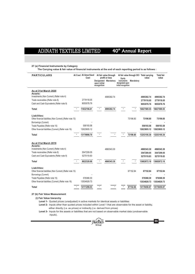## **27 (a) Financial Instruments by Category**

 **The Carrying value & fair value of financial instruments at the end of each reporting period is as follows :**

| <b>PARTICULARS</b>                                                        | At Cost At Amortised<br>Cost |              | At fair value through<br>profit or loss |                                          |           | At fair value through OCI Total carrying<br>value | <b>Total fair</b><br>value |
|---------------------------------------------------------------------------|------------------------------|--------------|-----------------------------------------|------------------------------------------|-----------|---------------------------------------------------|----------------------------|
|                                                                           |                              | upon initial | Designated Mandatory                    | Eauity<br>instruments<br>designated upon | Mandatory |                                                   |                            |
|                                                                           |                              | recognition  |                                         | initial recognition                      |           |                                                   |                            |
| As at 31st March 2020                                                     |                              |              |                                         |                                          |           |                                                   |                            |
| Assets:<br>Investments (Non Current) (Refer note 4)                       |                              |              |                                         |                                          |           |                                                   |                            |
| Trade receivables (Refer note 8)                                          | 2779118.05                   |              | 4995392.74                              |                                          |           | 4995392.74<br>2779118.05                          | 4995392.74<br>2779118.05   |
| Cash and Cash Equivalents (Refer note 9)                                  | 9053078.76                   |              |                                         |                                          |           | 9053078.76                                        | 9053078.76                 |
|                                                                           |                              |              |                                         |                                          |           |                                                   |                            |
| Total                                                                     | 11832196.81                  |              | 4995392.74                              |                                          |           | 16827589.55                                       | 16827589.55                |
| Liabilities:                                                              |                              |              |                                         |                                          |           |                                                   |                            |
| Other financial liabilities (Non Current) (Refer note 13)                 |                              |              |                                         |                                          | 73196.60  | 73196.60                                          | 73196.60                   |
| Borrowings (Current)                                                      |                              |              |                                         |                                          |           |                                                   |                            |
| Trade Payables (Refer note 15)                                            | 556193.58                    |              |                                         |                                          |           | 556193.58                                         | 556193.58                  |
| Other financial liabilities (Current) (Refer note 16)                     | 12623805.12                  |              |                                         |                                          |           | 12623805.12                                       | 12623805.12                |
| Total                                                                     | 13179998.70                  |              |                                         |                                          | 73196.60  | 13253195.30                                       | 13253195.30                |
|                                                                           |                              |              |                                         |                                          |           |                                                   |                            |
| As at 31st March 2019                                                     |                              |              |                                         |                                          |           |                                                   |                            |
| Assets:                                                                   |                              |              |                                         |                                          |           |                                                   |                            |
| Investments (Non Current) (Refer note 4)                                  |                              |              | 4860343.30                              |                                          |           | 4860343.30                                        | 4860343.30                 |
| Trade receivables (Refer note 8)                                          | 3547209.05<br>5275119.83     |              |                                         |                                          |           | 3547209.05                                        | 3547209.05                 |
| Cash and Cash Equivalents (Refer note 9)                                  |                              |              |                                         |                                          |           | 5275119.83                                        | 5275119.83                 |
| Total                                                                     | 8822328.88                   |              | 4860343.30                              |                                          |           | 13682672.18                                       | 13682672.18                |
|                                                                           |                              |              |                                         |                                          |           |                                                   |                            |
| Liabilities:<br>Other financial liabilities (Non Current) (Refer note 13) |                              |              |                                         |                                          | 67152.84  | 67152.84                                          | 67152.84                   |
| Borrowings (Current)                                                      |                              |              |                                         |                                          |           |                                                   |                            |
| Trade Payables (Refer note 15)                                            | 576368.30                    |              |                                         |                                          |           | 576368.30                                         | 576368.30                  |
| Other financial liabilities (Current) (Refer note 16)                     | 13534929.73                  |              |                                         |                                          |           | 13534929.73                                       | 13534929.73                |
| Total                                                                     | 14111298.03                  |              |                                         |                                          | 67152.84  | 14178450.87                                       | 14178450.87                |
|                                                                           |                              |              |                                         |                                          |           |                                                   |                            |

## **27 (b) Fair Value Measurement**

 **(i) Fair Value hierarchy**

**Level 1-** Quoted prices (unadjusted) in active markets for identical assets or liabilities

 **Level 2-** Inputs other than quoted prices included within Level 1 that are observable for the asset or liability, either directly (i.e. as prices) or indirectly (i.e. derived from prices)

> **Group Dhreyars**

**55**

 **Level 3-** Inputs for the assets or liabilities that are not based on observable market data (unobservable inputs).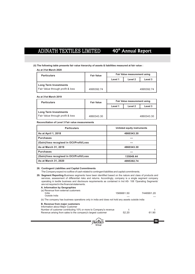# 40<sup>th</sup> Annual Report

**(ii) The following table presents fair value hierarchy of assets & liabilities measured at fair value :**

**As at 31st March 2020**

| <b>Particulars</b>               | <b>Fair Value</b> |         | Fair Value measurement using |            |
|----------------------------------|-------------------|---------|------------------------------|------------|
|                                  |                   | Level 1 | Level 2                      | Level 3    |
| <b>Long Term Investments</b>     |                   |         |                              |            |
| Fair Value through profit & loss | 4995392.74        |         |                              | 4995392.74 |

## **As at 31st March 2019**

| <b>Particulars</b>                                               | <b>Fair Value</b> |         | Fair Value measurement using |            |
|------------------------------------------------------------------|-------------------|---------|------------------------------|------------|
|                                                                  |                   | Level 1 | Level 2                      | Level 3    |
| <b>Long Term Investments</b><br>Fair Value through profit & loss | 4860343.30        |         |                              | 4860343.30 |

## **Reconciliation of Level 3 Fair value measurements**

| <b>Particulars</b>                       | Unlisted equity instruments |
|------------------------------------------|-----------------------------|
| As at April 1, 2018                      | 4860343.30                  |
| <b>Purchases</b>                         | ---                         |
| (Gain)/loss recogised in OCI/Profit/Loss | ---                         |
| As at March 31, 2019                     | 4860343.30                  |
| <b>Purchases</b>                         | ---                         |
| (Gain)/loss recogised in OCI/Profit/Loss | 135049.44                   |
| As at March 31, 2020                     | 4995392.74                  |

## **28. Contingent Liabilities and Capital Commitments**

The Company expect no outflow of cash related to contingent liabilities and capital commitments.

**29. Segment Reporting**-Business segments have been identified based on the nature and class of products and services, assessment of differential risks and returns. Accordingly, company is a single segment company operating in textile business and disclosure requirements as contained in Ind AS- 108 'Operating Segments' are not required in the financial statements.

## **A. Information by Geographies**

| (a) Revenue from external customers<br>India<br>Outside India                                                                                                                                                  | 1566661.50 | 7446991.20 |
|----------------------------------------------------------------------------------------------------------------------------------------------------------------------------------------------------------------|------------|------------|
| (b) The company has business operations only in india and does not hold any assets outside india                                                                                                               |            |            |
| <b>B. Revenue from major customers</b><br>Information about Major Customer<br>Number of customer contributing 10% or more to Company's revenue<br>Revenue arising from sales to the company's largest customer | 52.20      | 61.90      |
|                                                                                                                                                                                                                |            |            |
|                                                                                                                                                                                                                |            |            |

**Group**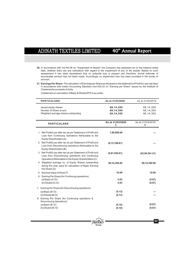- **30.** In accordance with Ind AS-36 on "Impairment of Assets" the Company has assessed as on the balance sheet date, whether there are any indications with regard to the impairment of any of the assets. Based on such assessment it has been ascertained that no potential loss is present and therefore, formal estimate of recoverable amount has not been made. Accordingly no impairment loss has been provided in the books of account.
- **31. Earnings Per Share:** The calculation of Earnings per Share as disclosed in the statement of Profit & Loss has been in accordance with Indian Accounting Standard (Ind AS)-33 on "Earning per Share" issued by the Institute of Chartered Accountants of India.

Astatement on calculation of Basic & Diluted EPS is as under:

| <b>PARTICULARS</b>                                                                                                                                                         | As at 31/03/2020                    | As at 31/03/2019                    |
|----------------------------------------------------------------------------------------------------------------------------------------------------------------------------|-------------------------------------|-------------------------------------|
| issued equity shares<br>Number of Share at end<br>Weighted average shares outstanding                                                                                      | 68,14,350<br>68,14,350<br>68,14,350 | 68,14,350<br>68,14,350<br>68,14,350 |
| <b>PARTICULARS</b>                                                                                                                                                         | As at 31/03/2020<br>₹               | As at 31/03/2019<br>₹               |
| 1. Net Profit/Loss after tax as per Statement of Profit and<br>Loss from Continuing Operations Attributable to the<br>Equity Shareholders (A)                              | 1,90,859.00                         |                                     |
| 2. Net Profit/Loss after tax as per Statement of Profit and<br>Loss from Discontinuing operations Attributable to the<br>Equity Shareholders (B)                           | (8,72,789.61)                       |                                     |
| 3. Net Profit/Loss after tax as per Statement of Profit and<br>Loss from Discontinuing operations and Continuing<br>Operations Attributable to the Equity Shareholders (C) | (6,81,930.61)                       | (45, 59, 361.21)                    |
| 4. Weighted average no. of Equity Shares outstanding<br>during the year used for calculation of Basic Earning<br>Per Share (D)                                             | 68,14,350.00                        | 68,14,350.00                        |
| 5. Nominal Value of Share ₹                                                                                                                                                | 10.00                               | 10.00                               |
| 6. Earning Per Share (for Continuing operations)                                                                                                                           |                                     |                                     |
| (a) Basic $(A/D)$<br>(b) Diluted $(A/D)$                                                                                                                                   | 0.03<br>0.03                        | (0.67)<br>(0.67)                    |
| 7. Earning Per Share (for Discontinuing operations)                                                                                                                        |                                     |                                     |
| (a) Basic $(B/D)$                                                                                                                                                          | (0.13)                              |                                     |
| (b) Diluted (B/D)<br>8. Earning Per Share (for Continuing operations &<br>Discontnuing Operations)                                                                         | (0.13)                              |                                     |
| (a) Basic $(B/D)$                                                                                                                                                          | (0.10)                              | (0.67)                              |
| $(b)$ Diluted $(B/D)$                                                                                                                                                      | (0.10)                              | (0.67)                              |

**Group**

®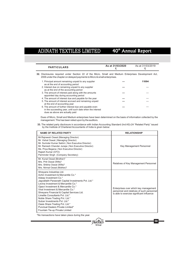| <b>PARTICULARS</b>                                                                                                                                                                | As at 31/03/2020 | As at 31/03/2019 |
|-----------------------------------------------------------------------------------------------------------------------------------------------------------------------------------|------------------|------------------|
| 32. Disclosures required under Section 22 of the Micro, Small and Medium Enterprises Development Act,<br>2006 under the chapter on delayed payments to Micro & small enterprises. |                  |                  |
| 1. Principal amount remaining unpaid to any supplier<br>as at the end of accounting period                                                                                        |                  | 11094            |
| 2. Interest due on remaining unpaid to any supplier<br>as at the end of the accounting period                                                                                     |                  |                  |
| 3. The amount of interest paid along with the amounts<br>appointed day during accounting period                                                                                   | ---              |                  |
| 4. The amount of interest due and payable for the year                                                                                                                            | ---              |                  |
| 5. The amount of interest accrued and remaining unpaid<br>at the end of accounting year                                                                                           |                  |                  |
| 6. The amount of further interest due and payable even<br>in the succeeding year, until such date when the interest                                                               | ---              |                  |

Dues of Micro, Small and Medium enterprises have been determined on the basis of information collected by the management. This has been relied upon by the auditors.

**33.** The related party disclosure in accordance with Indian Accounting Standard (Ind AS)-24 "Related Party" issued by the Institute of Chartered Accountants of India is given below:

| <b>NAME OF RELATED PARTY</b>                                                                                                                                                                                                                                                                                                                                                                                                                                                                                                      | <b>RELATIONSHIP</b>                                                                                                             |
|-----------------------------------------------------------------------------------------------------------------------------------------------------------------------------------------------------------------------------------------------------------------------------------------------------------------------------------------------------------------------------------------------------------------------------------------------------------------------------------------------------------------------------------|---------------------------------------------------------------------------------------------------------------------------------|
| Mr. Raineesh Oswal (Managing Director)<br>Mr. Vishal Oswal (Managing Director)<br>Mr. Surinder Kumar Sekhri (Non Executive Director)<br>Mr. Ramesh Chander Juneja (Non Executive Director)<br>Ms. Priya Begana (Non Executive Director)<br>Rajesh Kumar (CFO)<br>Parminder Singh (Company Secretary)                                                                                                                                                                                                                              | Key Management Personnel                                                                                                        |
| Mr. Kunal Oswal (Brother)*<br>Mrs. Priti Oswal (Wife)*<br>Mrs. Shikha Oswal (Wife)*<br>Mrs. Nirmal Oswal (Mother)*                                                                                                                                                                                                                                                                                                                                                                                                                | Relatives of Key Management Personnel                                                                                           |
| Shreyans Industries Ltd.<br>Achin Investment & Mercantile Co.*<br>Adeep Investment Co.*<br>Jagvallabh Parasnath Capital Investments Pvt. Ltd.*<br>Levina Investment & Mercantile Co.*<br>Oiasvi Investment & Mercantile Co.*<br>Virat Investment & Mercantile Co.*<br>Shreyans Financial & Capital Services Ltd.<br>I imelite Consultants Pvt I td *<br>Noble Share Trading Pvt. Ltd.*<br>Sulzer Investments Pvt. Ltd.*<br>Oasis Share Trading Pvt. Ltd.*<br>Punctual Dealers Private Limited*<br>Fountain Tie-up Private Limited | Enterprises over which key management<br>personnel and relatives of such personnel<br>is able to exercise significant influence |

\*No transactions have taken place during the year.

dues as above are actually paid

L.

 $\overline{a}$ 



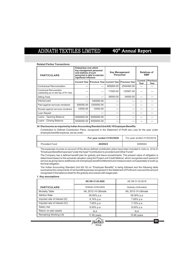## **Related Parties Transactions:**

| <b>PARTICULARS</b>                                                  | <b>Enterprises over which</b><br>key management personnel<br><b>Key Management</b><br>and relatives of such<br>Personnel<br>personnel is able to exercise<br>significant influence |            |           |                                                            | <b>KMP</b>      | <b>Relatives of</b>     |
|---------------------------------------------------------------------|------------------------------------------------------------------------------------------------------------------------------------------------------------------------------------|------------|-----------|------------------------------------------------------------|-----------------|-------------------------|
|                                                                     |                                                                                                                                                                                    |            |           | Current Year   Previous Year  Current Year   Previous Year | Current<br>Year | <b>Previous</b><br>Year |
| Contractual Remuneration                                            | ---                                                                                                                                                                                | ---        | 909264.00 | 2044464.00                                                 |                 |                         |
| Contractual Remuneration<br>outstanding as on last day of Fin. Year | ---                                                                                                                                                                                | ---        | 71920.00  | 123907.00                                                  |                 |                         |
| <b>Sitting Fees</b>                                                 | ---                                                                                                                                                                                | ---        | 36000.00  | 34500.00                                                   |                 |                         |
| Interest paid                                                       | ---                                                                                                                                                                                | 540000.00  | ---       | ---                                                        |                 |                         |
| Paid against services rendered                                      | 300000.00                                                                                                                                                                          | 1200000.00 |           |                                                            |                 |                         |
| Receipt against services rendered                                   | 12000.00                                                                                                                                                                           | 12000.00   | ---       | ---                                                        |                 |                         |
| Loan Repaid                                                         | ---                                                                                                                                                                                | ---        | ---       | ---                                                        |                 |                         |
| Loans - Opening Balance                                             | 6000000.00                                                                                                                                                                         | 6000000.00 | ---       | ---                                                        |                 |                         |
| Loans - Closing Balance                                             | 6000000.00                                                                                                                                                                         | 6000000.00 | ---       |                                                            |                 |                         |

## **34. Disclosures as required by Indian Accounting Standard (Ind AS) 19 Employee Benefits:**

Contribution to Defined Contribution Plans, recognized in the Statement of Profit ans Loss for the year under employee benefits expense, are as under:

|                       | For year ended 31/03/2020 | For year ended 31/03/2019 |
|-----------------------|---------------------------|---------------------------|
| <b>Provident Fund</b> | 402923                    | 609564                    |

The expenses incurres on account of the above defined contribution plans have been included in note no. 22 & 23 "Employee Benefits Expenses"under the head "Contribution to provident and Other Funds"

The Company has a defined benefit plan for gratuity and leave encashmants. The present value of obligation is determined based on the actuarial valuation using the Project unit Credit Method, which recognises each period of service as giving rise to additional unit of employee benefit entitlement and measure each unit separately to build up the final obligation.

The Indian Accounting Standard (Ind AS-19) on "Employee Benefits" is being followed and the following table summarize the components of net benefit/expenses recognised in the Statement of Profit and Loss and the amount recognised in the balance sheet for the gratuity and Leaves with wages plan.

## **1. Key assumptions**

|                               | AS ON 31.03.2020     | AS ON 31.03.2019     |
|-------------------------------|----------------------|----------------------|
| <b>PARTICULARS</b>            | Gratuity (Unfunded)  | Gratuity (Unfunded)  |
| Mortality Table               | IAL 2012-14 Ultimate | IAL 2012-14 Ultimate |
| <b>Attrition Rate</b>         | 05.00% p.a           | 05.00% p.a           |
| Imputed rate of interest (D)  | $6.74\%$ p.a         | 7.65% p.a            |
| Imputed rate of interest (IC) | 7.65% p.a            | 7.70% p.a            |
| Salary rise                   | $8.00\%$ p.a         | 8.00% p.a            |
| Return on plan assets         | N.A                  | N.A                  |
| Remaining Working Life        | $11.95$ years        | $15.66$ years        |
|                               |                      |                      |

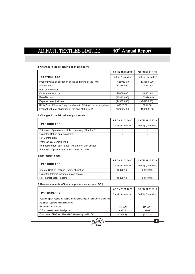# 40<sup>th</sup> Annual Report

**60**

## **2. Changes in the present value of obligation:-**

|                                                                              | AS ON 31.03.2020    | AS ON 31.03.2019    |
|------------------------------------------------------------------------------|---------------------|---------------------|
| <b>PARTICULARS</b>                                                           | Gratuity (Unfunded) | Gratuity (Unfunded) |
| Present value of obligation at the beginning of the I.V.P.                   | 1536039.00          | 1353944.00          |
| Interest cost                                                                | 103782.00           | 100262.00           |
| Past service cost                                                            | ---                 |                     |
| Current service cost                                                         | 180680.00           | 248551.00           |
| Benefits paid                                                                | (358833.00)         | (103676.00)         |
| <b>Experience Adjustment</b>                                                 | (143009.00)         | (66936.00)          |
| Diff.in Present Value of Obligations / Acturial (Gain) / Loss on obligations | 69325.00            | 3894.00             |
| Present Value of obligation at the end of the I.V.P.                         | 1387984.00          | 1536039.00          |

## **3. Changes in the fair value of plan assets**

|                                                          | AS ON 31,03,2020    | AS ON 31.03.2019    |
|----------------------------------------------------------|---------------------|---------------------|
| <b>PARTICULARS</b>                                       | Gratuity (Unfunded) | Gratuity (Unfunded) |
| Fair value of plan assets at the beginning of the I.V.P. |                     |                     |
| Expected Return on plan assets                           |                     |                     |
| Net Contribution                                         |                     |                     |
| <b>Withdrawals/ Benefits Paid</b>                        |                     |                     |
| Remeasurement gain / (loss) Returns on plan assets       |                     |                     |
| Fair value of plan assets at the end of the I.V.P.       |                     |                     |

## **4. Net Interest cost:-**

|                                             | AS ON 31.03.2020    | AS ON 31.03.2019    |
|---------------------------------------------|---------------------|---------------------|
| <b>PARTICULARS</b>                          | Gratuity (Unfunded) | Gratuity (Unfunded) |
| Interest Cost on Defined Benefit obligation | 103782.00           | 100262.00           |
| Expected Interest Income on plan assets     |                     |                     |
| Net Interest cost / (Income)                | 103782.00           | 100262.00           |

## **5. Remeasurements - Other comprehensive Income ( OCI)**

|                                                                            | AS ON 31.03.2020    | AS ON 31.03.2019    |
|----------------------------------------------------------------------------|---------------------|---------------------|
| <b>PARTICULARS</b>                                                         | Gratuity (Unfunded) | Gratuity (Unfunded) |
| Return on plan Assets (excluding amounts included in net interest expenses | ---                 |                     |
| Actuarial (Gain) / Loss arising from:                                      |                     |                     |
| <b>Experience Adjustment</b>                                               | (143009)            | (66936)             |
| Diff. in present value of obligations                                      | 69325               | 3894                |
| Component of Defined of Benefit Costs recongnised in OCI                   | (73684)             | (63042)             |

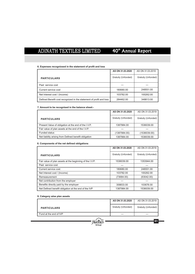# 40<sup>th</sup> Annual Report

## **6. Expenses recogniosed in the statement of profit and loss**

|                                                                     | AS ON 31.03.2020    | AS ON 31.03.2019    |
|---------------------------------------------------------------------|---------------------|---------------------|
| <b>PARTICULARS</b>                                                  | Gratuity (Unfunded) | Gratuity (Unfunded) |
| Past service cost                                                   |                     |                     |
| Current service cost                                                | 180680.00           | 248551.00           |
| Net Interest cost / (Income)                                        | 103782.00           | 100262.00           |
| Defined Benefit cost recognized in the statement of profit and loss | 284462.00           | 348813.00           |

## **7. Amount to be recognised in the balance sheet:-**

|                                                       | AS ON 31.03.2020    | AS ON 31.03.2019    |
|-------------------------------------------------------|---------------------|---------------------|
| <b>PARTICULARS</b>                                    | Gratuity (Unfunded) | Gratuity (Unfunded) |
| Present Value of obligation at the end of the I.V.P.  | 1387984.00          | 1536039.00          |
| Fair value of plan assets at the end of the I.V.P.    |                     |                     |
| <b>Funded status</b>                                  | (1387984.00)        | (1536039.00)        |
| Net liability arising from Defined benefit obligation | 1387984.00          | 1536039.00          |

## **8. Components of the net defined obligations**

|                                                          | AS ON 31.03.2020    | AS ON 31.03.2019    |
|----------------------------------------------------------|---------------------|---------------------|
| <b>PARTICULARS</b>                                       | Gratuity (Unfunded) | Gratuity (Unfunded) |
| Fair value of plan assets at the beginning of the I.V.P. | 1536039.00          | 1353944.00          |
| Past service cost                                        |                     |                     |
| Current service cost                                     | 180680.00           | 248551.00           |
| Net Interest cost / (Income)                             | 103782.00           | 100262.00           |
| Remeasurement                                            | (73684.00)          | (63042.00)          |
| Net contribution from the employer                       |                     |                     |
| Benefits directly paid by the employer                   | 358833.00           | 103676.00           |
| Net Defined benefit obligation at the end of the IVP     | 1387984.00          | 1536039.00          |

## **9. Category wise plan assets**

|                        | AS ON 31.03.2020    | AS ON 31.03.2019    |
|------------------------|---------------------|---------------------|
| <b>PARTICULARS</b>     | Gratuity (Unfunded) | Gratuity (Unfunded) |
| Fund at the end of IVP |                     | ---                 |
|                        |                     | 61                  |
|                        |                     |                     |

**Group**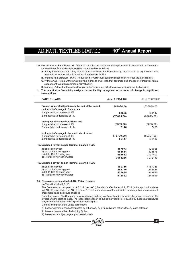# 40<sup>th</sup> Annual Report

- **10. Description of Risk Exposure:** Actuarial Valuation are based on assumptions which are dynamic in nature and vary over time. As such entity is exposed to various risks as follows
- A. Salary Increase-Actual salary increases will increase the Plan's liability. Increases in salary increase rate assumption in future valuations will also increase the liability.
	- **B**. Imputed Rate of Return (IROR)- Reduction in IROR in subsequent valuation can increase the plan's liability
	- C. Withdrawals- Actual withdrawals proving higher or lower than that assumed and change of withdrawal rate at subsequent valuation can impact plan's liability.
- **D**. Mortality-Actual deaths proving lower or higher than assumed in the valuation can impact the liabilities.
- **11. The quantitative Sensitivity analysis on net liability recognised on account of change in significant assumptions**

| <b>PARTICULARS</b>                                                                           | As at 31/03/2020 | As at 31/03/2019 |
|----------------------------------------------------------------------------------------------|------------------|------------------|
| Present value of obligation ath the end of the period<br>(a) Impact of change in Salary rate | 1387984.00       | 1536039.00       |
| 1. Impact due to increase of 1%                                                              | 83565            | 100147           |
| 2. Impact due to decrease of 1%                                                              | (75615.00)       | (89813.00)       |
| (b) Impact of change in Attrition rate                                                       |                  |                  |
| 1. Impact due to increase of 1%                                                              | (6389.00)        | (7035.00)        |
| 2. Impact due to decrease of 1%                                                              | 7146             | 7455             |
| (c) Impact of change in Imputed rate of return                                               |                  |                  |
| 1. Impact due to increase of 1%                                                              | (75790.00)       | (89307.00)       |
| 2. Impact due to decrease of 1%                                                              | 85447            | 101483           |
| 12. Expected Payout as per Terminal Salary & TLOS                                            |                  |                  |
| a) Ist following year                                                                        | 387973           | 420665           |
| b) 2nd to 5th following year                                                                 | 688614           | 395876           |
| c) 6th to 10th following year                                                                | 953652           | 2137403          |
| d) 11th following year onwards                                                               | 3663286          | 7072119          |
| 13. Expected payout as per Terminal Salary & PLOS                                            |                  |                  |
| a) Ist following year                                                                        | 380765           | 4167786          |
| b) 2nd to 5th following year                                                                 | 488370           | 242586           |
| c) 6th to 10th following year                                                                | 476645           | 949960           |
| d) 11th following year onwards                                                               | 915842           | 1249699          |

## **35. Disclosure pursuant to Ind AS - 116 on 'Leases'**

(a) Transition to Ind AS 116:

The Company has adopted Ind AS 116 "Leases" ("Standard") effective April 1, 2019 (Initial application date). Ind AS 116 supersedes Ind AS 17 "Leases". The Standard sets out the principles for recognition, measurement, presentation and disclosure of leases

Operating leases: The Company has given factory building to different parties for which the period varies from 1 to 3 years under operating lease. The lease income received during the year is Rs .1,33,79,842 .Leases are renewed only on mutual consent and at a prevalent market price.

General discription of the Lease agreement:

i) Lease aggrement can be terminated by either party by giving advance notice either by lesse or lessor.

ii) Lessee can not sublet the building further.

iii) Lease rent is subject to yearly increase by 10%.



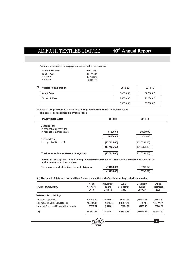Annual undiscounted lease payments receivables are as under:

| <b>PARTICULARS</b> | <b>AMOUNT</b> |
|--------------------|---------------|
| up to 1 year       | 16174884      |
| 1-2 years          | 17792372      |
| 2-3 years          | 6116128       |

| 36 | <b>Auditor Remuneration</b> | 2019-20  | 2018-19  |
|----|-----------------------------|----------|----------|
|    | <b>Audit Fees</b>           | 30000.00 | 30000.00 |
|    | <b>Tax Audit Fees</b>       | 25000.00 | 25000.00 |
|    |                             | 55000.00 | 55000.00 |

**37. Disclosure pursuant to Indian Accounting Standard (Ind AS)-12:Income Taxes a) Income Tax recognised in Profit or loss**

| <b>PARTICULARS</b>                   | 2019-20     | 2018-19      |
|--------------------------------------|-------------|--------------|
| <b>Current Tax:</b>                  |             |              |
| In respect of Current Tax            | ---         | ---          |
| In respect of Earlier Years          | 14830.00    | 29599.00     |
|                                      | 14830.00    | 29599.00     |
| Deffered Tax:                        |             |              |
| In respect of Current Tax            | (177425.66) | (1616051.10) |
|                                      | (177425.66) | (1616051.10) |
| Total income Tax expenses recognised | (177425.66) | (1616051.10) |

**Income Tax recognised in other comprehensive income arising on income and expenses recognised in other comprehensive income**

| Remeasurement of defined benefit obligation | (19158.00) | (16390.92) |
|---------------------------------------------|------------|------------|
|                                             | (19158.00) | (16390.92) |

 **(b) The detail of deferred tax liabilities & assets as at the end of each reporting period is as under:**

| As at<br>1st April<br>2019 | <b>Movement</b><br>during<br>2018-19 | As at<br>31st March<br>2019 | <b>Movement</b><br>durina<br>2019-20 | As at<br>31st March<br>2020 |
|----------------------------|--------------------------------------|-----------------------------|--------------------------------------|-----------------------------|
|                            |                                      |                             |                                      |                             |
| 1210243.00                 | (308761.09)                          | 901481.91                   | (582643.08)                          | 318838.83                   |
| 1170621.96                 | 48542.30                             | 1219164.26                  | 35112.85                             | 1254277.11                  |
| 35635.91                   | (1441.63)                            | 34194.28                    | (1225.40)                            | 32968.88                    |
| 2416500.87                 | (261660.42)                          | 2154840.45                  | (548755.62)                          | 1606084.83                  |
|                            |                                      |                             |                                      |                             |

**Group**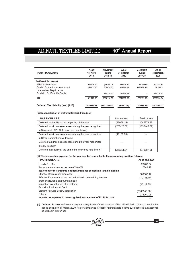| <b>PARTICULARS</b>                 | As at<br>1st April<br>2019 | <b>Movement</b><br>durina<br>2018-19 | As at<br>31st March<br>2019 | <b>Movement</b><br>durina<br>2019-20 | As at<br>31st March<br>2020 |
|------------------------------------|----------------------------|--------------------------------------|-----------------------------|--------------------------------------|-----------------------------|
| Deffered Tax Asset                 |                            |                                      |                             |                                      |                             |
| 43B Disallowances                  | 576225.00                  | (34019.70)                           | 542205.30                   | 40956.50                             | 583161.80                   |
| Carried forward business loss &    | 294902.00                  | 609474.57                            | 904376.57                   | (393128.46)                          | 511248.11                   |
| Unabsorbed Depriciation            |                            |                                      |                             |                                      |                             |
| Provision for Doubtful Debts       |                            | 795326.73                            | 795326.73                   | $\cdots$                             | 795326.73                   |
| (B)                                | 871127.00                  | 1370781.59                           | 2241908.59                  | (352171.96)                          | 1889736.64                  |
| Deffered Tax Liability (Net) (A-B) | 1545373.87                 | (1632442.02)                         | (87068.15)                  | (196583.66)                          | (283651.81)                 |

**(c) Reconcilliation of Deffered tax liabilities (net)**

| <b>PARTICULARS</b>                                             | <b>Current Year</b> | Previous Year |
|----------------------------------------------------------------|---------------------|---------------|
| Deferred tax liability at the beginning of the year            | (87068.15)          | 1545373.87    |
| Deferred tax (income)/expenses during the year recognized      | (177425.66)         | (1632442.02)  |
| in Statement of Profit & Loss (see note below)                 |                     |               |
| Deferred tax (income)/expenses during the year recognized      | (19158.00)          |               |
| in Other Comprehensive Income                                  |                     |               |
| Deferred tax (income)/expenses during the year recognized      |                     |               |
| directly in equity                                             |                     |               |
| Deferred tax liability at the end of the year (see note below) | (283651.81)         | (87068.15)    |

# **(d) The income tax expense for the year can be reconciled to the accounting profit as follows:**

| <b>PARTICULARS</b>                                                    | As at 31.3.2020 |
|-----------------------------------------------------------------------|-----------------|
| Loss before Tax                                                       | 28263.34        |
| Tax at statutory income tax rate of 26.00%                            | 7348.47         |
| Tax effect of the amounts not deductible for computing taxable income |                 |
| <b>Effect of Depreciation difference</b>                              | 360866.17       |
| Effect of Expenses that are not deductible in determining taxable     | (10136.10)      |
| profit or allowable on payment basis                                  |                 |
| Impact on fair valuation of investment                                | (35112.85)      |
| Provision for doubtful Debt                                           |                 |
| <b>Brought Forward Loss/Depreciation</b>                              | (3160546.00)    |
| Others                                                                | 235260.06       |
| Income tax expense to be recognized in statement of Profit & Loss     |                 |
|                                                                       |                 |

**(e) Deffered Tax Asset-**The company has recognised deffered tax asset of Rs. 283997.79 in balance sheet for the period ending on 31-March-2020. As per Companies forcast of future taxable income such deffered tax asset will be utilized in future Year.

**Group**

®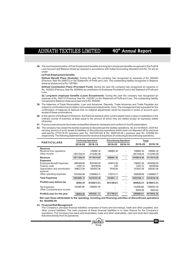- 40<sup>th</sup> Annual Report
- **38.** The summarized position of Post-Employment benefits and long term employee benefits recognized in the Profit & Loss Account and Balance Sheet as required in accordance with Indian Accounting Standard (Ind AS 19) are as under:

## **(a) Post-Employment benefits**

**Defined Benefit Plans (Gratuity):** During the year the company has recognized an expense of Rs. 284462 (Previous Year Rs.348813) in the Statement of Profit and Loss. The outstanding liability recognized in Balance sheet as at year end is Rs.1387984

Defined Contribution Plans (Provident Fund): During the year the company has recognized an expense of Rs. 402923 (Previous Year Rs. 609564) as contribution to Employee Provident Fund in the Statment of Profit and Loss.

**(b) Long-term employee benefits (Leave Encashment):** During the year the company has recognized an expense of Rs. 248114 (Previous Year Rs. 102255 ) in the Statement of Profit and Loss. The outstanding liability recognized in Balance sheet as at year end is Rs. 854946.

- **39.** The balances of Trade Receivables, Loan and Advances, Deposits, Trade Advances and Trade Payables are subject to confirmation/reconciliation and subsequent adjustments, if any. The management has requested for the confirmation of balances & believes that no material adjustments would be required in books of account upon receipt of these confirmations.
- **40.** In the opinion of the Board of Directors, the financial assets & other current assets have a value on realization in the ordinary course of business at least equal to the amount at which they are stated except as expressly stated otherwise
- **41.** Previous year amounts have been reclassified wherever necessary and conform to Ind AS presentation.
- **42.** The company has closed the textiles business & discontinued the textiles operations. As at 31st March, 2020 the carrying amount of such assets & liabilities of discontinuing operations which were not disposed off for previous year was Rs. 2779118.05 (previous year Rs. 3547209.05) & Rs. 5556193.58 ( previous year Rs. 576368.30) respectively. The following statement shows the revenue & expenses of continuing & discontinuing operations.:

| <b>PARTICULARS</b>                                                                                                                           | <b>Continuing Operations</b><br><b>Discontinuing Operations</b> |                                                       | Total                                       |                              |                                                    |                                                       |
|----------------------------------------------------------------------------------------------------------------------------------------------|-----------------------------------------------------------------|-------------------------------------------------------|---------------------------------------------|------------------------------|----------------------------------------------------|-------------------------------------------------------|
|                                                                                                                                              | 2019-20                                                         | 2018-19                                               | 2019-20                                     | 2018-19                      | 2019-20                                            | 2018-19                                               |
| Revenue<br>Revenue from operations<br>Other income                                                                                           | <br>13871358.44                                                 | 7446991.20<br>11732487.89                             | 1566661.50<br>$\cdots$                      | <br>$\cdots$                 | 1566661.50<br>13871358.44                          | 7446991.20<br>11732487.89                             |
| Revenue                                                                                                                                      | 13871358.44                                                     | 19179479.09                                           | 1566661.50                                  |                              | 15438019.94                                        | 19179479.09                                           |
| <b>Expenses</b><br><b>Employee Benefit Expenses</b><br>Finance costs<br>Depreciation and amortization<br>expense<br>Other operating expenses | 6681949.90<br>12307.22<br>1896272.00<br>5252565.98              | 10291993.00<br>583169.69<br>2054267.00<br>12395862.71 | 604972.00<br>0.00<br>78765.00<br>1755714.11 | <br>$\cdots$<br>$\cdots$<br> | 7286921.90<br>12307.22<br>1975037.00<br>7008280.09 | 10291993.00<br>583169.69<br>2054267.00<br>12395862.71 |
| <b>Total Expenses</b>                                                                                                                        | 13843095.10                                                     | 25325292.40                                           | 2439451.11                                  |                              | 16282546.21                                        | 25325292.40                                           |
| Profit/(Loss) before tax                                                                                                                     | 28263.34                                                        | (6145813.31)                                          | (872789.61)                                 |                              | (844526.27)                                        | (6145813.31)                                          |
| <b>Tax Expenses</b><br>Other Comprehensive Income                                                                                            | (162595.66)<br>$\cdots$                                         | (1586452.10)<br>                                      | $\cdots$<br>$\cdots$                        | <br>                         | (162595.66)<br>92842.00                            | (1586452.10)<br>79432.92                              |
| Profit/(Loss) for the year                                                                                                                   | 190859.00                                                       | (4559361.21)                                          | (872789.61)                                 |                              | (589088.61)                                        | (4479928.29)                                          |

**Net cash flows attributable to the operating, investing and financing activities of discontinued operations Rs. 4030592.06**

**43. Financial Risk Management**

The Company's principal financial liabilities comprises of loans and borrowings, trade and other payables, and other current liabilities. The main purpose of these financial liabilities is to raise finance for the Company's operations. The Company has loans and receivables, trade and other receivables, cash and short-term deposits that arise directly from its operations.

®

**65**

**Group**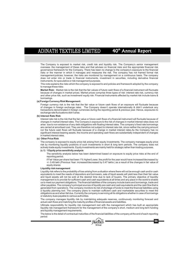The Company is exposed to market risk, credit risk and liquidity risk. The Company's senior management oversees the management of these risks and that advises on financial risks and the appropriate financial risk governance framework for the Company. There has been no change to the company's exposure to the financial risks or the manner in which it manages and measures the risk. The company has not framed formal risk management policies; however, the risks are monitored by management on a continuous basis. The company does not enter into or trade in financial instruments, investment in securities, including derivative financial instruments, for speculative or risk management purposes.

This note explains the risks which the company is exposed to and policies and framework adopted by the company to manage these risks:

**Market Risk:** Market risk is the risk that the fair values of future cash flows of a financial instrument will fluctuate because of changes in market prices. Market prices comprise three types of risk: interest rate risk, currency risk and other price risk, such as investment/ equity risk. Financial instruments affected by market risk include loans & borrowings.

## **(a) Foreign Currency Risk Management:**

Foreign currency risk is the risk that the fair value or future cash flows of an exposure will fluctuate because of changes in foreign exchange rates. The Company doesn't operate internationally & didn't undertook any transactions denominated in foreign currencies during the reporting period & previous year. Hence, exposures to exchange rate fluctuations didn't arise.

## **(b) Interest Rate Risk**

Interest rate risk is the risk that the fair value or future cash flows of a financial instrument will fluctuate because of changes in market interest rates. The Company's exposure to the risk of changes in market interest rates does not arise due to non existance of any debt obligations with floating interest rates. The company's fixed rate borrowings are carried at amortised cost. They are therefore not subject to interest rate risk, since neither the carrying amount nor the future cash flows will fluctuate because of a change in market interest rates.As the Company has no significant interest-bearing assets, the income and operating cash flows are substantially independent of changes in market interest rates.

#### **(c) Other Price Risk**

The company is exposed to equity price risk arising from equity investments. The company manages equity price risk by monitoring liquidity positions of such investments in short & long term periods. The company does not actively trade equity investments. Equity investments are mainly held for strategic rather than trading purposes.

## **(c.1) 1 Equity price sensitivity analysis**

The sensitivity analysis below has been determined based on exposure to equity price risks at the end of reporting period.

if Fair Value per share had been 1% higher/Lower, the profit for the year would have increased/decreased by +/- 0.49 lakh (Previous Year: increased/decreased by 0.47 lakhs ) as a result of the changes in fair value of equity shares

#### **Liquidity risk management**

Liquidity risk refers to the probability of loss arising from a situation where there will not be enough cash and/or cash equivalents to meet the needs of depositors and borrowers, sale of liquid assets will yield less than their fair value and liquid assets will not be sold at the desired time due to lack of buyers. The primary objective of liquidity management is to provide for sufficient cash and cash equivalents at all times and any place in the world to enable us to meet our payment obligations. The financial liabilities of the company include loans and borrowings, trade and other payables. The company's principal sources of liquidity are cash and cash equivalents and the cash flow that is generated from operations. The company monitors its risk of shortage of funds to meet the financial liabilities using a liquidity planning tool. The company plans to maintain sufficient cash and marketable securities to meet the obligations as and when fall due. Currently the company is servicing all its obligations whether in case of borrowings or statutory dues payable to various authorities.

The company manages liquidity risk by maintaining adequate reserves, continuously monitoring forecast and actual cash flows and matching the maturity profiles of financial assets and liabilities.

Ultimate responsibility for liquidity risk management rest with the management which has built an appropriate liquidity risk management framework for the management of the company's short, medium and long term funding and liquidity management requirements.

The below is the detail of contractual maturities of the financial liabilities of the company at the end of each reporting period:

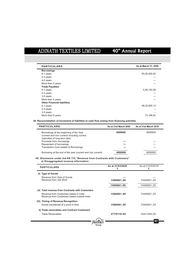| <b>PARTICULARS</b>                 | As at March 31, 2020 |
|------------------------------------|----------------------|
| <b>Borrowings</b>                  |                      |
| 0-1 years                          | 60,00,000.00         |
| 2-3 years                          | ---                  |
| 4-5 years                          | $---$                |
| More than 5 years                  |                      |
| <b>Trade Payables</b>              |                      |
| 0-1 years                          | 5,56,193.58          |
| 2-3 years                          | ---                  |
| 3-5 years                          | $---$                |
| More than 5 years                  |                      |
| <b>Other Financial liabilities</b> |                      |
| 0-1 years                          | 66,23,805.12         |
| 2-3 years                          |                      |
| 3-5 years                          |                      |
| More than 5 years                  | 73,196.60            |

**44. Reconcilaliation of movement of liabilities to cash flow arising from financing activities**

| <b>PARTICULARS</b>                                         | As at 31st March 2020 | As at 31st March 2019 |
|------------------------------------------------------------|-----------------------|-----------------------|
| Borrowings at the beginning of the Year                    | 6000000               | 6000000               |
| (current and non current) including current                |                       |                       |
| maturities of long term debt                               |                       |                       |
| Proceeds from borrowings                                   | ---                   |                       |
| Repayment of borrowings                                    | ---                   |                       |
| Transaction Cost related to Borrowings                     | ---                   | ---                   |
| Borrowing at the end of the year (current and non current) | 6000000               | 6000000               |

## **45. Disclosure under Ind AS 115 "Revenue from Contracts with Customers" a) Disaggregated revenue information**

| <b>PARTICULARS</b>                                                                                                                                | As at 31/03/2020<br>₹ | As at 31/03/2019<br>₹ |  |
|---------------------------------------------------------------------------------------------------------------------------------------------------|-----------------------|-----------------------|--|
| <b>Type of Goods</b><br>(i)                                                                                                                       |                       |                       |  |
| Revenue from Sale of Goods<br>Revenue from Job Work                                                                                               | 1566661.50            | 7446991.20            |  |
|                                                                                                                                                   | 1566661.50            | 7446991.20            |  |
| <b>Total revenue from Contracts with Customers</b><br>(ii)<br>Revenue from Customers based in India<br>Revenue from Customers based outside India | 1566661.50            | 7446991.20            |  |
| (iii) Timing of Revenue Recognition<br>Goods transferred at a point in time                                                                       | 1566661.50            | 7446991.20            |  |
| b) Trade receivables and Contract Customers                                                                                                       |                       |                       |  |
| <b>Trade Receivables</b>                                                                                                                          | 2779118.05            | 3547209.05            |  |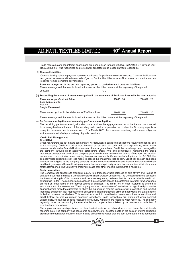Trade receivable are non-interest bearing and are generally on terms to 30 days. In 2019 Rs 0 (Previous year Rs.30.58 Lakhs.) was recognized as provision for expected credit losses on trade receivables.

#### **C) Contract Liabilities**

Contract liability relate to payment received in advance for performance under contract. Contract liabilities are recognized as revenue at the time of sale of goods. Contract liabilities includes Non current or current advances received from customers to deliver goods.

**Revenue recognized in the current reporting period to carried forward contract liabilities:** Revenue recognized that was included in the contract liabilities balance at the beginning of the period JobWork **モ** ロークス きょうしゅう きょうしゅう きょうしゅう きょうしゅう

## **(d) Reconciling the amount of revenue recognized in the statement of Profit and Loss with the contract price**

| <b>Revenue as per Contract Price</b>                   | 1566661.50 | 7446991.20 |
|--------------------------------------------------------|------------|------------|
| <b>Less Adjustments</b>                                |            |            |
| Returns                                                | ---        |            |
| <b>Freight Recovered</b>                               | ---        |            |
|                                                        |            |            |
| Revenue recognized in the statement of Profit and Loss | 1566661.50 | 7446991.20 |
|                                                        |            |            |

Revenue recognized that was included in the contract liabilities balance at the beginning of the period

## **e) Performance obligation and remaining performance obligation**

The remaining performance obligation disclosure provides the aggregate amount of the transaction price yet to be recognized as at the end of the reporting period and an explanation as to when the Company expects to recognize these amounts in revenue. As on 31st March, 2020, there were no remaining performance obligation as the same is satisfied upon delivery of goods / services.

## **Credit Risk Management**

#### **Credit Risk**

Credit risk refers to the risk that the counter party will default on its contractual obligations resulting in financial loss to the company. Credit risk arises from financial assets such as cash and cash equivalents, loans, trade receivables, derivative financial instruments and financial guarantees.. Credit risk has always been managed by the company through credit approvals, establishing credit limits and continuously monitoring the credit worthiness of customers to which the company grants credit terms in the normal course of business. We monitor our exposure to credit risk on an ongoing basis at various levels. On account of adoption of Ind AS 109, the company uses expected credit loss model to assess the impairment loss or gain. Credit risk on cash and bank balances is negligible as the company generally invests in deposits with banks and financial institutions with high credit ratings assigned by credit rating agencies. Investments primarily include investment in equity instruments for long term period. The Company's credit risk in case of all other financial instruments is negligible.

#### **Trade receivables:**

The Company has exposure to credit risk majorly from trade receivable balances on sale of yarn and Trading of unstitched Suitings, Shirtings & Dress Materials which are typically unsecured. The Company routinely assesses the financial strength of its customers and, as a consequence, believes that its trade receivable credit risk exposure is limited. The company also assesses the creditworthiness of the customers internally to whom goods are sold on credit terms in the normal course of business. The credit limit of each customer is defined in accordance with this assessment. The Company ensures concentration of credit does not significantly impair the financial assets since the customers to whom the exposure of credit is taken are well established and reputed industries engaged in their respective field of business. The management of the company regularly evaluates the individual customer receivables. This evaluation takes into consideration customer's financial condition and credit history, as well as current economic conditions. Trade receivables are written off when deemed uncollectible. Recoveries of trade receivables previously written off are recorded when received. The company regularly tracks the outstanding trade receivables and proper action is taken by the company for collection of overdue trade receivables.

The impairment analysis is performed on client to client basis for the debtors that are past due at the end of each reporting date. The company has considered an allowance for doubtful debts on the basis of lifetime expected credit loss model as per provision matrix in case of trade receivables that are past due but there has not been a

**Group**

®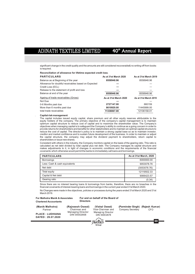# 40<sup>th</sup> Annual Report

significant change in the credit quality and the amounts are still considered recoverable& no writing off from books is required.

**Reconciliation of allowance for lifetime expected credit loss**.

| <b>PARTICULARS</b>                                   | As at 31st March 2020 | As at 31st March 2019 |
|------------------------------------------------------|-----------------------|-----------------------|
| Balance as at Beginning of the year                  | 8558948.96            | 8558948.96            |
| Allowance for doubtful receivables based on Expected |                       |                       |
| Credit Loss (ECL)                                    |                       | ---                   |
| Release to the statement of profit and loss          |                       |                       |
| Balance at end of the year                           | 8558948.96            | 8558948.96            |
| Ageing of trade receivables (Gross)                  | As at 31st March 2020 | As at 31st March 2019 |
| Not Due                                              |                       |                       |
| 0-6 Months past due                                  | 2727147.00            | 660159                |
| More than 6 months past due                          | 8610920.00            | 11445999.00           |
| total trade receivables                              | 11338067.00           | 12106158.01           |

## **Capital risk management**

.

The capital includes issued equity capital, share premium and all other equity reserves attributable to the equity holders of the company. The primary objective of the company's capital management is to maintain optimum capital structure to reduce cost of capital and to maximize the shareholder value. The Company's objectives when managing capital is to safeguard the Company's ability to continue as a going concern in order to provide returns for shareholders and benefits for other stakeholders and to maintain an optimal capital structure to reduce the cost of capital. The director's policy is to maintain a strong capital base so as to maintain investor, creditor and market confidence and to sustain future development of the business. In order to maintain or adjust the capital structure, the company may adjust the dividend payment to shareholders, return capital to shareholders or issue new shares.

Consistent with others in the industry, the Company monitors capital on the basis of the gearing ratio. This ratio is calculated as net debt divided by total capital plus net debt. The Company manages its capital structure and makes adjustments to it, in light of changes in economic conditions and the requirements of the financial covenants which otherwise would permit the banks to immediately call loans and borrowings.

| <b>PARTICULARS</b>            | As at 31st March, 2020 |
|-------------------------------|------------------------|
| <b>Borrowings</b>             | 6000000.00             |
| Less: Cash & cash equivalents | 9053078.76             |
| Net debt                      | (3053078.76)           |
| Total equity                  | 12119502.33            |
| Capital & Net debt            | 9066423.57             |
| Gearing ratio                 | (0.34)                 |

Since there are no interest bearing loans & borrowings from banks, therefore, there are no breaches in the financial covenants of interest-bearing loans and borrowings in the current year ended 31st March 2020.

No Changes were made in the objectives, policies or processes during the years ended 31st March 2020 and 31st March 2019

**For Malhotra Manik & Associates Chartered Accountants**

**For and on behalf of the Board of Directors**

**(Manik Malhotra)** Partner

**PLACE : LUDHIANA DATED : 29.07.2020**

**(Rajneesh Oswal)** Chairman and Managing Director DIN 00002668

**(Vishal Oswal)** Vice-Chairman andManaging Director DIN 00002678

**(Rajesh Kumar) (Parminder Singh)** CFO Company Secretary

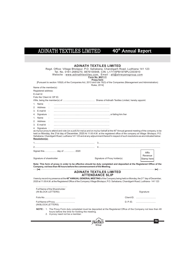|                                                    | <b>ADINATH TEXTILES LIMITED</b><br>Form No. MGT-11<br><b>Proxy form</b> | Regd. Office: Village Bholapur, P.O. Sahabana, Chandigarh Road, Ludhiana 141 123<br>Tel. No. 0161-2685270, 9876100948, CIN- L17115PB1979PLC003910<br>Website: www.adinathtextiles.com, Email: atl@shreyansgroup.com                                                                       |            |
|----------------------------------------------------|-------------------------------------------------------------------------|-------------------------------------------------------------------------------------------------------------------------------------------------------------------------------------------------------------------------------------------------------------------------------------------|------------|
|                                                    |                                                                         | [Pursuant to section 105(6) of the Companies Act, 2013 and rule 19(3) of the Companies (Management and Administration)                                                                                                                                                                    |            |
| Name of the member(s):                             | Rules, 2014]                                                            |                                                                                                                                                                                                                                                                                           |            |
| Registered address:                                |                                                                         |                                                                                                                                                                                                                                                                                           |            |
| E-mail Id:                                         |                                                                         |                                                                                                                                                                                                                                                                                           |            |
| Folio No/ Client Id: DP ID:                        |                                                                         |                                                                                                                                                                                                                                                                                           |            |
| 1. Name                                            |                                                                         |                                                                                                                                                                                                                                                                                           |            |
| 2. Address                                         |                                                                         |                                                                                                                                                                                                                                                                                           |            |
| 3. E-mail Id                                       |                                                                         |                                                                                                                                                                                                                                                                                           |            |
| 4. Signature :                                     |                                                                         |                                                                                                                                                                                                                                                                                           |            |
| 1. Name                                            |                                                                         |                                                                                                                                                                                                                                                                                           |            |
| 2. Address                                         |                                                                         |                                                                                                                                                                                                                                                                                           |            |
| 3. E-mail Id:                                      |                                                                         |                                                                                                                                                                                                                                                                                           |            |
| 4. Signature :                                     |                                                                         |                                                                                                                                                                                                                                                                                           |            |
| Resolution(s):                                     |                                                                         | held on Monday, the 21st day of December, 2020 At 11:00 A.M. at the registered office of the company at Village: Bholapur, P.O.<br>Sahabana, Chandigarh Road, Ludhiana 141 123 and at any adjournment thereof in respect of such resolutions as are indicated below:                      |            |
|                                                    |                                                                         |                                                                                                                                                                                                                                                                                           |            |
| Signed this day of  2020                           |                                                                         |                                                                                                                                                                                                                                                                                           |            |
|                                                    |                                                                         |                                                                                                                                                                                                                                                                                           | Affix      |
| Signature of shareholder                           |                                                                         | Signature of Proxy holder(s)                                                                                                                                                                                                                                                              | Revenue    |
|                                                    |                                                                         |                                                                                                                                                                                                                                                                                           | Stamp here |
|                                                    |                                                                         | Note: This form of proxy in order to be effective should be duly completed and deposited at the Registered Office of the<br>Company, not less than 48 hours before the commencement of the Meeting.<br>$\ast$                                                                             |            |
|                                                    | <b>ADINATH TEXTILES LIMITED</b><br><b>ATTENDANCE SLIP</b>               |                                                                                                                                                                                                                                                                                           |            |
|                                                    |                                                                         | I here by record my presence at the 40 <sup>th</sup> ANNUAL GENERAL MEETING of the Company being held on Monday, the 21 <sup>st</sup> day of December,<br>2020 at 11:00 A.M. at the Registered Office of the Company Village Bholapur, P.O. Sahabana, Chandigarh Road, Ludhiana - 141 123 |            |
| Full Name of the Shareholder<br>(IN BLOCK LETTERS) |                                                                         |                                                                                                                                                                                                                                                                                           | Signature  |
|                                                    |                                                                         |                                                                                                                                                                                                                                                                                           | Client ID. |
| Full Name of Proxy<br>(IN BLOCK LETTERS)           |                                                                         |                                                                                                                                                                                                                                                                                           |            |
| 2. A proxy need not be a member.                   | hours before the time for holding the meeting.                          | NOTE: 1. The Proxy Form duly completed must be deposited at the Registered Office of the Company not less than 48                                                                                                                                                                         |            |
|                                                    |                                                                         |                                                                                                                                                                                                                                                                                           |            |
|                                                    |                                                                         |                                                                                                                                                                                                                                                                                           |            |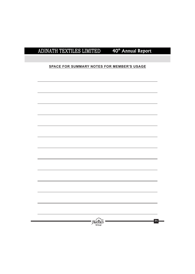## **SPACE FOR SUMMARY NOTES FOR MEMBER'S USAGE**